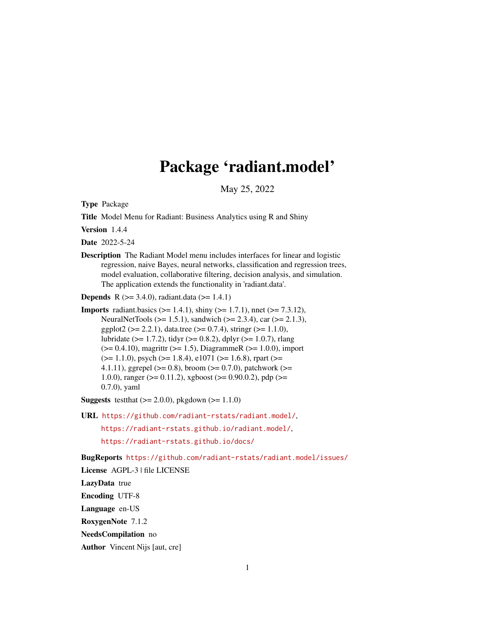# Package 'radiant.model'

May 25, 2022

<span id="page-0-0"></span>Type Package

Title Model Menu for Radiant: Business Analytics using R and Shiny

Version 1.4.4

Date 2022-5-24

Description The Radiant Model menu includes interfaces for linear and logistic regression, naive Bayes, neural networks, classification and regression trees, model evaluation, collaborative filtering, decision analysis, and simulation. The application extends the functionality in 'radiant.data'.

**Depends** R ( $>= 3.4.0$ ), radiant.data ( $>= 1.4.1$ )

**Imports** radiant.basics ( $>= 1.4.1$ ), shiny ( $>= 1.7.1$ ), nnet ( $>= 7.3.12$ ), NeuralNetTools (>= 1.5.1), sandwich (>= 2.3.4), car (>= 2.1.3), ggplot2 ( $>= 2.2.1$ ), data.tree ( $>= 0.7.4$ ), stringr ( $>= 1.1.0$ ), lubridate ( $>= 1.7.2$ ), tidyr ( $>= 0.8.2$ ), dplyr ( $>= 1.0.7$ ), rlang  $(>= 0.4.10)$ , magrittr  $(>= 1.5)$ , DiagrammeR  $(>= 1.0.0)$ , import  $(>= 1.1.0)$ , psych  $(>= 1.8.4)$ , e1071  $(>= 1.6.8)$ , rpart  $(>= 1.6.8)$ 4.1.11), ggrepel ( $>= 0.8$ ), broom ( $>= 0.7.0$ ), patchwork ( $>= 0.11$ 1.0.0), ranger ( $>= 0.11.2$ ), xgboost ( $>= 0.90.0.2$ ), pdp ( $>= 1.00$ 0.7.0), yaml

**Suggests** testthat  $(>= 2.0.0)$ , pkgdown  $(>= 1.1.0)$ 

URL <https://github.com/radiant-rstats/radiant.model/>,

<https://radiant-rstats.github.io/radiant.model/>, <https://radiant-rstats.github.io/docs/>

BugReports <https://github.com/radiant-rstats/radiant.model/issues/>

License AGPL-3 | file LICENSE

LazyData true

Encoding UTF-8

Language en-US

RoxygenNote 7.1.2

NeedsCompilation no

Author Vincent Nijs [aut, cre]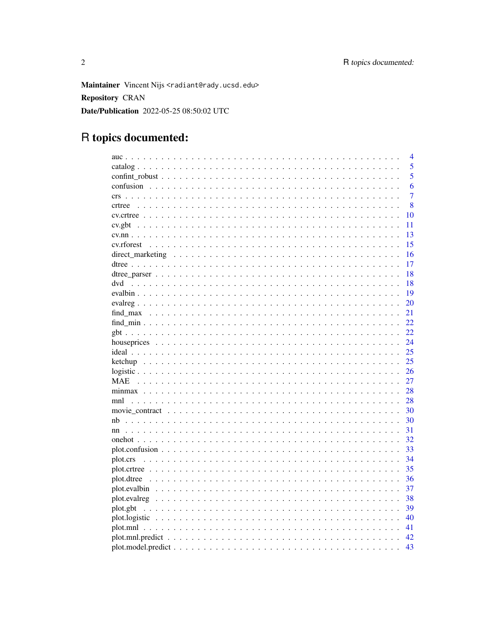Maintainer Vincent Nijs <radiant@rady.ucsd.edu> **Repository CRAN** Date/Publication 2022-05-25 08:50:02 UTC

# R topics documented:

|            | $\overline{4}$ |
|------------|----------------|
|            | 5              |
|            | 5              |
|            | 6              |
|            | $\overline{7}$ |
| crtree     | 8              |
|            | 10             |
|            | 11             |
|            | 13             |
|            | 15             |
|            | 16             |
|            | 17             |
|            | 18             |
| dvd        | 18             |
|            | 19             |
|            | 20             |
|            | 21             |
|            | 22             |
|            | 22             |
|            |                |
|            | 24             |
|            | 25             |
|            | 25             |
|            | 26             |
| <b>MAE</b> | 27             |
|            | 28             |
|            | 28             |
|            | 30             |
| nb         | 30             |
|            | 31             |
|            | 32             |
|            | 33             |
|            | 34             |
|            | 35             |
|            | 36             |
|            | 37             |
|            | 38             |
| plot.gbt   | 39             |
|            | 40             |
|            | 41             |
|            | 42             |
|            | 43             |
|            |                |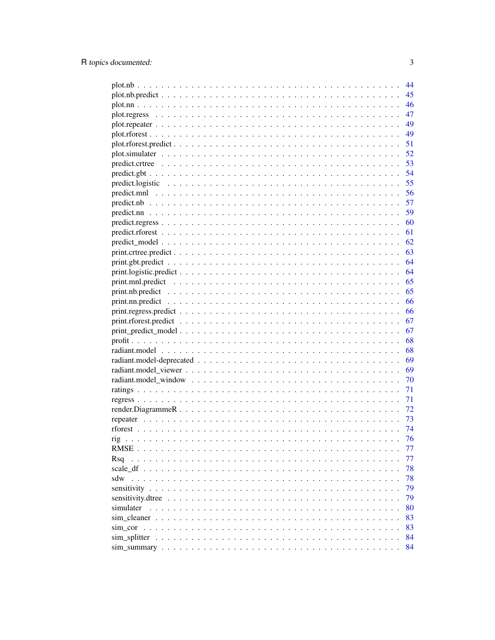| 44                                                                                                                  |
|---------------------------------------------------------------------------------------------------------------------|
| 45                                                                                                                  |
| 46                                                                                                                  |
| 47                                                                                                                  |
| 49                                                                                                                  |
| 49                                                                                                                  |
| 51                                                                                                                  |
| 52                                                                                                                  |
| 53                                                                                                                  |
| 54                                                                                                                  |
| 55<br>$predict. logistic \dots \dots \dots \dots \dots \dots \dots \dots \dots \dots \dots \dots \dots \dots \dots$ |
| 56                                                                                                                  |
| 57                                                                                                                  |
| 59                                                                                                                  |
| 60                                                                                                                  |
| 61                                                                                                                  |
| 62                                                                                                                  |
| 63                                                                                                                  |
| 64                                                                                                                  |
| 64                                                                                                                  |
| 65                                                                                                                  |
| 65                                                                                                                  |
| 66                                                                                                                  |
| 66                                                                                                                  |
| 67                                                                                                                  |
| 67                                                                                                                  |
| 68                                                                                                                  |
| 68                                                                                                                  |
| 69                                                                                                                  |
| 69                                                                                                                  |
| 70                                                                                                                  |
| 71                                                                                                                  |
| 71                                                                                                                  |
| 72                                                                                                                  |
| 73                                                                                                                  |
| 74                                                                                                                  |
| 76                                                                                                                  |
| 77                                                                                                                  |
| 77<br>Rsa<br>$\mathbb{Z}^2$ . The set of the $\mathbb{Z}^2$                                                         |
| 78                                                                                                                  |
| 78<br>sdw                                                                                                           |
| 79                                                                                                                  |
| 79<br>sensitivity.dtree                                                                                             |
| 80<br>simulater                                                                                                     |
| 83<br>sim cleaner                                                                                                   |
| 83<br>sim cor                                                                                                       |
| 84                                                                                                                  |
| 84                                                                                                                  |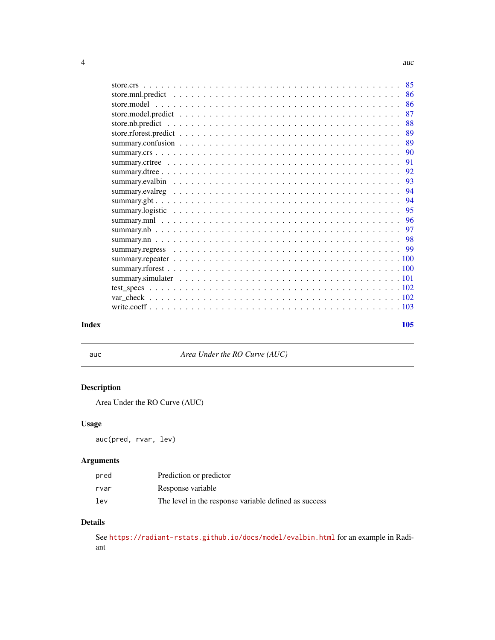<span id="page-3-0"></span>

|       |     | 86 |
|-------|-----|----|
|       |     | 87 |
|       |     | 88 |
|       |     | 89 |
|       |     | 89 |
|       |     | 90 |
|       |     | 91 |
|       |     | 92 |
|       |     | 93 |
|       |     | 94 |
|       |     |    |
|       |     |    |
|       |     |    |
|       |     |    |
|       |     |    |
|       |     |    |
|       |     |    |
|       |     |    |
|       |     |    |
|       |     |    |
|       |     |    |
|       |     |    |
| Index | 105 |    |

<span id="page-3-1"></span>

auc *Area Under the RO Curve (AUC)*

# Description

Area Under the RO Curve (AUC)

# Usage

auc(pred, rvar, lev)

# Arguments

| pred | Prediction or predictor                               |
|------|-------------------------------------------------------|
| rvar | Response variable                                     |
| 1ev  | The level in the response variable defined as success |

# Details

See <https://radiant-rstats.github.io/docs/model/evalbin.html> for an example in Radiant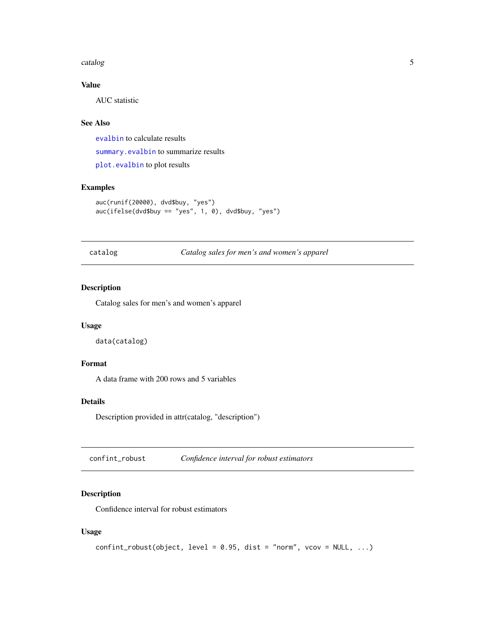#### <span id="page-4-0"></span>catalog 5

# Value

AUC statistic

# See Also

[evalbin](#page-18-1) to calculate results [summary.evalbin](#page-92-1) to summarize results [plot.evalbin](#page-36-1) to plot results

# Examples

```
auc(runif(20000), dvd$buy, "yes")
auc(ifelse(dvd$buy == "yes", 1, 0), dvd$buy, "yes")
```
catalog *Catalog sales for men's and women's apparel*

#### Description

Catalog sales for men's and women's apparel

#### Usage

data(catalog)

# Format

A data frame with 200 rows and 5 variables

#### Details

Description provided in attr(catalog, "description")

confint\_robust *Confidence interval for robust estimators*

# Description

Confidence interval for robust estimators

#### Usage

```
confint\_robust(object, level = 0.95, dist = "norm", vcov = NULL, ...)
```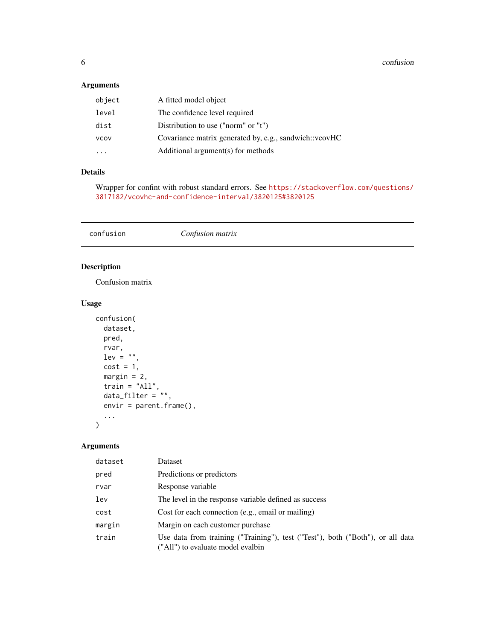# <span id="page-5-0"></span>Arguments

| object | A fitted model object                                  |
|--------|--------------------------------------------------------|
| level  | The confidence level required                          |
| dist   | Distribution to use ("norm" or " $t$ ")                |
| VCOV   | Covariance matrix generated by, e.g., sandwich::vcovHC |
|        | Additional argument(s) for methods                     |

#### Details

Wrapper for confint with robust standard errors. See [https://stackoverflow.com/questions/](https://stackoverflow.com/questions/3817182/vcovhc-and-confidence-interval/3820125#3820125) [3817182/vcovhc-and-confidence-interval/3820125#3820125](https://stackoverflow.com/questions/3817182/vcovhc-and-confidence-interval/3820125#3820125)

<span id="page-5-1"></span>confusion *Confusion matrix*

# Description

Confusion matrix

#### Usage

```
confusion(
  dataset,
  pred,
  rvar,
  lev = "",cost = 1,
  margin = 2,
  train = "All",data_filter = \overline{\ }"",
  envir = parent.frame(),
  ...
\mathcal{L}
```
# Arguments

| dataset | Dataset                                                                                                             |
|---------|---------------------------------------------------------------------------------------------------------------------|
| pred    | Predictions or predictors                                                                                           |
| rvar    | Response variable                                                                                                   |
| lev     | The level in the response variable defined as success                                                               |
| cost    | Cost for each connection (e.g., email or mailing)                                                                   |
| margin  | Margin on each customer purchase                                                                                    |
| train   | Use data from training ("Training"), test ("Test"), both ("Both"), or all data<br>("All") to evaluate model evalbin |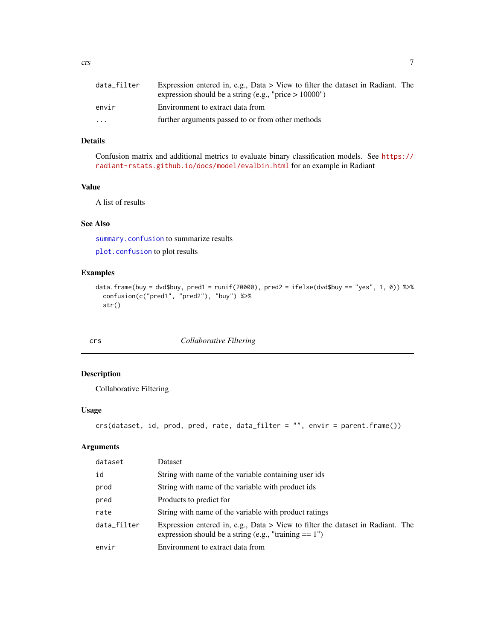<span id="page-6-0"></span>

| data_filter             | Expression entered in, e.g., Data $>$ View to filter the dataset in Radiant. The<br>expression should be a string (e.g., "price $> 10000$ ") |
|-------------------------|----------------------------------------------------------------------------------------------------------------------------------------------|
| envir                   | Environment to extract data from                                                                                                             |
| $\cdot$ $\cdot$ $\cdot$ | further arguments passed to or from other methods                                                                                            |

#### Details

Confusion matrix and additional metrics to evaluate binary classification models. See [https://](https://radiant-rstats.github.io/docs/model/evalbin.html) [radiant-rstats.github.io/docs/model/evalbin.html](https://radiant-rstats.github.io/docs/model/evalbin.html) for an example in Radiant

# Value

A list of results

#### See Also

[summary.confusion](#page-88-1) to summarize results

[plot.confusion](#page-32-1) to plot results

#### Examples

```
data.frame(buy = dvd$buy, pred1 = runif(20000), pred2 = ifelse(dvd$buy == "yes", 1, 0)) %>%
 confusion(c("pred1", "pred2"), "buy") %>%
 str()
```
<span id="page-6-1"></span>

| u                |  |
|------------------|--|
| I<br>×<br>$\sim$ |  |

#### **collaborative Filtering**

# Description

Collaborative Filtering

# Usage

```
crs(dataset, id, prod, pred, rate, data_filter = "", envir = parent.frame())
```
# Arguments

| dataset     | Dataset                                                                                                                                    |
|-------------|--------------------------------------------------------------------------------------------------------------------------------------------|
| id          | String with name of the variable containing user ids                                                                                       |
| prod        | String with name of the variable with product ids                                                                                          |
| pred        | Products to predict for                                                                                                                    |
| rate        | String with name of the variable with product ratings                                                                                      |
| data_filter | Expression entered in, e.g., Data $>$ View to filter the dataset in Radiant. The<br>expression should be a string (e.g., "training $=1$ ") |
| envir       | Environment to extract data from                                                                                                           |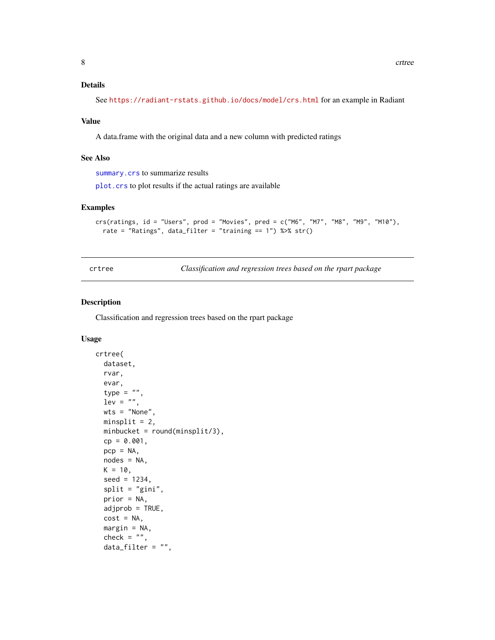# <span id="page-7-0"></span>Details

See <https://radiant-rstats.github.io/docs/model/crs.html> for an example in Radiant

#### Value

A data.frame with the original data and a new column with predicted ratings

#### See Also

[summary.crs](#page-89-1) to summarize results

[plot.crs](#page-33-1) to plot results if the actual ratings are available

#### Examples

```
crs(ratings, id = "Users", prod = "Movies", pred = c("M6", "M7", "M8", "M9", "M10"),
  rate = "Ratings", data_filter = "training == 1") %>% str()
```
<span id="page-7-1"></span>

crtree *Classification and regression trees based on the rpart package*

#### Description

Classification and regression trees based on the rpart package

#### Usage

```
crtree(
  dataset,
  rvar,
  evar,
  type = ",
  lev = "",wts = "None",minsplit = 2,
 minbucket = round(minsplit/3),
  cp = 0.001,pcp = NA,
  nodes = NA,
 K = 10,
  seed = 1234,
  split = "gini",
  prior = NA,
  adjprob = TRUE,
  cost = NA,
  margin = NA,
  check = ",
  data_fitter = "",
```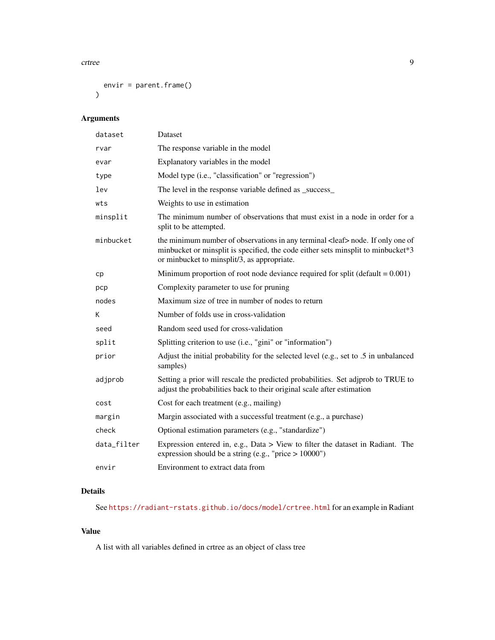crtree 9

```
envir = parent.frame()\mathcal{L}
```
# Arguments

| dataset     | Dataset                                                                                                                                                                                                                    |
|-------------|----------------------------------------------------------------------------------------------------------------------------------------------------------------------------------------------------------------------------|
| rvar        | The response variable in the model                                                                                                                                                                                         |
| evar        | Explanatory variables in the model                                                                                                                                                                                         |
| type        | Model type (i.e., "classification" or "regression")                                                                                                                                                                        |
| lev         | The level in the response variable defined as _success_                                                                                                                                                                    |
| wts         | Weights to use in estimation                                                                                                                                                                                               |
| minsplit    | The minimum number of observations that must exist in a node in order for a<br>split to be attempted.                                                                                                                      |
| minbucket   | the minimum number of observations in any terminal <leaf> node. If only one of<br/>minbucket or minsplit is specified, the code either sets minsplit to minbucket*3<br/>or minbucket to minsplit/3, as appropriate.</leaf> |
| cp          | Minimum proportion of root node deviance required for split (default $= 0.001$ )                                                                                                                                           |
| pcp         | Complexity parameter to use for pruning                                                                                                                                                                                    |
| nodes       | Maximum size of tree in number of nodes to return                                                                                                                                                                          |
| K           | Number of folds use in cross-validation                                                                                                                                                                                    |
| seed        | Random seed used for cross-validation                                                                                                                                                                                      |
| split       | Splitting criterion to use (i.e., "gini" or "information")                                                                                                                                                                 |
| prior       | Adjust the initial probability for the selected level (e.g., set to .5 in unbalanced<br>samples)                                                                                                                           |
| adjprob     | Setting a prior will rescale the predicted probabilities. Set adjprob to TRUE to<br>adjust the probabilities back to their original scale after estimation                                                                 |
| cost        | Cost for each treatment (e.g., mailing)                                                                                                                                                                                    |
| margin      | Margin associated with a successful treatment (e.g., a purchase)                                                                                                                                                           |
| check       | Optional estimation parameters (e.g., "standardize")                                                                                                                                                                       |
| data_filter | Expression entered in, e.g., Data > View to filter the dataset in Radiant. The<br>expression should be a string (e.g., "price $> 10000$ ")                                                                                 |
| envir       | Environment to extract data from                                                                                                                                                                                           |

# Details

See <https://radiant-rstats.github.io/docs/model/crtree.html> for an example in Radiant

#### Value

A list with all variables defined in crtree as an object of class tree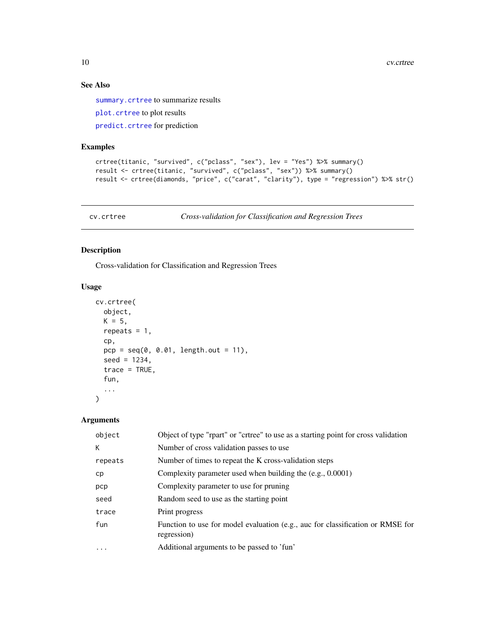# See Also

[summary.crtree](#page-90-1) to summarize results

[plot.crtree](#page-34-1) to plot results

[predict.crtree](#page-52-1) for prediction

# Examples

```
crtree(titanic, "survived", c("pclass", "sex"), lev = "Yes") %>% summary()
result <- crtree(titanic, "survived", c("pclass", "sex")) %>% summary()
result <- crtree(diamonds, "price", c("carat", "clarity"), type = "regression") %>% str()
```
cv.crtree *Cross-validation for Classification and Regression Trees*

#### Description

Cross-validation for Classification and Regression Trees

#### Usage

```
cv.crtree(
  object,
 K = 5,
 repeats = 1,
  cp,
 pcp = seq(0, 0.01, length.out = 11),seed = 1234,
  trace = TRUE,
  fun,
  ...
)
```
# Arguments

| Object of type "rpart" or "crtree" to use as a starting point for cross validation            |
|-----------------------------------------------------------------------------------------------|
| Number of cross validation passes to use                                                      |
| Number of times to repeat the K cross-validation steps                                        |
| Complexity parameter used when building the $(e.g., 0.0001)$                                  |
| Complexity parameter to use for pruning                                                       |
| Random seed to use as the starting point                                                      |
| Print progress                                                                                |
| Function to use for model evaluation (e.g., auc for classification or RMSE for<br>regression) |
| Additional arguments to be passed to 'fun'                                                    |
|                                                                                               |

<span id="page-9-0"></span>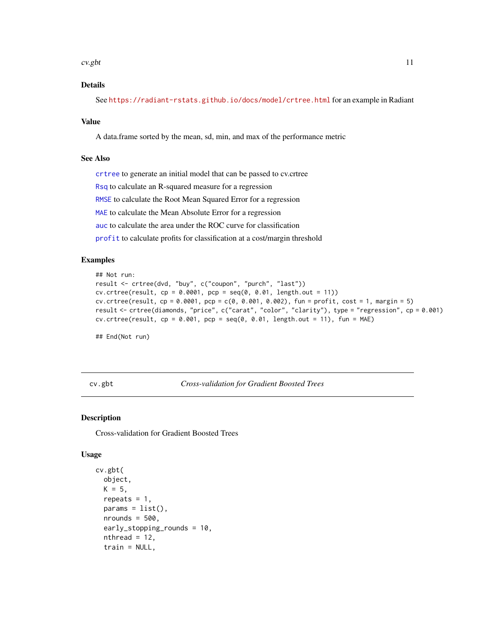#### <span id="page-10-0"></span> $\frac{c}{11}$

# Details

See <https://radiant-rstats.github.io/docs/model/crtree.html> for an example in Radiant

#### Value

A data.frame sorted by the mean, sd, min, and max of the performance metric

#### See Also

[crtree](#page-7-1) to generate an initial model that can be passed to cv.crtree

[Rsq](#page-76-1) to calculate an R-squared measure for a regression

[RMSE](#page-76-2) to calculate the Root Mean Squared Error for a regression

[MAE](#page-26-1) to calculate the Mean Absolute Error for a regression

[auc](#page-3-1) to calculate the area under the ROC curve for classification

[profit](#page-67-1) to calculate profits for classification at a cost/margin threshold

#### Examples

```
## Not run:
result <- crtree(dvd, "buy", c("coupon", "purch", "last"))
cv. crtree(result, cp = 0.0001, pcp = seq(0, 0.01, length.out = 11))
cv.crtree(result, cp = 0.0001, pcp = c(0, 0.001, 0.002), fun = profit, cost = 1, margin = 5)
result <- crtree(diamonds, "price", c("carat", "color", "clarity"), type = "regression", cp = 0.001)
cv.ctree(result, cp = 0.001, pp = seq(0, 0.01, length.out = 11), fun = MAE)
```
## End(Not run)

cv.gbt *Cross-validation for Gradient Boosted Trees*

#### **Description**

Cross-validation for Gradient Boosted Trees

#### Usage

```
cv.gbt(
  object,
  K = 5,
  repeats = 1,
  params = list(),nrounds = 500,
  early_stopping_rounds = 10,
  nthread = 12,
  train = NULL,
```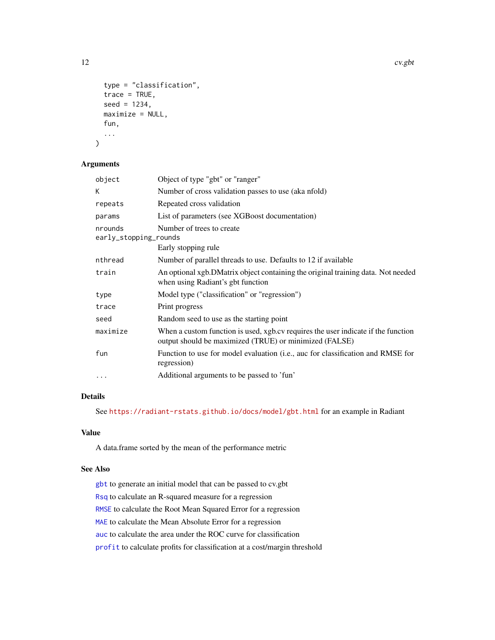12 cv.gbt

```
type = "classification",
trace = TRUE,seed = 1234,
maximize = NULL,
fun,
...
```
# Arguments

)

| object                           | Object of type "gbt" or "ranger"                                                                                                            |
|----------------------------------|---------------------------------------------------------------------------------------------------------------------------------------------|
| K                                | Number of cross validation passes to use (aka nfold)                                                                                        |
| repeats                          | Repeated cross validation                                                                                                                   |
| params                           | List of parameters (see XGBoost documentation)                                                                                              |
| nrounds<br>early_stopping_rounds | Number of trees to create                                                                                                                   |
|                                  | Early stopping rule                                                                                                                         |
| nthread                          | Number of parallel threads to use. Defaults to 12 if available                                                                              |
| train                            | An optional xgb.DMatrix object containing the original training data. Not needed<br>when using Radiant's gbt function                       |
| type                             | Model type ("classification" or "regression")                                                                                               |
| trace                            | Print progress                                                                                                                              |
| seed                             | Random seed to use as the starting point                                                                                                    |
| maximize                         | When a custom function is used, xgb.cv requires the user indicate if the function<br>output should be maximized (TRUE) or minimized (FALSE) |
| fun                              | Function to use for model evaluation (i.e., auc for classification and RMSE for<br>regression)                                              |
| .                                | Additional arguments to be passed to 'fun'                                                                                                  |
|                                  |                                                                                                                                             |

# Details

See <https://radiant-rstats.github.io/docs/model/gbt.html> for an example in Radiant

# Value

A data.frame sorted by the mean of the performance metric

#### See Also

[gbt](#page-21-1) to generate an initial model that can be passed to cv.gbt [Rsq](#page-76-1) to calculate an R-squared measure for a regression [RMSE](#page-76-2) to calculate the Root Mean Squared Error for a regression [MAE](#page-26-1) to calculate the Mean Absolute Error for a regression [auc](#page-3-1) to calculate the area under the ROC curve for classification [profit](#page-67-1) to calculate profits for classification at a cost/margin threshold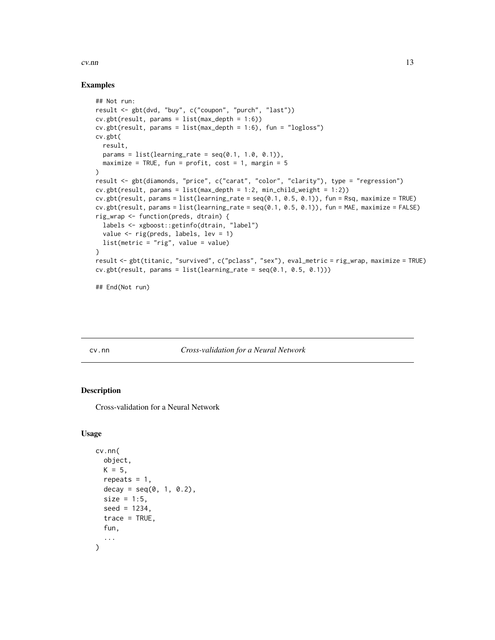#### <span id="page-12-0"></span>cv.nn  $\sim$  13

#### Examples

```
## Not run:
result <- gbt(dvd, "buy", c("coupon", "purch", "last"))
cv.gbt(result, params = list(max_depth = 1:6))
cv.gbt(result, params = list(max_depth = 1:6), fun = "logloss")
cv.gbt(
  result,
  params = list(learning_rate = seq(0.1, 1.0, 0.1)),maximize = TRUE, fun = profit, cost = 1, margin = 5
\mathcal{L}result <- gbt(diamonds, "price", c("carat", "color", "clarity"), type = "regression")
cv.gbt(result, params = list(max_depth = 1:2, min_child_weight = 1:2))
cv.gbt(result, params = list(learning_rate = seq(0.1, 0.5, 0.1)), fun = Rsq, maximize = TRUE)cv.gbt(result, params = list(learning_rate = seq(0.1, 0.5, 0.1)), fun = MAE, maximize = FALSE)
rig_wrap <- function(preds, dtrain) {
  labels <- xgboost::getinfo(dtrain, "label")
  value <- rig(preds, labels, lev = 1)
  list(metric = "rig", value = value)
}
result <- gbt(titanic, "survived", c("pclass", "sex"), eval_metric = rig_wrap, maximize = TRUE)
cv.get(result, params = list(learning_rate = seq(0.1, 0.5, 0.1)))## End(Not run)
```
#### cv.nn *Cross-validation for a Neural Network*

# Description

Cross-validation for a Neural Network

#### Usage

```
cv.nn(
  object,
  K = 5,
  repeats = 1,
  decay = seq(0, 1, 0.2),
  size = 1:5,
  seed = 1234,
  trace = TRUE,fun,
  ...
)
```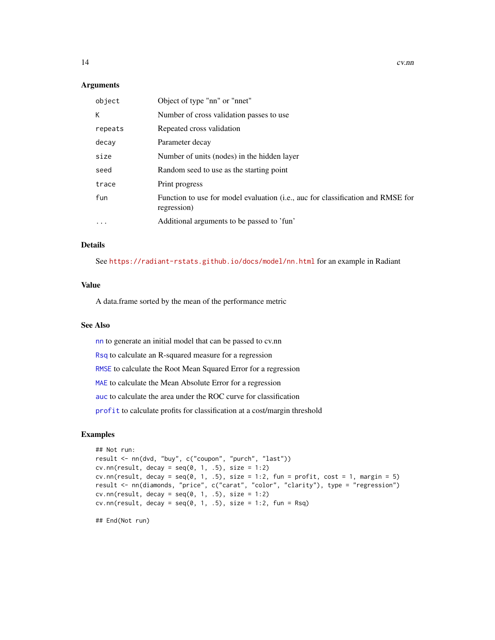#### Arguments

| object            | Object of type "nn" or "nnet"                                                                  |
|-------------------|------------------------------------------------------------------------------------------------|
| K                 | Number of cross validation passes to use                                                       |
| repeats           | Repeated cross validation                                                                      |
| decay             | Parameter decay                                                                                |
| size              | Number of units (nodes) in the hidden layer                                                    |
| seed              | Random seed to use as the starting point                                                       |
| trace             | Print progress                                                                                 |
| fun               | Function to use for model evaluation (i.e., auc for classification and RMSE for<br>regression) |
| $\cdot\cdot\cdot$ | Additional arguments to be passed to 'fun'                                                     |

# Details

See <https://radiant-rstats.github.io/docs/model/nn.html> for an example in Radiant

#### Value

A data.frame sorted by the mean of the performance metric

#### See Also

[nn](#page-30-1) to generate an initial model that can be passed to cv.nn

[Rsq](#page-76-1) to calculate an R-squared measure for a regression

[RMSE](#page-76-2) to calculate the Root Mean Squared Error for a regression

[MAE](#page-26-1) to calculate the Mean Absolute Error for a regression

[auc](#page-3-1) to calculate the area under the ROC curve for classification

[profit](#page-67-1) to calculate profits for classification at a cost/margin threshold

#### Examples

```
## Not run:
result <- nn(dvd, "buy", c("coupon", "purch", "last"))
cv.nn(result, decay = seq(0, 1, .5), size = 1:2)cv.nn(result, decay = seq(0, 1, .5), size = 1:2, fun = profit, cost = 1, margin = 5)
result <- nn(diamonds, "price", c("carat", "color", "clarity"), type = "regression")
cv.nn(result, decay = seq(0, 1, .5), size = 1:2)
cv.nn(result, decay = seq(0, 1, .5), size = 1:2, fun = Rsq)
```
## End(Not run)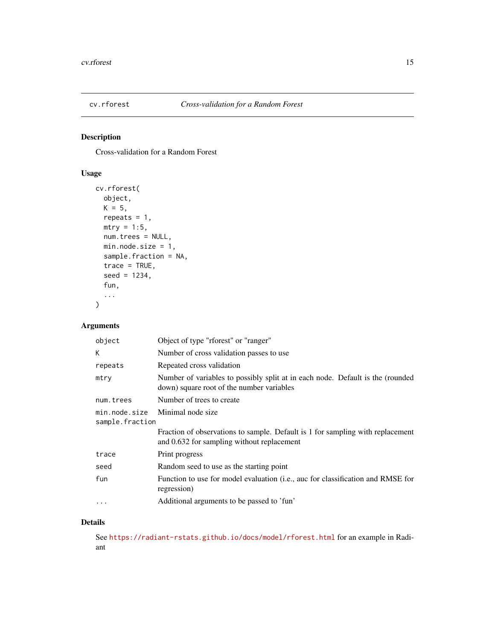<span id="page-14-0"></span>

Cross-validation for a Random Forest

# Usage

```
cv.rforest(
  object,
  K = 5,
  repeats = 1,
  mtry = 1:5,num.trees = NULL,
  min.node.size = 1,
  sample.fraction = NA,
  trace = TRUE,
  seed = 1234,
  fun,
  ...
\mathcal{L}
```
# Arguments

| object                           | Object of type "rforest" or "ranger"                                                                                         |
|----------------------------------|------------------------------------------------------------------------------------------------------------------------------|
| К                                | Number of cross validation passes to use                                                                                     |
| repeats                          | Repeated cross validation                                                                                                    |
| mtry                             | Number of variables to possibly split at in each node. Default is the (rounded<br>down) square root of the number variables  |
| num.trees                        | Number of trees to create                                                                                                    |
| min.node.size<br>sample.fraction | Minimal node size                                                                                                            |
|                                  | Fraction of observations to sample. Default is 1 for sampling with replacement<br>and 0.632 for sampling without replacement |
| trace                            | Print progress                                                                                                               |
| seed                             | Random seed to use as the starting point                                                                                     |
| fun                              | Function to use for model evaluation (i.e., auc for classification and RMSE for<br>regression)                               |
|                                  | Additional arguments to be passed to 'fun'                                                                                   |

#### Details

See <https://radiant-rstats.github.io/docs/model/rforest.html> for an example in Radiant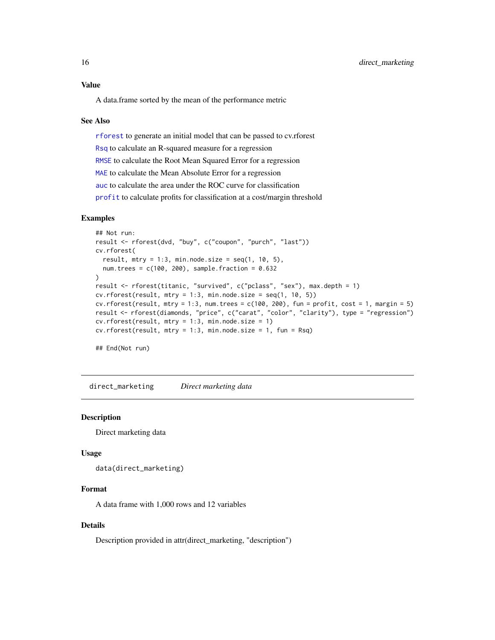# <span id="page-15-0"></span>Value

A data.frame sorted by the mean of the performance metric

#### See Also

[rforest](#page-73-1) to generate an initial model that can be passed to cv.rforest [Rsq](#page-76-1) to calculate an R-squared measure for a regression [RMSE](#page-76-2) to calculate the Root Mean Squared Error for a regression [MAE](#page-26-1) to calculate the Mean Absolute Error for a regression [auc](#page-3-1) to calculate the area under the ROC curve for classification [profit](#page-67-1) to calculate profits for classification at a cost/margin threshold

#### Examples

```
## Not run:
result <- rforest(dvd, "buy", c("coupon", "purch", "last"))
cv.rforest(
  result, mtry = 1:3, min.node.size = seq(1, 10, 5),
  num.trees = c(100, 200), sample.fraction = 0.632)
result <- rforest(titanic, "survived", c("pclass", "sex"), max.depth = 1)
cv.rforest(result, mtry = 1:3, min.node.size = seq(1, 10, 5))cv.rforest(result, mtry = 1:3, num.trees = c(100, 200), fun = profit, cost = 1, margin = 5)result <- rforest(diamonds, "price", c("carat", "color", "clarity"), type = "regression")
cv.rforest(result, mtry = 1:3, min.node.size = 1)cv.rforest(result, mtry = 1:3, min.node.size = 1, fun = Rsq)## End(Not run)
```
direct\_marketing *Direct marketing data*

#### Description

Direct marketing data

#### Usage

```
data(direct_marketing)
```
#### Format

A data frame with 1,000 rows and 12 variables

#### Details

Description provided in attr(direct\_marketing, "description")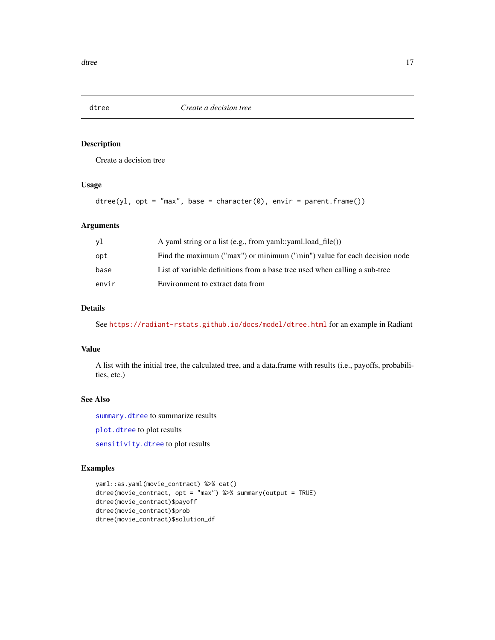<span id="page-16-1"></span><span id="page-16-0"></span>

Create a decision tree

# Usage

```
dtree(y1, opt = "max", base = character(0), envir = parent-frame())
```
#### Arguments

| yl    | A yaml string or a list (e.g., from yaml::yaml.load file())                |
|-------|----------------------------------------------------------------------------|
| opt   | Find the maximum ("max") or minimum ("min") value for each decision node   |
| base  | List of variable definitions from a base tree used when calling a sub-tree |
| envir | Environment to extract data from                                           |

#### Details

See <https://radiant-rstats.github.io/docs/model/dtree.html> for an example in Radiant

#### Value

A list with the initial tree, the calculated tree, and a data.frame with results (i.e., payoffs, probabilities, etc.)

#### See Also

[summary.dtree](#page-91-1) to summarize results

[plot.dtree](#page-35-1) to plot results

[sensitivity.dtree](#page-78-1) to plot results

#### Examples

```
yaml::as.yaml(movie_contract) %>% cat()
dtree(movie_contract, opt = "max") %>% summary(output = TRUE)
dtree(movie_contract)$payoff
dtree(movie_contract)$prob
dtree(movie_contract)$solution_df
```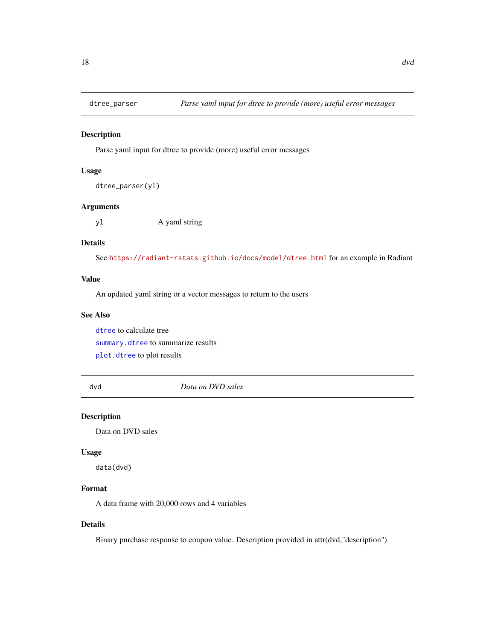<span id="page-17-0"></span>

Parse yaml input for dtree to provide (more) useful error messages

#### Usage

```
dtree_parser(yl)
```
#### Arguments

yl A yaml string

# Details

See <https://radiant-rstats.github.io/docs/model/dtree.html> for an example in Radiant

#### Value

An updated yaml string or a vector messages to return to the users

#### See Also

[dtree](#page-16-1) to calculate tree [summary.dtree](#page-91-1) to summarize results [plot.dtree](#page-35-1) to plot results

dvd *Data on DVD sales*

#### Description

Data on DVD sales

#### Usage

data(dvd)

# Format

A data frame with 20,000 rows and 4 variables

#### Details

Binary purchase response to coupon value. Description provided in attr(dvd,"description")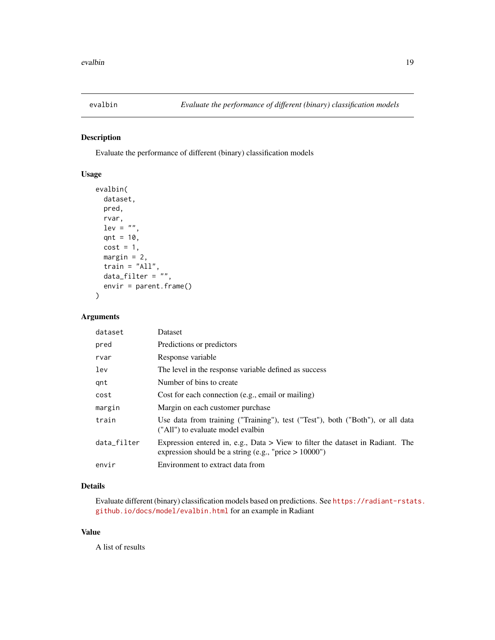<span id="page-18-1"></span><span id="page-18-0"></span>

Evaluate the performance of different (binary) classification models

# Usage

```
evalbin(
  dataset,
 pred,
  rvar,
  lev = "".qnt = 10,
  cost = 1,
 margin = 2,
  train = "All",data_filter = "",
  envir = parent.frame()
)
```
#### Arguments

| dataset     | Dataset                                                                                                                                      |
|-------------|----------------------------------------------------------------------------------------------------------------------------------------------|
| pred        | Predictions or predictors                                                                                                                    |
| rvar        | Response variable                                                                                                                            |
| lev         | The level in the response variable defined as success                                                                                        |
| gnt         | Number of bins to create                                                                                                                     |
| cost        | Cost for each connection (e.g., email or mailing)                                                                                            |
| margin      | Margin on each customer purchase.                                                                                                            |
| train       | Use data from training ("Training"), test ("Test"), both ("Both"), or all data<br>("All") to evaluate model evalbin                          |
| data filter | Expression entered in, e.g., Data $>$ View to filter the dataset in Radiant. The<br>expression should be a string (e.g., "price $> 10000$ ") |
| envir       | Environment to extract data from                                                                                                             |

# Details

Evaluate different (binary) classification models based on predictions. See [https://radiant-rstat](https://radiant-rstats.github.io/docs/model/evalbin.html)s. [github.io/docs/model/evalbin.html](https://radiant-rstats.github.io/docs/model/evalbin.html) for an example in Radiant

#### Value

A list of results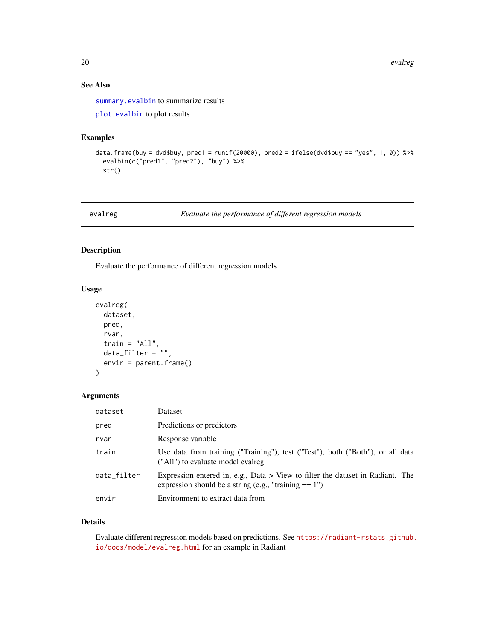# See Also

[summary.evalbin](#page-92-1) to summarize results

[plot.evalbin](#page-36-1) to plot results

# Examples

```
data.frame(buy = dvd$buy, pred1 = runif(20000), pred2 = ifelse(dvd$buy == "yes", 1, 0)) %>%
 evalbin(c("pred1", "pred2"), "buy") %>%
 str()
```
evalreg *Evaluate the performance of different regression models*

#### Description

Evaluate the performance of different regression models

# Usage

```
evalreg(
 dataset,
 pred,
  rvar,
  train = "All",data_filter = "",
  envir = parent.frame()
)
```
# Arguments

| dataset     | Dataset                                                                                                                                      |
|-------------|----------------------------------------------------------------------------------------------------------------------------------------------|
| pred        | Predictions or predictors                                                                                                                    |
| rvar        | Response variable                                                                                                                            |
| train       | Use data from training ("Training"), test ("Test"), both ("Both"), or all data<br>("All") to evaluate model evalreg                          |
| data_filter | Expression entered in, e.g., Data $>$ View to filter the dataset in Radiant. The<br>expression should be a string (e.g., "training $== 1$ ") |
| envir       | Environment to extract data from                                                                                                             |

#### Details

Evaluate different regression models based on predictions. See [https://radiant-rstats.github.](https://radiant-rstats.github.io/docs/model/evalreg.html) [io/docs/model/evalreg.html](https://radiant-rstats.github.io/docs/model/evalreg.html) for an example in Radiant

<span id="page-19-0"></span>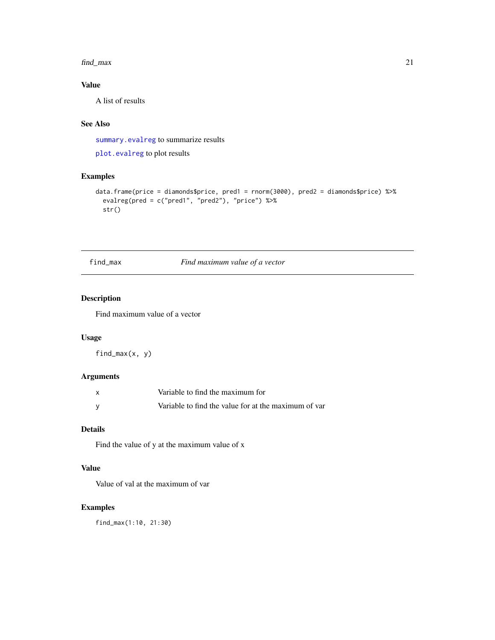#### <span id="page-20-0"></span>find\_max 21

# Value

A list of results

# See Also

[summary.evalreg](#page-93-1) to summarize results

[plot.evalreg](#page-37-1) to plot results

# Examples

```
data.frame(price = diamonds$price, pred1 = rnorm(3000), pred2 = diamonds$price) %>%
  evalreg(pred = c("pred1", "pred2"), "price") %>%
  str()
```
# find\_max *Find maximum value of a vector*

#### Description

Find maximum value of a vector

# Usage

find\_max(x, y)

# Arguments

| $\mathsf{x}$ | Variable to find the maximum for                     |
|--------------|------------------------------------------------------|
|              | Variable to find the value for at the maximum of var |

#### Details

Find the value of y at the maximum value of x

# Value

Value of val at the maximum of var

#### Examples

find\_max(1:10, 21:30)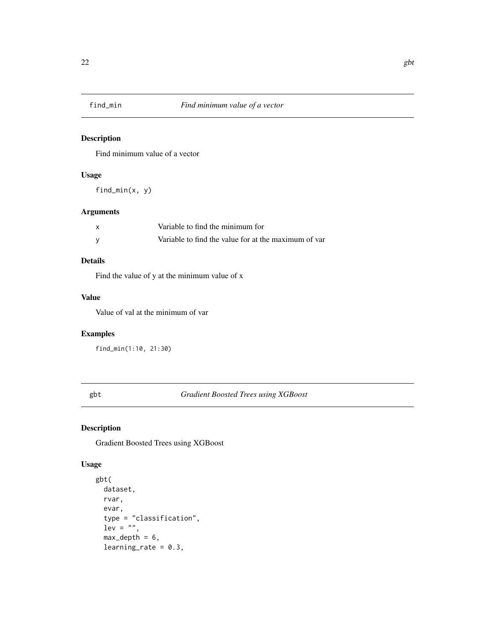<span id="page-21-0"></span>

Find minimum value of a vector

# Usage

find\_min(x, y)

# Arguments

| Variable to find the minimum for                     |
|------------------------------------------------------|
| Variable to find the value for at the maximum of var |

# Details

Find the value of y at the minimum value of x

#### Value

Value of val at the minimum of var

# Examples

find\_min(1:10, 21:30)

#### <span id="page-21-1"></span>gbt *Gradient Boosted Trees using XGBoost*

# Description

Gradient Boosted Trees using XGBoost

# Usage

```
gbt(
  dataset,
  rvar,
  evar,
  type = "classification",
  lev = "",max\_depth = 6,
  learning_rate = 0.3,
```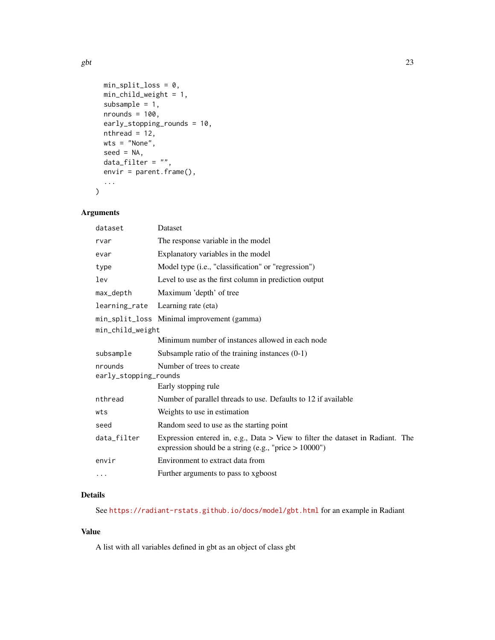```
min\_split\_loss = 0,
 min_child_weight = 1,
 subsample = 1,
 nrounds = 100,
  early_stopping_rounds = 10,
 nthread = 12,
 wts = "None",
  seed = NA,
 data_fitter = "",envir = parent.frame(),
  ...
\mathcal{L}
```
# Arguments

| Dataset                                                                                                                                      |
|----------------------------------------------------------------------------------------------------------------------------------------------|
| The response variable in the model                                                                                                           |
| Explanatory variables in the model                                                                                                           |
| Model type (i.e., "classification" or "regression")                                                                                          |
| Level to use as the first column in prediction output                                                                                        |
| Maximum 'depth' of tree                                                                                                                      |
| Learning rate (eta)                                                                                                                          |
| min_split_loss Minimal improvement (gamma)                                                                                                   |
| min_child_weight                                                                                                                             |
| Minimum number of instances allowed in each node                                                                                             |
| Subsample ratio of the training instances $(0-1)$                                                                                            |
| Number of trees to create                                                                                                                    |
| early_stopping_rounds                                                                                                                        |
| Early stopping rule                                                                                                                          |
| Number of parallel threads to use. Defaults to 12 if available                                                                               |
| Weights to use in estimation                                                                                                                 |
| Random seed to use as the starting point                                                                                                     |
| Expression entered in, e.g., Data $>$ View to filter the dataset in Radiant. The<br>expression should be a string (e.g., "price $> 10000$ ") |
| Environment to extract data from                                                                                                             |
| Further arguments to pass to xgboost                                                                                                         |
|                                                                                                                                              |

# Details

See <https://radiant-rstats.github.io/docs/model/gbt.html> for an example in Radiant

#### Value

A list with all variables defined in gbt as an object of class gbt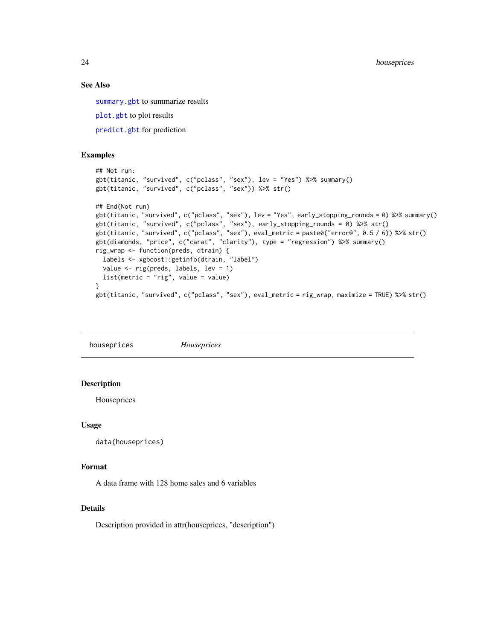<span id="page-23-0"></span>24 houseprices

#### See Also

[summary.gbt](#page-93-2) to summarize results

[plot.gbt](#page-38-1) to plot results

[predict.gbt](#page-53-1) for prediction

#### Examples

```
## Not run:
gbt(titanic, "survived", c("pclass", "sex"), lev = "Yes") %>% summary()
gbt(titanic, "survived", c("pclass", "sex")) %>% str()
## End(Not run)
gbt(titanic, "survived", c("pclass", "sex"), lev = "Yes", early_stopping_rounds = 0) %>% summary()
gbt(titanic, "survived", c("pclass", "sex"), early_stopping_rounds = 0) %>% str()
gbt(titanic, "survived", c("pclass", "sex"), eval_metric = paste0("error@", 0.5 / 6)) %>% str()
gbt(diamonds, "price", c("carat", "clarity"), type = "regression") %>% summary()
rig_wrap <- function(preds, dtrain) {
  labels <- xgboost::getinfo(dtrain, "label")
  value <- rig(preds, labels, lev = 1)
  list(metric = "rig", value = value)
}
gbt(titanic, "survived", c("pclass", "sex"), eval_metric = rig_wrap, maximize = TRUE) %>% str()
```
houseprices *Houseprices*

#### **Description**

Houseprices

#### Usage

```
data(houseprices)
```
#### Format

A data frame with 128 home sales and 6 variables

#### Details

Description provided in attr(houseprices, "description")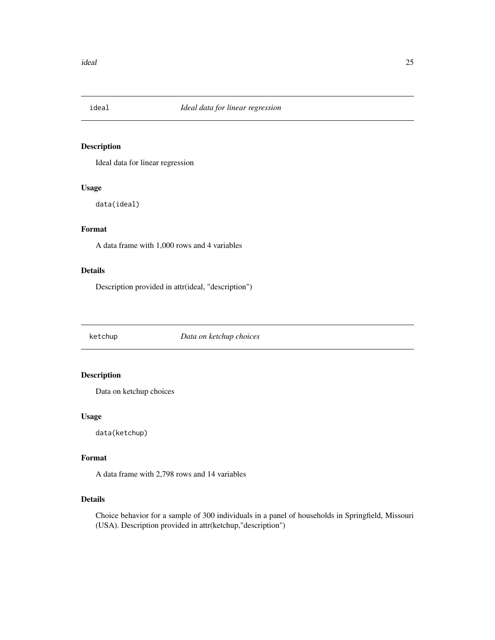<span id="page-24-0"></span>

Ideal data for linear regression

#### Usage

data(ideal)

#### Format

A data frame with 1,000 rows and 4 variables

#### Details

Description provided in attr(ideal, "description")

ketchup *Data on ketchup choices*

# Description

Data on ketchup choices

# Usage

data(ketchup)

# Format

A data frame with 2,798 rows and 14 variables

#### Details

Choice behavior for a sample of 300 individuals in a panel of households in Springfield, Missouri (USA). Description provided in attr(ketchup,"description")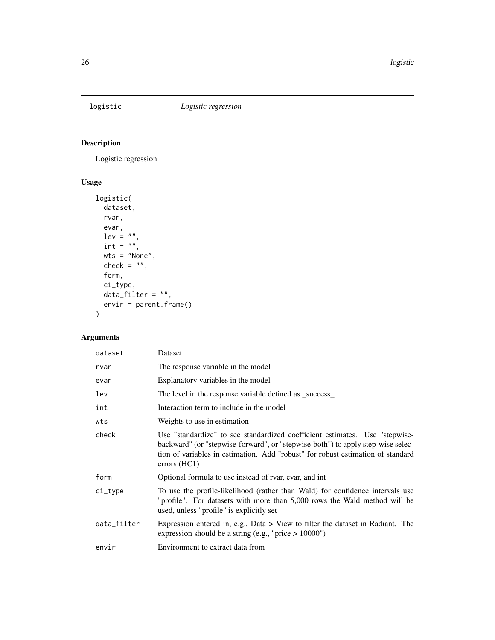<span id="page-25-0"></span>

Logistic regression

# Usage

```
logistic(
  dataset,
  rvar,
  evar,
  lev = "",int = \binom{nn}{n},
  wts = "None",
  check = ",
  form,
  ci_type,
  data_fitter = "",envir = parent.frame()
\mathcal{L}
```
# Arguments

| dataset     | Dataset                                                                                                                                                                                                                                                                    |
|-------------|----------------------------------------------------------------------------------------------------------------------------------------------------------------------------------------------------------------------------------------------------------------------------|
| rvar        | The response variable in the model                                                                                                                                                                                                                                         |
| evar        | Explanatory variables in the model                                                                                                                                                                                                                                         |
| lev         | The level in the response variable defined as _success_                                                                                                                                                                                                                    |
| int         | Interaction term to include in the model                                                                                                                                                                                                                                   |
| wts         | Weights to use in estimation                                                                                                                                                                                                                                               |
| check       | Use "standardize" to see standardized coefficient estimates. Use "stepwise-<br>backward" (or "stepwise-forward", or "stepwise-both") to apply step-wise selec-<br>tion of variables in estimation. Add "robust" for robust estimation of standard<br>$\text{errors (HC1)}$ |
| form        | Optional formula to use instead of rvar, evar, and int                                                                                                                                                                                                                     |
| $ci_type$   | To use the profile-likelihood (rather than Wald) for confidence intervals use<br>"profile". For datasets with more than 5,000 rows the Wald method will be<br>used, unless "profile" is explicitly set                                                                     |
| data_filter | Expression entered in, e.g., Data $>$ View to filter the dataset in Radiant. The<br>expression should be a string (e.g., "price $> 10000$ ")                                                                                                                               |
| envir       | Environment to extract data from                                                                                                                                                                                                                                           |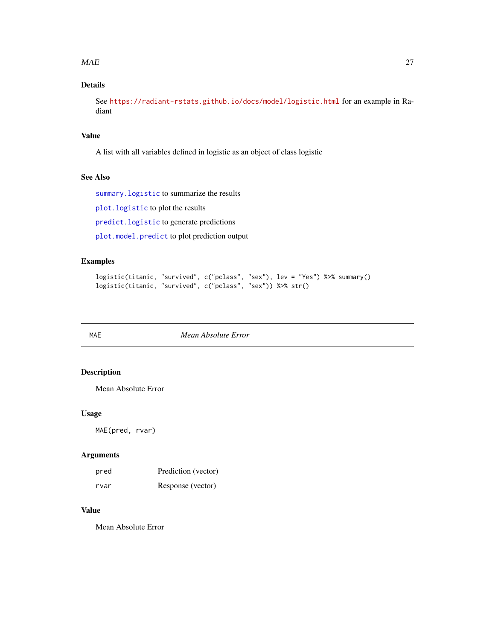#### <span id="page-26-0"></span> $MAE$  27

# Details

See <https://radiant-rstats.github.io/docs/model/logistic.html> for an example in Radiant

#### Value

A list with all variables defined in logistic as an object of class logistic

#### See Also

[summary.logistic](#page-94-1) to summarize the results

[plot.logistic](#page-39-1) to plot the results

[predict.logistic](#page-54-1) to generate predictions

[plot.model.predict](#page-42-1) to plot prediction output

# Examples

```
logistic(titanic, "survived", c("pclass", "sex"), lev = "Yes") %>% summary()
logistic(titanic, "survived", c("pclass", "sex")) %>% str()
```
<span id="page-26-1"></span>

MAE *Mean Absolute Error*

#### Description

Mean Absolute Error

# Usage

MAE(pred, rvar)

# Arguments

| pred | Prediction (vector) |
|------|---------------------|
| rvar | Response (vector)   |

#### Value

Mean Absolute Error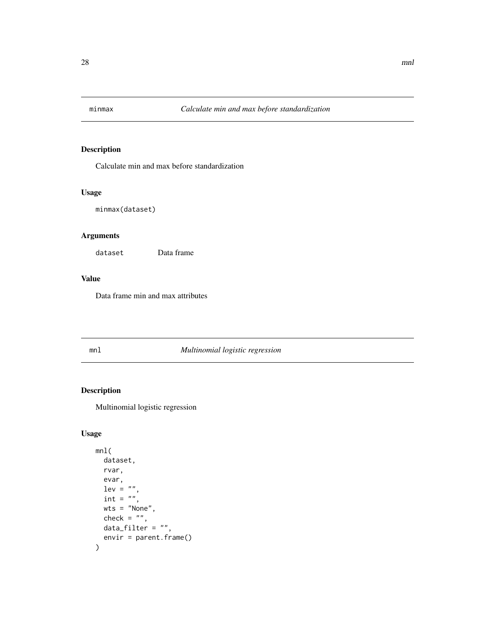<span id="page-27-0"></span>

Calculate min and max before standardization

# Usage

```
minmax(dataset)
```
# Arguments

dataset Data frame

#### Value

Data frame min and max attributes

# mnl *Multinomial logistic regression*

# Description

Multinomial logistic regression

# Usage

```
mnl(
  dataset,
  rvar,
  evar,
  lev = "int = ",
  wts = "None",
  check = ",
  data_filter = ",
  envir = parent.frame()
\mathcal{E}
```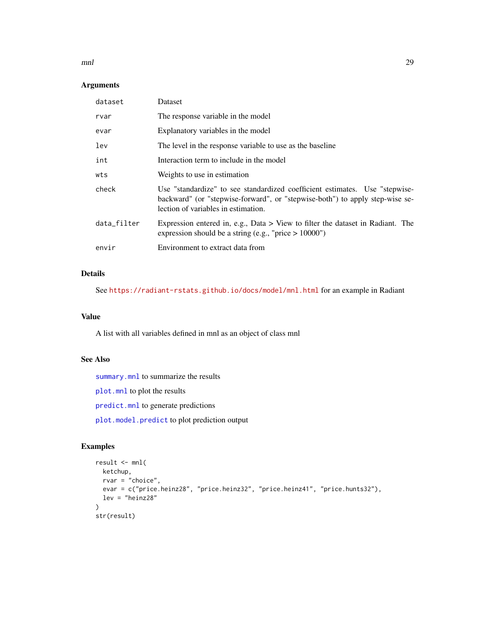#### $mnl$  29

#### Arguments

| Dataset                                                                                                                                                                                            |
|----------------------------------------------------------------------------------------------------------------------------------------------------------------------------------------------------|
| The response variable in the model                                                                                                                                                                 |
| Explanatory variables in the model                                                                                                                                                                 |
| The level in the response variable to use as the baseline                                                                                                                                          |
| Interaction term to include in the model                                                                                                                                                           |
| Weights to use in estimation                                                                                                                                                                       |
| Use "standardize" to see standardized coefficient estimates. Use "stepwise-<br>backward" (or "stepwise-forward", or "stepwise-both") to apply step-wise se-<br>lection of variables in estimation. |
| Expression entered in, e.g., Data $>$ View to filter the dataset in Radiant. The<br>expression should be a string (e.g., "price $> 10000$ ")                                                       |
| Environment to extract data from                                                                                                                                                                   |
|                                                                                                                                                                                                    |

# Details

See <https://radiant-rstats.github.io/docs/model/mnl.html> for an example in Radiant

# Value

A list with all variables defined in mnl as an object of class mnl

# See Also

[summary.mnl](#page-95-1) to summarize the results

[plot.mnl](#page-40-1) to plot the results

[predict.mnl](#page-55-1) to generate predictions

[plot.model.predict](#page-42-1) to plot prediction output

# Examples

```
result <- mnl(
 ketchup,
 rvar = "choice",
  evar = c("price.heinz28", "price.heinz32", "price.heinz41", "price.hunts32"),
 lev = "heinz28"
\mathcal{L}str(result)
```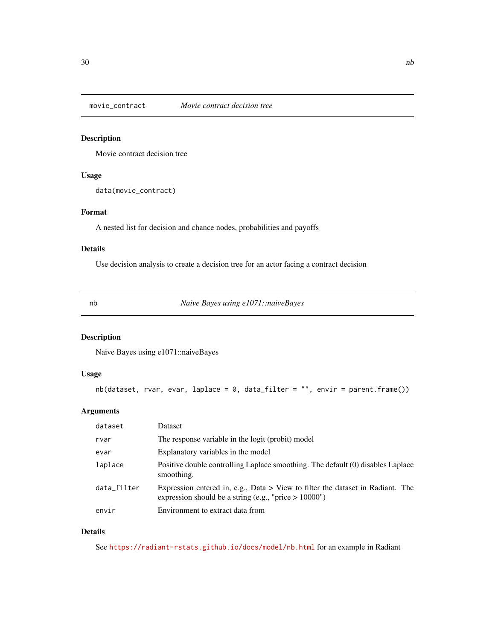<span id="page-29-0"></span>

Movie contract decision tree

# Usage

data(movie\_contract)

# Format

A nested list for decision and chance nodes, probabilities and payoffs

# Details

Use decision analysis to create a decision tree for an actor facing a contract decision

nb *Naive Bayes using e1071::naiveBayes*

# Description

Naive Bayes using e1071::naiveBayes

# Usage

```
nb(dataset, rvar, evar, laplace = 0, data_filter = "", envir = parent.frame())
```
#### Arguments

| dataset     | Dataset                                                                                                                                      |
|-------------|----------------------------------------------------------------------------------------------------------------------------------------------|
| rvar        | The response variable in the logit (probit) model                                                                                            |
| evar        | Explanatory variables in the model                                                                                                           |
| laplace     | Positive double controlling Laplace smoothing. The default (0) disables Laplace<br>smoothing.                                                |
| data filter | Expression entered in, e.g., Data $>$ View to filter the dataset in Radiant. The<br>expression should be a string (e.g., "price $> 10000$ ") |
| envir       | Environment to extract data from                                                                                                             |

# Details

See <https://radiant-rstats.github.io/docs/model/nb.html> for an example in Radiant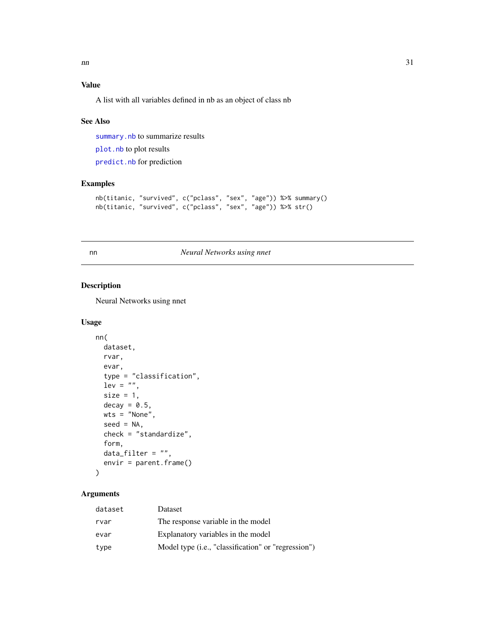# <span id="page-30-0"></span>Value

A list with all variables defined in nb as an object of class nb

#### See Also

[summary.nb](#page-96-1) to summarize results

[plot.nb](#page-43-1) to plot results

[predict.nb](#page-56-1) for prediction

# Examples

```
nb(titanic, "survived", c("pclass", "sex", "age")) %>% summary()
nb(titanic, "survived", c("pclass", "sex", "age")) %>% str()
```
<span id="page-30-1"></span>

nn *Neural Networks using nnet*

#### Description

Neural Networks using nnet

#### Usage

```
nn(
  dataset,
  rvar,
  evar,
  type = "classification",
  lev = "",size = 1,decay = 0.5,
  wts = "None",
  seed = NA,
  check = "standardize",
  form,
  data_fitter = "",envir = parent.frame()
\mathcal{L}
```
# Arguments

| dataset | Dataset                                             |
|---------|-----------------------------------------------------|
| rvar    | The response variable in the model                  |
| evar    | Explanatory variables in the model                  |
| type    | Model type (i.e., "classification" or "regression") |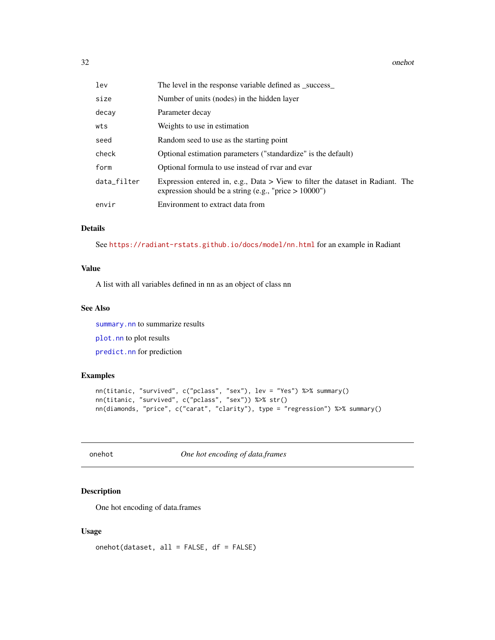<span id="page-31-0"></span>32 onehot

| lev         | The level in the response variable defined as _success_                                                                                      |
|-------------|----------------------------------------------------------------------------------------------------------------------------------------------|
| size        | Number of units (nodes) in the hidden layer                                                                                                  |
| decay       | Parameter decay                                                                                                                              |
| wts         | Weights to use in estimation                                                                                                                 |
| seed        | Random seed to use as the starting point                                                                                                     |
| check       | Optional estimation parameters ("standardize" is the default)                                                                                |
| form        | Optional formula to use instead of rvar and evar                                                                                             |
| data_filter | Expression entered in, e.g., Data $>$ View to filter the dataset in Radiant. The<br>expression should be a string (e.g., "price $> 10000$ ") |
| envir       | Environment to extract data from                                                                                                             |

# Details

See <https://radiant-rstats.github.io/docs/model/nn.html> for an example in Radiant

#### Value

A list with all variables defined in nn as an object of class nn

#### See Also

[summary.nn](#page-97-1) to summarize results [plot.nn](#page-45-1) to plot results [predict.nn](#page-58-1) for prediction

# Examples

```
nn(titanic, "survived", c("pclass", "sex"), lev = "Yes") %>% summary()
nn(titanic, "survived", c("pclass", "sex")) %>% str()
nn(diamonds, "price", c("carat", "clarity"), type = "regression") %>% summary()
```
onehot *One hot encoding of data.frames*

#### Description

One hot encoding of data.frames

#### Usage

onehot(dataset, all = FALSE, df = FALSE)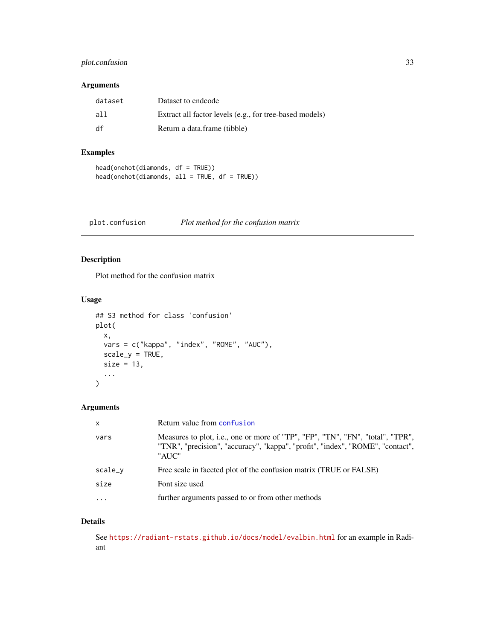# <span id="page-32-0"></span>plot.confusion 33

# Arguments

| dataset | Dataset to endcode                                      |
|---------|---------------------------------------------------------|
| all     | Extract all factor levels (e.g., for tree-based models) |
| df      | Return a data.frame (tibble)                            |

# Examples

```
head(onehot(diamonds, df = TRUE))
head(onehot(diamonds, all = TRUE, df = TRUE))
```
<span id="page-32-1"></span>plot.confusion *Plot method for the confusion matrix*

# Description

Plot method for the confusion matrix

#### Usage

```
## S3 method for class 'confusion'
plot(
 x,
 vars = c("kappa", "index", "ROME", "AUC"),
 scale_y = TRUE,size = 13,...
)
```
# Arguments

| $\mathsf{x}$ | Return value from confusion                                                                                                                                               |
|--------------|---------------------------------------------------------------------------------------------------------------------------------------------------------------------------|
| vars         | Measures to plot, i.e., one or more of "TP", "FP", "TN", "FN", "total", "TPR",<br>"TNR", "precision", "accuracy", "kappa", "profit", "index", "ROME", "contact",<br>"AUC" |
| scale_v      | Free scale in faceted plot of the confusion matrix (TRUE or FALSE)                                                                                                        |
| size         | Font size used                                                                                                                                                            |
| $\ddotsc$    | further arguments passed to or from other methods                                                                                                                         |
|              |                                                                                                                                                                           |

# Details

See <https://radiant-rstats.github.io/docs/model/evalbin.html> for an example in Radiant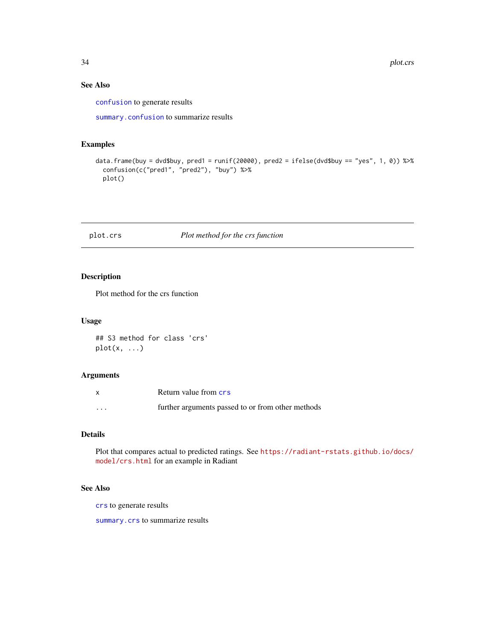# See Also

[confusion](#page-5-1) to generate results

[summary.confusion](#page-88-1) to summarize results

#### Examples

```
data.frame(buy = dvd$buy, pred1 = runif(20000), pred2 = ifelse(dvd$buy == "yes", 1, 0)) %>%
  confusion(c("pred1", "pred2"), "buy") %>%
  plot()
```
# <span id="page-33-1"></span>plot.crs *Plot method for the crs function*

# Description

Plot method for the crs function

#### Usage

## S3 method for class 'crs'  $plot(x, \ldots)$ 

#### Arguments

| X        | Return value from crs                             |
|----------|---------------------------------------------------|
| $\cdots$ | further arguments passed to or from other methods |

# Details

Plot that compares actual to predicted ratings. See [https://radiant-rstats.github.io/docs/](https://radiant-rstats.github.io/docs/model/crs.html) [model/crs.html](https://radiant-rstats.github.io/docs/model/crs.html) for an example in Radiant

#### See Also

[crs](#page-6-1) to generate results

[summary.crs](#page-89-1) to summarize results

<span id="page-33-0"></span>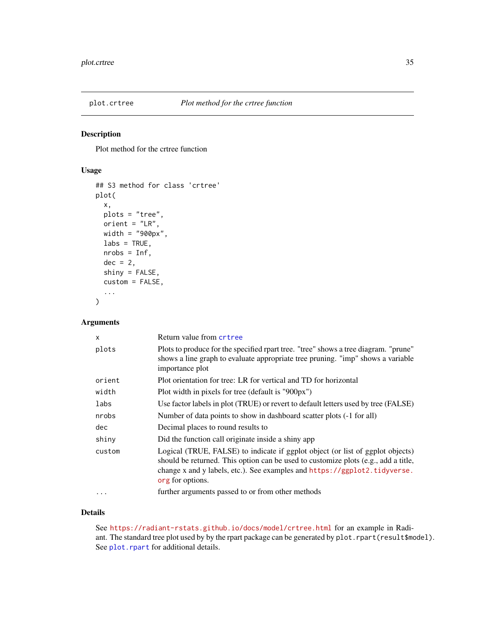<span id="page-34-1"></span><span id="page-34-0"></span>

Plot method for the crtree function

#### Usage

```
## S3 method for class 'crtree'
plot(
  x,
  plots = "tree",
  orient = "LR",width = "900px",
  \text{labels} = \text{TRUE},
  nrobs = Inf,
  dec = 2,
  shiny = FALSE,
  custom = FALSE,
  ...
\mathcal{L}
```
# Arguments

| $\mathsf{x}$ | Return value from crtree                                                                                                                                                                                                                                              |
|--------------|-----------------------------------------------------------------------------------------------------------------------------------------------------------------------------------------------------------------------------------------------------------------------|
| plots        | Plots to produce for the specified rpart tree. "tree" shows a tree diagram. "prune"<br>shows a line graph to evaluate appropriate tree pruning. "imp" shows a variable<br>importance plot                                                                             |
| orient       | Plot orientation for tree: LR for vertical and TD for horizontal                                                                                                                                                                                                      |
| width        | Plot width in pixels for tree (default is "900px")                                                                                                                                                                                                                    |
| labs         | Use factor labels in plot (TRUE) or revert to default letters used by tree (FALSE)                                                                                                                                                                                    |
| nrobs        | Number of data points to show in dashboard scatter plots (-1 for all)                                                                                                                                                                                                 |
| dec          | Decimal places to round results to                                                                                                                                                                                                                                    |
| shiny        | Did the function call originate inside a shiny app                                                                                                                                                                                                                    |
| custom       | Logical (TRUE, FALSE) to indicate if ggplot object (or list of ggplot objects)<br>should be returned. This option can be used to customize plots (e.g., add a title,<br>change x and y labels, etc.). See examples and https://ggplot2.tidyverse.<br>org for options. |
| $\cdots$     | further arguments passed to or from other methods                                                                                                                                                                                                                     |

#### Details

See <https://radiant-rstats.github.io/docs/model/crtree.html> for an example in Radiant. The standard tree plot used by by the rpart package can be generated by plot.rpart(result\$model). See [plot.rpart](#page-0-0) for additional details.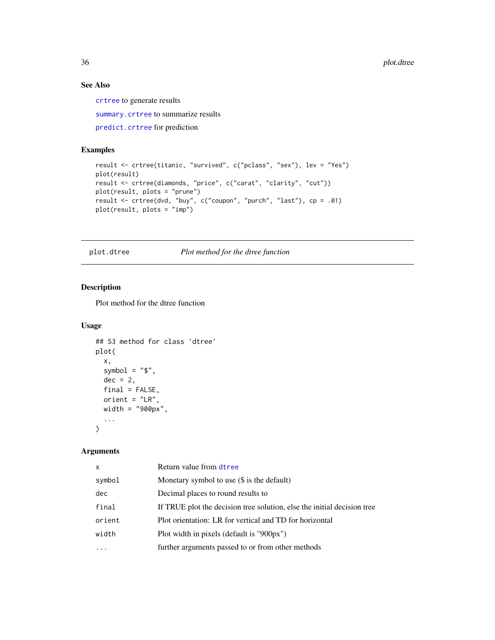# See Also

[crtree](#page-7-1) to generate results

[summary.crtree](#page-90-1) to summarize results

[predict.crtree](#page-52-1) for prediction

# Examples

```
result <- crtree(titanic, "survived", c("pclass", "sex"), lev = "Yes")
plot(result)
result <- crtree(diamonds, "price", c("carat", "clarity", "cut"))
plot(result, plots = "prune")
result <- crtree(dvd, "buy", c("coupon", "purch", "last"), cp = .01)
plot(result, plots = "imp")
```
<span id="page-35-1"></span>plot.dtree *Plot method for the dtree function*

#### Description

Plot method for the dtree function

#### Usage

```
## S3 method for class 'dtree'
plot(
  x,
  symbol = "$",
  dec = 2,
  final = FALSE,orient = "LR",width = "900px",
  ...
\mathcal{L}
```
# Arguments

| $\mathsf{x}$ | Return value from dtree                                                 |
|--------------|-------------------------------------------------------------------------|
| symbol       | Monetary symbol to use (\$ is the default)                              |
| dec          | Decimal places to round results to                                      |
| final        | If TRUE plot the decision tree solution, else the initial decision tree |
| orient       | Plot orientation: LR for vertical and TD for horizontal                 |
| width        | Plot width in pixels (default is "900px")                               |
|              | further arguments passed to or from other methods                       |

<span id="page-35-0"></span>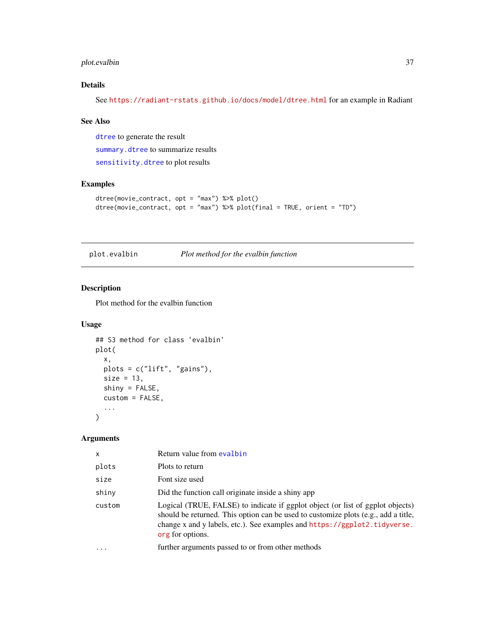## plot.evalbin 37

## Details

See <https://radiant-rstats.github.io/docs/model/dtree.html> for an example in Radiant

#### See Also

[dtree](#page-16-0) to generate the result [summary.dtree](#page-91-0) to summarize results [sensitivity.dtree](#page-78-0) to plot results

## Examples

```
dtree(movie_contract, opt = "max") %>% plot()
dtree(movie_contract, opt = "max") %>% plot(final = TRUE, orient = "TD")
```
plot.evalbin *Plot method for the evalbin function*

## Description

Plot method for the evalbin function

## Usage

```
## S3 method for class 'evalbin'
plot(
  x,
 plots = c("lift", "gains"),
 size = 13,
  shiny = FALSE,
  custom = FALSE,
  ...
)
```

| $\mathsf{x}$ | Return value from evalbin                                                                                                                                                                                                                                             |
|--------------|-----------------------------------------------------------------------------------------------------------------------------------------------------------------------------------------------------------------------------------------------------------------------|
| plots        | Plots to return                                                                                                                                                                                                                                                       |
| size         | Font size used                                                                                                                                                                                                                                                        |
| shiny        | Did the function call originate inside a shiny app                                                                                                                                                                                                                    |
| custom       | Logical (TRUE, FALSE) to indicate if ggplot object (or list of ggplot objects)<br>should be returned. This option can be used to customize plots (e.g., add a title,<br>change x and y labels, etc.). See examples and https://ggplot2.tidyverse.<br>org for options. |
|              | further arguments passed to or from other methods                                                                                                                                                                                                                     |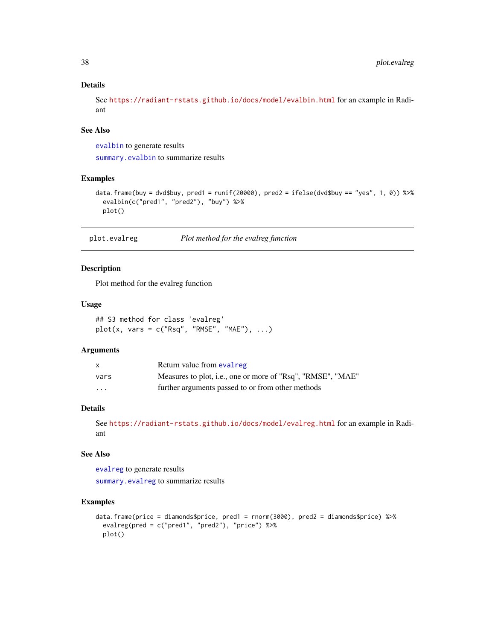### Details

See <https://radiant-rstats.github.io/docs/model/evalbin.html> for an example in Radiant

## See Also

[evalbin](#page-18-0) to generate results

[summary.evalbin](#page-92-0) to summarize results

## Examples

```
data.frame(buy = dvd$buy, pred1 = runif(20000), pred2 = ifelse(dvd$buy == "yes", 1, 0)) %>%
  evalbin(c("pred1", "pred2"), "buy") %>%
  plot()
```
plot.evalreg *Plot method for the evalreg function*

## Description

Plot method for the evalreg function

#### Usage

## S3 method for class 'evalreg'  $plot(x, vars = c("Rsq", "RMSE", "MAE"), ...)$ 

#### Arguments

|                         | Return value from evalreg                                   |
|-------------------------|-------------------------------------------------------------|
| vars                    | Measures to plot, i.e., one or more of "Rsq", "RMSE", "MAE" |
| $\cdot$ $\cdot$ $\cdot$ | further arguments passed to or from other methods           |

## Details

```
See https://radiant-rstats.github.io/docs/model/evalreg.html for an example in Radi-
ant
```
## See Also

[evalreg](#page-19-0) to generate results

[summary.evalreg](#page-93-0) to summarize results

```
data.frame(price = diamonds$price, pred1 = rnorm(3000), pred2 = diamonds$price) %>%
 evalreg(pred = c("pred1", "pred2"), "price") %>%
 plot()
```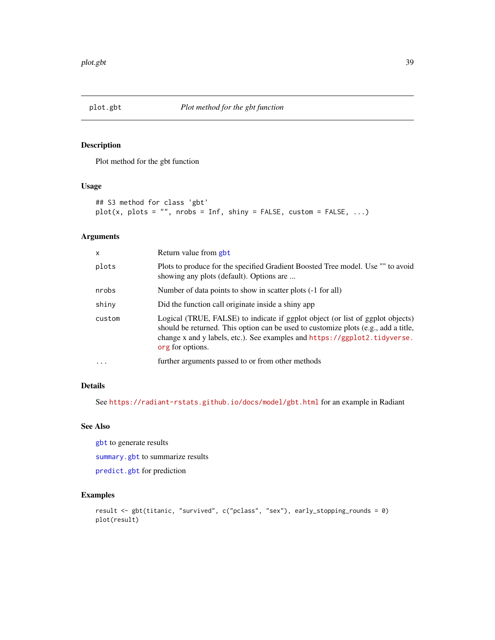Plot method for the gbt function

## Usage

```
## S3 method for class 'gbt'
plot(x, plots = "", nrobs = Inf, ship = FALSE, custom = FALSE, ...)
```
### Arguments

| x      | Return value from gbt                                                                                                                                                                                                                                                 |
|--------|-----------------------------------------------------------------------------------------------------------------------------------------------------------------------------------------------------------------------------------------------------------------------|
| plots  | Plots to produce for the specified Gradient Boosted Tree model. Use "" to avoid<br>showing any plots (default). Options are                                                                                                                                           |
| nrobs  | Number of data points to show in scatter plots (-1 for all)                                                                                                                                                                                                           |
| shiny  | Did the function call originate inside a shiny app                                                                                                                                                                                                                    |
| custom | Logical (TRUE, FALSE) to indicate if ggplot object (or list of ggplot objects)<br>should be returned. This option can be used to customize plots (e.g., add a title,<br>change x and y labels, etc.). See examples and https://ggplot2.tidyverse.<br>org for options. |
| .      | further arguments passed to or from other methods                                                                                                                                                                                                                     |

### Details

See <https://radiant-rstats.github.io/docs/model/gbt.html> for an example in Radiant

#### See Also

[gbt](#page-21-0) to generate results

[summary.gbt](#page-93-1) to summarize results

[predict.gbt](#page-53-0) for prediction

```
result <- gbt(titanic, "survived", c("pclass", "sex"), early_stopping_rounds = 0)
plot(result)
```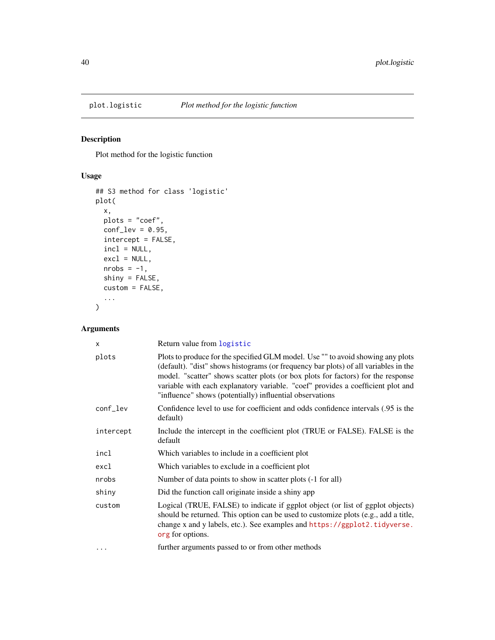<span id="page-39-0"></span>

Plot method for the logistic function

## Usage

```
## S3 method for class 'logistic'
plot(
  x,
  plots = "coef",
  conf\_lev = 0.95,
  intercept = FALSE,
  incl = NULL,
  excl = NULL,nrobs = -1,
  shiny = FALSE,
  custom = FALSE,
  ...
)
```

| $\times$  | Return value from logistic                                                                                                                                                                                                                                                                                                                                                                                |
|-----------|-----------------------------------------------------------------------------------------------------------------------------------------------------------------------------------------------------------------------------------------------------------------------------------------------------------------------------------------------------------------------------------------------------------|
| plots     | Plots to produce for the specified GLM model. Use "" to avoid showing any plots<br>(default). "dist" shows histograms (or frequency bar plots) of all variables in the<br>model. "scatter" shows scatter plots (or box plots for factors) for the response<br>variable with each explanatory variable. "coef" provides a coefficient plot and<br>"influence" shows (potentially) influential observations |
| conf_lev  | Confidence level to use for coefficient and odds confidence intervals (.95 is the<br>default)                                                                                                                                                                                                                                                                                                             |
| intercept | Include the intercept in the coefficient plot (TRUE or FALSE). FALSE is the<br>default                                                                                                                                                                                                                                                                                                                    |
| incl      | Which variables to include in a coefficient plot                                                                                                                                                                                                                                                                                                                                                          |
| excl      | Which variables to exclude in a coefficient plot                                                                                                                                                                                                                                                                                                                                                          |
| nrobs     | Number of data points to show in scatter plots (-1 for all)                                                                                                                                                                                                                                                                                                                                               |
| shiny     | Did the function call originate inside a shiny app                                                                                                                                                                                                                                                                                                                                                        |
| custom    | Logical (TRUE, FALSE) to indicate if ggplot object (or list of ggplot objects)<br>should be returned. This option can be used to customize plots (e.g., add a title,<br>change x and y labels, etc.). See examples and https://ggplot2.tidyverse.<br>org for options.                                                                                                                                     |
| .         | further arguments passed to or from other methods                                                                                                                                                                                                                                                                                                                                                         |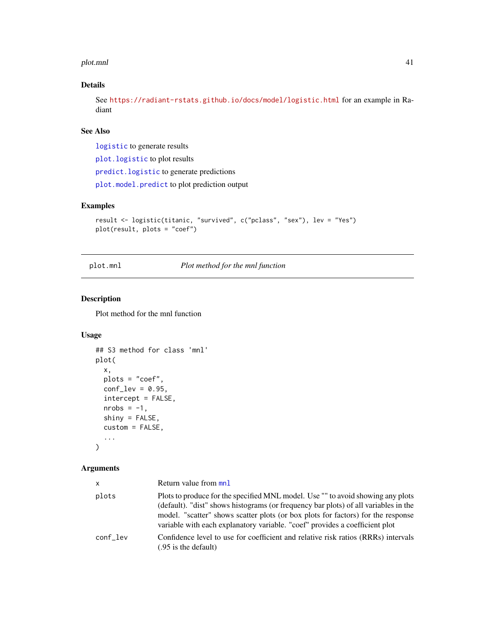#### plot.mnl 41

## Details

See <https://radiant-rstats.github.io/docs/model/logistic.html> for an example in Radiant

## See Also

[logistic](#page-25-0) to generate results

[plot.logistic](#page-39-0) to plot results

[predict.logistic](#page-54-0) to generate predictions

[plot.model.predict](#page-42-0) to plot prediction output

## Examples

```
result <- logistic(titanic, "survived", c("pclass", "sex"), lev = "Yes")
plot(result, plots = "coef")
```
plot.mnl *Plot method for the mnl function*

## Description

Plot method for the mnl function

## Usage

```
## S3 method for class 'mnl'
plot(
  x,
  plots = "coef",
  conf\_lev = 0.95,
  intercept = FALSE,
  nrobs = -1,
  shiny = FALSE,
  custom = FALSE,
  ...
\mathcal{L}
```

| <b>X</b> | Return value from mnl                                                                                                                                                                                                                                                                                                                     |
|----------|-------------------------------------------------------------------------------------------------------------------------------------------------------------------------------------------------------------------------------------------------------------------------------------------------------------------------------------------|
| plots    | Plots to produce for the specified MNL model. Use "" to avoid showing any plots<br>(default). "dist" shows histograms (or frequency bar plots) of all variables in the<br>model. "scatter" shows scatter plots (or box plots for factors) for the response<br>variable with each explanatory variable. "coef" provides a coefficient plot |
| conf lev | Confidence level to use for coefficient and relative risk ratios (RRRs) intervals<br>(.95 is the default)                                                                                                                                                                                                                                 |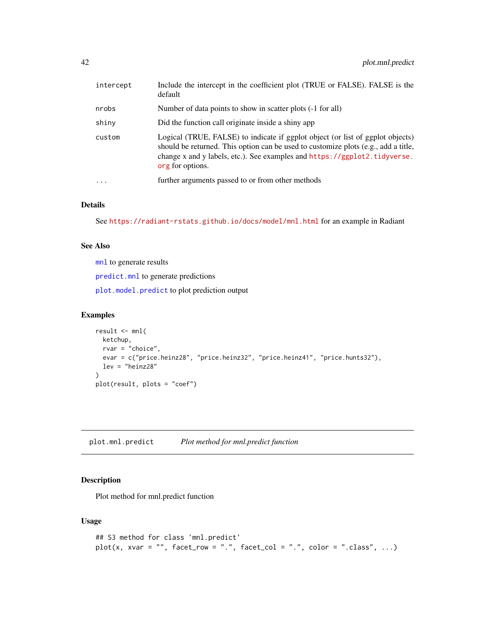| intercept               | Include the intercept in the coefficient plot (TRUE or FALSE). FALSE is the<br>default                                                                                                                                                                                |
|-------------------------|-----------------------------------------------------------------------------------------------------------------------------------------------------------------------------------------------------------------------------------------------------------------------|
| nrobs                   | Number of data points to show in scatter plots (-1 for all)                                                                                                                                                                                                           |
| shiny                   | Did the function call originate inside a shiny app                                                                                                                                                                                                                    |
| custom                  | Logical (TRUE, FALSE) to indicate if ggplot object (or list of ggplot objects)<br>should be returned. This option can be used to customize plots (e.g., add a title,<br>change x and y labels, etc.). See examples and https://ggplot2.tidyverse.<br>org for options. |
| $\cdot$ $\cdot$ $\cdot$ | further arguments passed to or from other methods                                                                                                                                                                                                                     |
|                         |                                                                                                                                                                                                                                                                       |

#### Details

```
See https://radiant-rstats.github.io/docs/model/mnl.html for an example in Radiant
```
### See Also

[mnl](#page-27-0) to generate results

[predict.mnl](#page-55-0) to generate predictions

[plot.model.predict](#page-42-0) to plot prediction output

#### Examples

```
result <- mnl(
  ketchup,
  rvar = "choice",
  evar = c("price.heinz28", "price.heinz32", "price.heinz41", "price.hunts32"),
  lev = "heinz28"
)
plot(result, plots = "coef")
```
plot.mnl.predict *Plot method for mnl.predict function*

## Description

Plot method for mnl.predict function

### Usage

```
## S3 method for class 'mnl.predict'
plot(x, xvar = "", facet_row = ".", facet_col = ".", color = ".class", ...)
```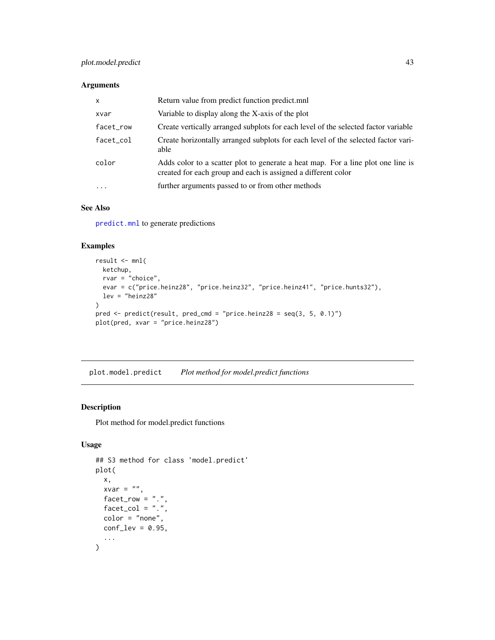#### Arguments

| $\mathsf{x}$ | Return value from predict function predict.mnl                                                                                                    |
|--------------|---------------------------------------------------------------------------------------------------------------------------------------------------|
| xvar         | Variable to display along the X-axis of the plot                                                                                                  |
| facet_row    | Create vertically arranged subplots for each level of the selected factor variable                                                                |
| facet_col    | Create horizontally arranged subplots for each level of the selected factor vari-<br>able                                                         |
| color        | Adds color to a scatter plot to generate a heat map. For a line plot one line is<br>created for each group and each is assigned a different color |
| $\cdot$      | further arguments passed to or from other methods                                                                                                 |

## See Also

[predict.mnl](#page-55-0) to generate predictions

### Examples

```
result <- mnl(
  ketchup,
  rvar = "choice",
  evar = c("price.heinz28", "price.heinz32", "price.heinz41", "price.hunts32"),
 lev = "heinz28"
\lambdapred <- predict(result, pred_cmd = "price.heinz28 = seq(3, 5, 0.1)")
plot(pred, xvar = "price.heinz28")
```
<span id="page-42-0"></span>plot.model.predict *Plot method for model.predict functions*

#### Description

Plot method for model.predict functions

## Usage

```
## S3 method for class 'model.predict'
plot(
 x,
 xvar = ",
 frac:
 factor\_col = "."color = "none",
 conf\_lev = 0.95,
  ...
\mathcal{E}
```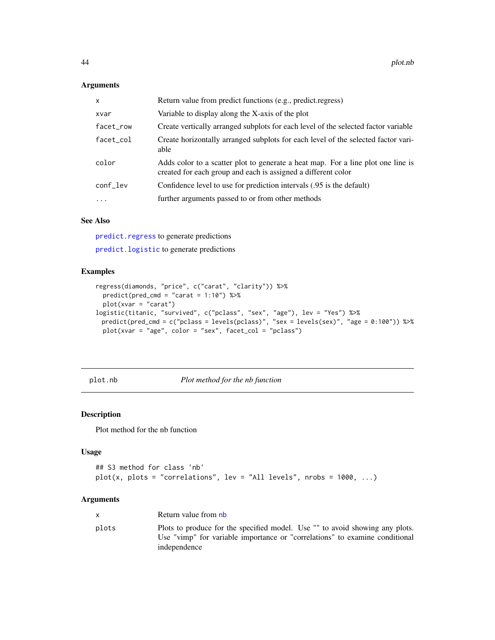### Arguments

| $\mathsf{x}$ | Return value from predict functions (e.g., predict.regress)                                                                                       |
|--------------|---------------------------------------------------------------------------------------------------------------------------------------------------|
| xvar         | Variable to display along the X-axis of the plot                                                                                                  |
| facet_row    | Create vertically arranged subplots for each level of the selected factor variable                                                                |
| facet_col    | Create horizontally arranged subplots for each level of the selected factor vari-<br>able                                                         |
| color        | Adds color to a scatter plot to generate a heat map. For a line plot one line is<br>created for each group and each is assigned a different color |
| conf_lev     | Confidence level to use for prediction intervals (.95 is the default)                                                                             |
| $\ddotsc$    | further arguments passed to or from other methods                                                                                                 |

## See Also

[predict.regress](#page-59-0) to generate predictions

[predict.logistic](#page-54-0) to generate predictions

## Examples

```
regress(diamonds, "price", c("carat", "clarity")) %>%
  predict(pred_cmd = "carat = 1:10") %>%
  plot(xvar = "carat")
logistic(titanic, "survived", c("pclass", "sex", "age"), lev = "Yes") %>%
 predict(pred_cmd = c("pclass = levels(pclass)", "sex = levels(sex)", "age = 0:100")) %>%
  plot(xvar = "age", color = "sex", face\_col = "pclass")
```
plot.nb *Plot method for the nb function*

### Description

Plot method for the nb function

#### Usage

```
## S3 method for class 'nb'
plot(x, plots = "correlations", lev = "All levels", nrobs = 1000, ...)
```

|       | Return value from nb                                                                                                                                                        |
|-------|-----------------------------------------------------------------------------------------------------------------------------------------------------------------------------|
| plots | Plots to produce for the specified model. Use "" to avoid showing any plots.<br>Use "vimp" for variable importance or "correlations" to examine conditional<br>independence |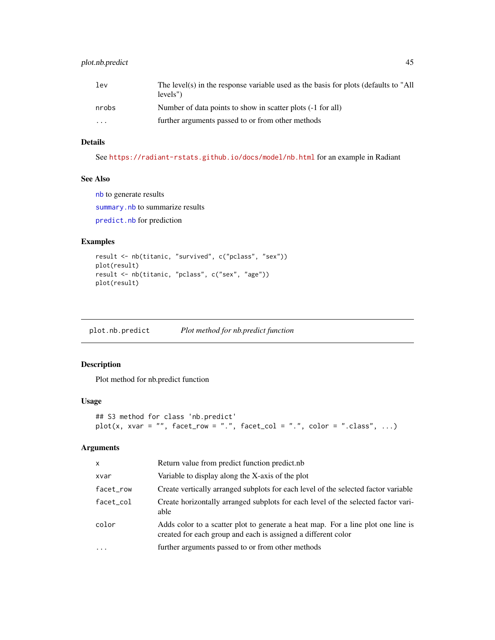## plot.nb.predict 45

| lev.                    | The level(s) in the response variable used as the basis for plots (defaults to "All<br>levels") |
|-------------------------|-------------------------------------------------------------------------------------------------|
| nrobs                   | Number of data points to show in scatter plots (-1 for all)                                     |
| $\cdot$ $\cdot$ $\cdot$ | further arguments passed to or from other methods                                               |

# Details

See <https://radiant-rstats.github.io/docs/model/nb.html> for an example in Radiant

#### See Also

[nb](#page-29-0) to generate results [summary.nb](#page-96-0) to summarize results [predict.nb](#page-56-0) for prediction

#### Examples

```
result <- nb(titanic, "survived", c("pclass", "sex"))
plot(result)
result <- nb(titanic, "pclass", c("sex", "age"))
plot(result)
```
plot.nb.predict *Plot method for nb.predict function*

## Description

Plot method for nb.predict function

#### Usage

```
## S3 method for class 'nb.predict'
plot(x, xvar = "", facet_row = ".", facet_col = ".", color = ".class", ...)
```

| X         | Return value from predict function predict.nb                                                                                                     |
|-----------|---------------------------------------------------------------------------------------------------------------------------------------------------|
| xvar      | Variable to display along the X-axis of the plot                                                                                                  |
| facet_row | Create vertically arranged subplots for each level of the selected factor variable                                                                |
| facet_col | Create horizontally arranged subplots for each level of the selected factor vari-<br>able                                                         |
| color     | Adds color to a scatter plot to generate a heat map. For a line plot one line is<br>created for each group and each is assigned a different color |
| $\cdot$   | further arguments passed to or from other methods                                                                                                 |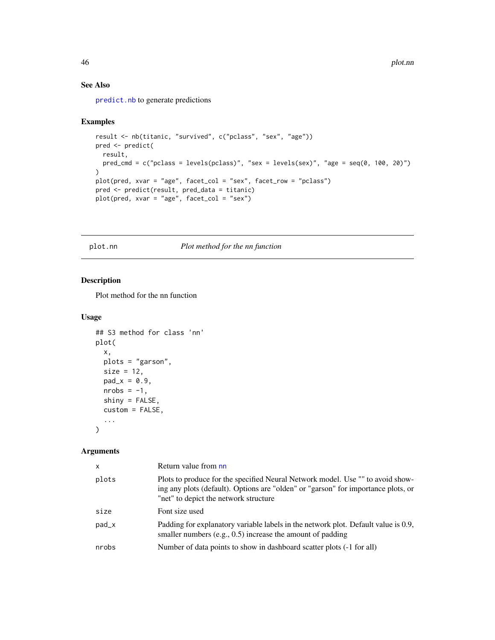## See Also

[predict.nb](#page-56-0) to generate predictions

#### Examples

```
result <- nb(titanic, "survived", c("pclass", "sex", "age"))
pred <- predict(
 result,
 pred_cmd = c("pclass = levels(pclass)", "sex = levels(sex)", "age = seq(0, 100, 20)")
)
plot(pred, xvar = "age", facet_col = "sex", facet_row = "pclass")
pred <- predict(result, pred_data = titanic)
plot(pred, xvar = "age", facet_col = "sex")
```
plot.nn *Plot method for the nn function*

## Description

Plot method for the nn function

#### Usage

```
## S3 method for class 'nn'
plot(
  x,
 plots = "garson",
 size = 12,pad_x = 0.9,
 nrobs = -1,
  shiny = FALSE,
 custom = FALSE,
  ...
)
```

| $\mathsf{x}$ | Return value from nn                                                                                                                                                                                         |
|--------------|--------------------------------------------------------------------------------------------------------------------------------------------------------------------------------------------------------------|
| plots        | Plots to produce for the specified Neural Network model. Use "" to avoid show-<br>ing any plots (default). Options are "olden" or "garson" for importance plots, or<br>"net" to depict the network structure |
| size         | Font size used                                                                                                                                                                                               |
| pad_x        | Padding for explanatory variable labels in the network plot. Default value is 0.9,<br>smaller numbers $(e.g., 0.5)$ increase the amount of padding                                                           |
| nrobs        | Number of data points to show in dashboard scatter plots (-1 for all)                                                                                                                                        |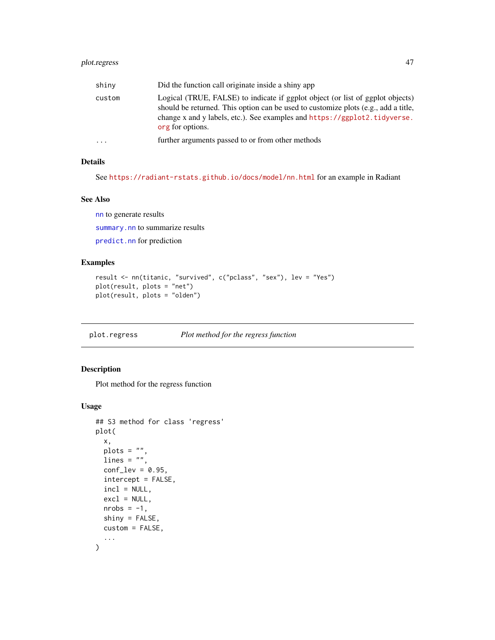## plot.regress 47

| shiny  | Did the function call originate inside a shiny app                                                                                                                                                                                                                    |
|--------|-----------------------------------------------------------------------------------------------------------------------------------------------------------------------------------------------------------------------------------------------------------------------|
| custom | Logical (TRUE, FALSE) to indicate if ggplot object (or list of ggplot objects)<br>should be returned. This option can be used to customize plots (e.g., add a title,<br>change x and y labels, etc.). See examples and https://ggplot2.tidyverse.<br>org for options. |
| .      | further arguments passed to or from other methods                                                                                                                                                                                                                     |

### Details

See <https://radiant-rstats.github.io/docs/model/nn.html> for an example in Radiant

### See Also

[nn](#page-30-0) to generate results

[summary.nn](#page-97-0) to summarize results

[predict.nn](#page-58-0) for prediction

## Examples

```
result <- nn(titanic, "survived", c("pclass", "sex"), lev = "Yes")
plot(result, plots = "net")
plot(result, plots = "olden")
```
<span id="page-46-0"></span>plot.regress *Plot method for the regress function*

## Description

Plot method for the regress function

#### Usage

```
## S3 method for class 'regress'
plot(
 x,
 plots = ",
 lines = ",
 conf\_lev = 0.95,
  intercept = FALSE,
  incl = NULL,
  excl = NULL,nrobs = -1,
  shiny = FALSE,
 custom = FALSE,
  ...
\mathcal{E}
```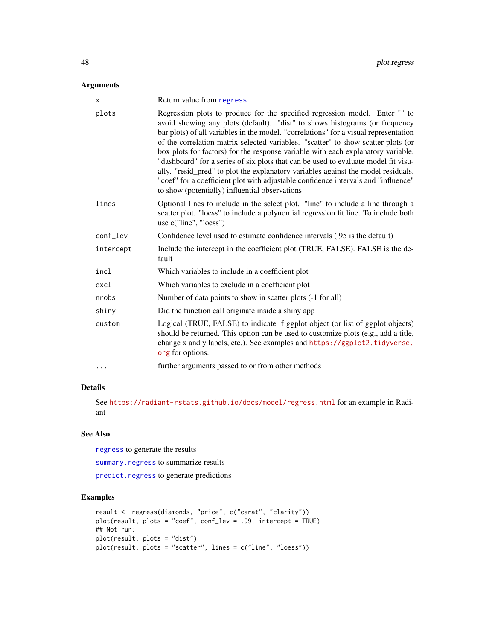### Arguments

| $\times$  | Return value from regress                                                                                                                                                                                                                                                                                                                                                                                                                                                                                                                                                                                                                                                                                                                      |
|-----------|------------------------------------------------------------------------------------------------------------------------------------------------------------------------------------------------------------------------------------------------------------------------------------------------------------------------------------------------------------------------------------------------------------------------------------------------------------------------------------------------------------------------------------------------------------------------------------------------------------------------------------------------------------------------------------------------------------------------------------------------|
| plots     | Regression plots to produce for the specified regression model. Enter "" to<br>avoid showing any plots (default). "dist" to shows histograms (or frequency<br>bar plots) of all variables in the model. "correlations" for a visual representation<br>of the correlation matrix selected variables. "scatter" to show scatter plots (or<br>box plots for factors) for the response variable with each explanatory variable.<br>"dashboard" for a series of six plots that can be used to evaluate model fit visu-<br>ally. "resid_pred" to plot the explanatory variables against the model residuals.<br>"coef" for a coefficient plot with adjustable confidence intervals and "influence"<br>to show (potentially) influential observations |
| lines     | Optional lines to include in the select plot. "line" to include a line through a<br>scatter plot. "loess" to include a polynomial regression fit line. To include both<br>use c("line", "loess")                                                                                                                                                                                                                                                                                                                                                                                                                                                                                                                                               |
| conf_lev  | Confidence level used to estimate confidence intervals (.95 is the default)                                                                                                                                                                                                                                                                                                                                                                                                                                                                                                                                                                                                                                                                    |
| intercept | Include the intercept in the coefficient plot (TRUE, FALSE). FALSE is the de-<br>fault                                                                                                                                                                                                                                                                                                                                                                                                                                                                                                                                                                                                                                                         |
| incl      | Which variables to include in a coefficient plot                                                                                                                                                                                                                                                                                                                                                                                                                                                                                                                                                                                                                                                                                               |
| excl      | Which variables to exclude in a coefficient plot                                                                                                                                                                                                                                                                                                                                                                                                                                                                                                                                                                                                                                                                                               |
| nrobs     | Number of data points to show in scatter plots (-1 for all)                                                                                                                                                                                                                                                                                                                                                                                                                                                                                                                                                                                                                                                                                    |
| shiny     | Did the function call originate inside a shiny app                                                                                                                                                                                                                                                                                                                                                                                                                                                                                                                                                                                                                                                                                             |
| custom    | Logical (TRUE, FALSE) to indicate if ggplot object (or list of ggplot objects)<br>should be returned. This option can be used to customize plots (e.g., add a title,<br>change x and y labels, etc.). See examples and https://ggplot2.tidyverse.<br>org for options.                                                                                                                                                                                                                                                                                                                                                                                                                                                                          |
| $\cdots$  | further arguments passed to or from other methods                                                                                                                                                                                                                                                                                                                                                                                                                                                                                                                                                                                                                                                                                              |

## Details

See <https://radiant-rstats.github.io/docs/model/regress.html> for an example in Radiant

## See Also

[regress](#page-70-0) to generate the results

[summary.regress](#page-98-0) to summarize results

[predict.regress](#page-59-0) to generate predictions

```
result <- regress(diamonds, "price", c("carat", "clarity"))
plot(result, plots = "coef", conf_lev = .99, intercept = TRUE)
## Not run:
plot(result, plots = "dist")
plot(result, plots = "scatter", lines = c("line", "loess"))
```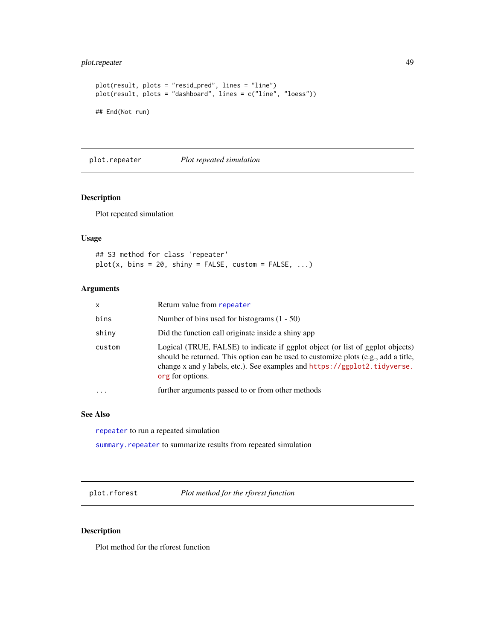## plot.repeater 49

```
plot(result, plots = "resid_pred", lines = "line")
plot(result, plots = "dashboard", lines = c("line", "loess"))
## End(Not run)
```
plot.repeater *Plot repeated simulation*

## Description

Plot repeated simulation

#### Usage

## S3 method for class 'repeater'  $plot(x, bins = 20, ship = FALSE, custom = FALSE, ...)$ 

# Arguments

| x         | Return value from repeater                                                                                                                                                                                                                                            |
|-----------|-----------------------------------------------------------------------------------------------------------------------------------------------------------------------------------------------------------------------------------------------------------------------|
| bins      | Number of bins used for histograms $(1 - 50)$                                                                                                                                                                                                                         |
| shiny     | Did the function call originate inside a shiny app                                                                                                                                                                                                                    |
| custom    | Logical (TRUE, FALSE) to indicate if ggplot object (or list of ggplot objects)<br>should be returned. This option can be used to customize plots (e.g., add a title,<br>change x and y labels, etc.). See examples and https://ggplot2.tidyverse.<br>org for options. |
| $\ddotsc$ | further arguments passed to or from other methods                                                                                                                                                                                                                     |
|           |                                                                                                                                                                                                                                                                       |

#### See Also

[repeater](#page-72-0) to run a repeated simulation

summary. repeater to summarize results from repeated simulation

plot.rforest *Plot method for the rforest function*

#### Description

Plot method for the rforest function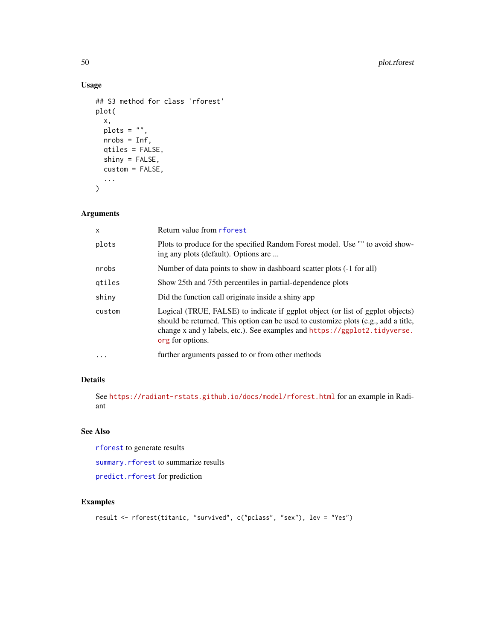# Usage

```
## S3 method for class 'rforest'
plot(
 x,
 plots = ",
 nrobs = Inf,qtiles = FALSE,
 shiny = FALSE,
 custom = FALSE,
  ...
)
```
## Arguments

| x      | Return value from rforest                                                                                                                                                                                                                                             |
|--------|-----------------------------------------------------------------------------------------------------------------------------------------------------------------------------------------------------------------------------------------------------------------------|
| plots  | Plots to produce for the specified Random Forest model. Use "" to avoid show-<br>ing any plots (default). Options are                                                                                                                                                 |
| nrobs  | Number of data points to show in dashboard scatter plots (-1 for all)                                                                                                                                                                                                 |
| qtiles | Show 25th and 75th percentiles in partial-dependence plots                                                                                                                                                                                                            |
| shiny  | Did the function call originate inside a shiny app                                                                                                                                                                                                                    |
| custom | Logical (TRUE, FALSE) to indicate if ggplot object (or list of ggplot objects)<br>should be returned. This option can be used to customize plots (e.g., add a title,<br>change x and y labels, etc.). See examples and https://ggplot2.tidyverse.<br>org for options. |
| .      | further arguments passed to or from other methods                                                                                                                                                                                                                     |

## Details

See <https://radiant-rstats.github.io/docs/model/rforest.html> for an example in Radiant

## See Also

[rforest](#page-73-0) to generate results

[summary.rforest](#page-99-1) to summarize results

[predict.rforest](#page-60-0) for prediction

```
result <- rforest(titanic, "survived", c("pclass", "sex"), lev = "Yes")
```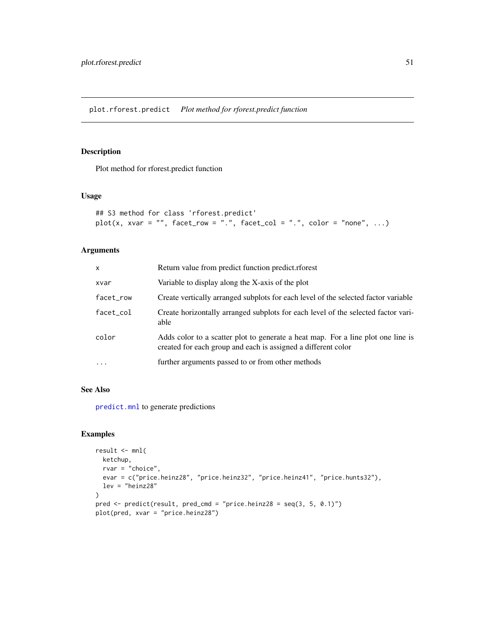Plot method for rforest.predict function

## Usage

```
## S3 method for class 'rforest.predict'
plot(x, xvar = "", facet_row = ".", facet_col = ".", color = "none", ...)
```
#### Arguments

| x         | Return value from predict function predict.rforest                                                                                                |
|-----------|---------------------------------------------------------------------------------------------------------------------------------------------------|
| xvar      | Variable to display along the X-axis of the plot                                                                                                  |
| facet_row | Create vertically arranged subplots for each level of the selected factor variable                                                                |
| facet col | Create horizontally arranged subplots for each level of the selected factor vari-<br>able                                                         |
| color     | Adds color to a scatter plot to generate a heat map. For a line plot one line is<br>created for each group and each is assigned a different color |
|           | further arguments passed to or from other methods                                                                                                 |

### See Also

[predict.mnl](#page-55-0) to generate predictions

```
result <- mnl(
 ketchup,
  rvar = "choice",
  evar = c("price.heinz28", "price.heinz32", "price.heinz41", "price.hunts32"),
 lev = "heinz28"
\mathcal{L}pred \le predict(result, pred_cmd = "price.heinz28 = seq(3, 5, 0.1)")
plot(pred, xvar = "price.heinz28")
```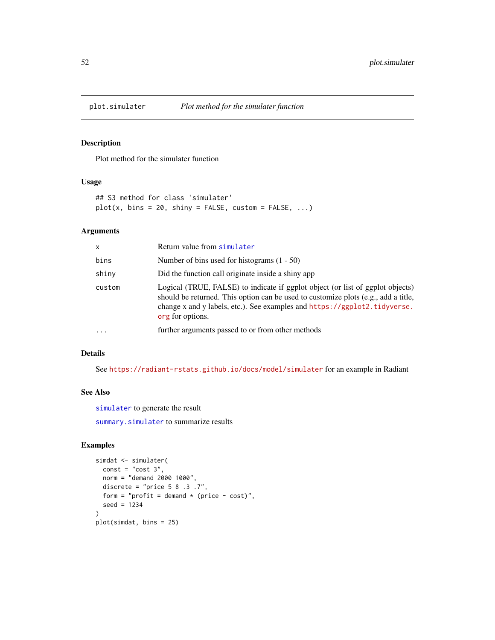Plot method for the simulater function

### Usage

```
## S3 method for class 'simulater'
plot(x, bins = 20, ship = FALSE, custom = FALSE, ...)
```
## Arguments

| x      | Return value from simulater                                                                                                                                                                                                                                           |
|--------|-----------------------------------------------------------------------------------------------------------------------------------------------------------------------------------------------------------------------------------------------------------------------|
| bins   | Number of bins used for histograms $(1 - 50)$                                                                                                                                                                                                                         |
| shiny  | Did the function call originate inside a shiny app                                                                                                                                                                                                                    |
| custom | Logical (TRUE, FALSE) to indicate if ggplot object (or list of ggplot objects)<br>should be returned. This option can be used to customize plots (e.g., add a title,<br>change x and y labels, etc.). See examples and https://ggplot2.tidyverse.<br>org for options. |
| .      | further arguments passed to or from other methods                                                                                                                                                                                                                     |

## Details

See <https://radiant-rstats.github.io/docs/model/simulater> for an example in Radiant

#### See Also

[simulater](#page-79-0) to generate the result

[summary.simulater](#page-100-0) to summarize results

```
simdat <- simulater(
 const = "cost 3",norm = "demand 2000 1000",
  discrete = "price 5 8 .3 .7",
  form = "profit = demand * (price - cost)",
  seed = 1234
)
plot(simdat, bins = 25)
```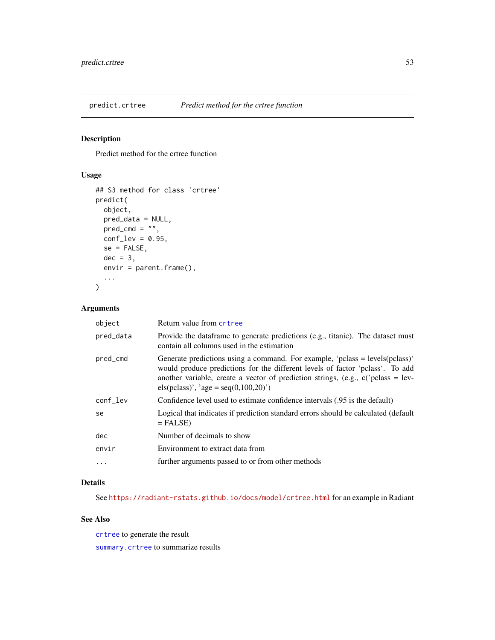Predict method for the crtree function

## Usage

```
## S3 method for class 'crtree'
predict(
 object,
 pred_data = NULL,
 pred\_cmd = "",conf\_lev = 0.95,
  se = FALSE,dec = 3,
  envir = parent.frame(),...
)
```
### Arguments

| object    | Return value from crtree                                                                                                                                                                                                                                                                      |
|-----------|-----------------------------------------------------------------------------------------------------------------------------------------------------------------------------------------------------------------------------------------------------------------------------------------------|
| pred_data | Provide the data frame to generate predictions (e.g., titanic). The dataset must<br>contain all columns used in the estimation                                                                                                                                                                |
| pred_cmd  | Generate predictions using a command. For example, 'pclass = levels(pclass)'<br>would produce predictions for the different levels of factor 'pclass'. To add<br>another variable, create a vector of prediction strings, (e.g., $c$ c) pclass = lev-<br>els(pclass)', 'age = seq(0,100,20)') |
| conf_lev  | Confidence level used to estimate confidence intervals (.95 is the default)                                                                                                                                                                                                                   |
| se        | Logical that indicates if prediction standard errors should be calculated (default<br>$=$ FALSE)                                                                                                                                                                                              |
| dec       | Number of decimals to show                                                                                                                                                                                                                                                                    |
| envir     | Environment to extract data from                                                                                                                                                                                                                                                              |
| $\ddotsc$ | further arguments passed to or from other methods                                                                                                                                                                                                                                             |

## Details

See <https://radiant-rstats.github.io/docs/model/crtree.html> for an example in Radiant

## See Also

[crtree](#page-7-0) to generate the result [summary.crtree](#page-90-0) to summarize results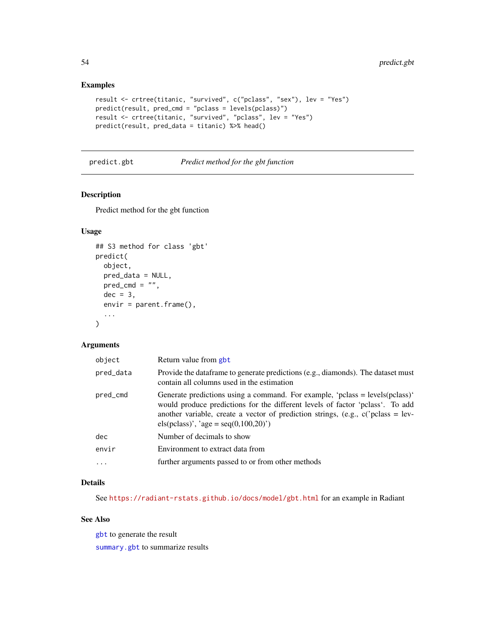## Examples

```
result <- crtree(titanic, "survived", c("pclass", "sex"), lev = "Yes")
predict(result, pred_cmd = "pclass = levels(pclass)")
result <- crtree(titanic, "survived", "pclass", lev = "Yes")
predict(result, pred_data = titanic) %>% head()
```
<span id="page-53-0"></span>predict.gbt *Predict method for the gbt function*

## Description

Predict method for the gbt function

## Usage

```
## S3 method for class 'gbt'
predict(
 object,
 pred_data = NULL,
 pred\_cmd = "",dec = 3.
 envir = parent.frame(),...
)
```
### Arguments

| object    | Return value from gbt                                                                                                                                                                                                                                                                       |
|-----------|---------------------------------------------------------------------------------------------------------------------------------------------------------------------------------------------------------------------------------------------------------------------------------------------|
| pred_data | Provide the data frame to generate predictions (e.g., diamonds). The dataset must<br>contain all columns used in the estimation                                                                                                                                                             |
| pred_cmd  | Generate predictions using a command. For example, 'pclass = levels(pclass)'<br>would produce predictions for the different levels of factor 'pclass'. To add<br>another variable, create a vector of prediction strings, (e.g., $c$ ) class = lev-<br>els(pclass)', 'age = seq(0,100,20)') |
| dec       | Number of decimals to show                                                                                                                                                                                                                                                                  |
| envir     | Environment to extract data from                                                                                                                                                                                                                                                            |
| $\cdots$  | further arguments passed to or from other methods                                                                                                                                                                                                                                           |

## Details

See <https://radiant-rstats.github.io/docs/model/gbt.html> for an example in Radiant

## See Also

[gbt](#page-21-0) to generate the result

[summary.gbt](#page-93-1) to summarize results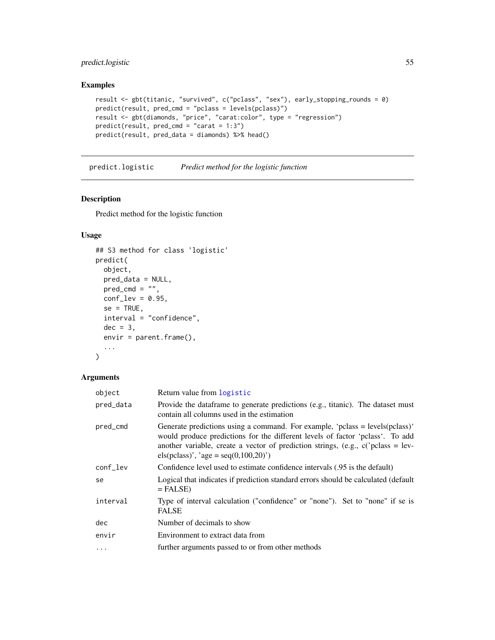## predict.logistic 55

## Examples

```
result <- gbt(titanic, "survived", c("pclass", "sex"), early_stopping_rounds = 0)
predict(result, pred_cmd = "pclass = levels(pclass)")
result <- gbt(diamonds, "price", "carat:color", type = "regression")
predict(result, pred\_cmd = "carat = 1:3")predict(result, pred_data = diamonds) %>% head()
```
<span id="page-54-0"></span>predict.logistic *Predict method for the logistic function*

## Description

Predict method for the logistic function

## Usage

```
## S3 method for class 'logistic'
predict(
 object,
 pred_data = NULL,
 pred\_cmd = "",conf\_lev = 0.95,
  se = TRUE,interval = "confidence",
 dec = 3,
 envir = parent.frame(),
  ...
\mathcal{L}
```

| object     | Return value from logistic                                                                                                                                                                                                                                                                      |
|------------|-------------------------------------------------------------------------------------------------------------------------------------------------------------------------------------------------------------------------------------------------------------------------------------------------|
| pred_data  | Provide the data frame to generate predictions (e.g., titanic). The dataset must<br>contain all columns used in the estimation                                                                                                                                                                  |
| pred_cmd   | Generate predictions using a command. For example, 'pclass = $levels(pclass)'$<br>would produce predictions for the different levels of factor 'pclass'. To add<br>another variable, create a vector of prediction strings, (e.g., $c$ c) pclass = lev-<br>els(pclass)', 'age = seq(0,100,20)') |
| conf_lev   | Confidence level used to estimate confidence intervals (.95 is the default)                                                                                                                                                                                                                     |
| se         | Logical that indicates if prediction standard errors should be calculated (default<br>$=$ FALSE)                                                                                                                                                                                                |
| interval   | Type of interval calculation ("confidence" or "none"). Set to "none" if se is<br><b>FALSE</b>                                                                                                                                                                                                   |
| dec        | Number of decimals to show                                                                                                                                                                                                                                                                      |
| envir      | Environment to extract data from                                                                                                                                                                                                                                                                |
| $\ddots$ . | further arguments passed to or from other methods                                                                                                                                                                                                                                               |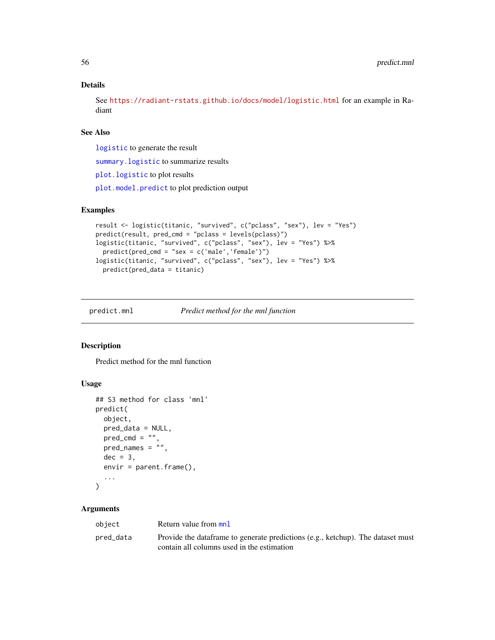### Details

See <https://radiant-rstats.github.io/docs/model/logistic.html> for an example in Radiant

## See Also

[logistic](#page-25-0) to generate the result

[summary.logistic](#page-94-0) to summarize results

[plot.logistic](#page-39-0) to plot results

[plot.model.predict](#page-42-0) to plot prediction output

## Examples

```
result <- logistic(titanic, "survived", c("pclass", "sex"), lev = "Yes")
predict(result, pred_cmd = "pclass = levels(pclass)")
logistic(titanic, "survived", c("pclass", "sex"), lev = "Yes") %>%
  predict(pred_cmd = "sex = c('male','female')")
logistic(titanic, "survived", c("pclass", "sex"), lev = "Yes") %>%
  predict(pred_data = titanic)
```
<span id="page-55-0"></span>

predict.mnl *Predict method for the mnl function*

### Description

Predict method for the mnl function

#### Usage

```
## S3 method for class 'mnl'
predict(
 object,
  pred_data = NULL,
 pred\_cmd = "",pred_names = ",
 dec = 3,
  envir = parent.frame(),...
)
```

| object    | Return value from mnl                                                            |
|-----------|----------------------------------------------------------------------------------|
| pred_data | Provide the data frame to generate predictions (e.g., ketchup). The dataset must |
|           | contain all columns used in the estimation                                       |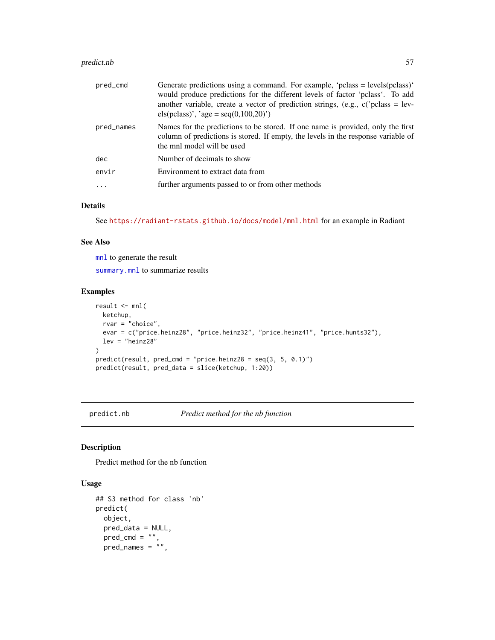#### predict.nb 57

| pred_cmd   | Generate predictions using a command. For example, 'pclass = levels(pclass)'<br>would produce predictions for the different levels of factor 'pclass'. To add<br>another variable, create a vector of prediction strings, (e.g., $c$ ) class = lev-<br>els(pclass)', 'age = seq(0,100,20)') |
|------------|---------------------------------------------------------------------------------------------------------------------------------------------------------------------------------------------------------------------------------------------------------------------------------------------|
| pred_names | Names for the predictions to be stored. If one name is provided, only the first<br>column of predictions is stored. If empty, the levels in the response variable of<br>the mnl model will be used                                                                                          |
| dec        | Number of decimals to show                                                                                                                                                                                                                                                                  |
| envir      | Environment to extract data from                                                                                                                                                                                                                                                            |
|            | further arguments passed to or from other methods                                                                                                                                                                                                                                           |

## Details

See <https://radiant-rstats.github.io/docs/model/mnl.html> for an example in Radiant

#### See Also

[mnl](#page-27-0) to generate the result

[summary.mnl](#page-95-0) to summarize results

## Examples

```
result <- mnl(
  ketchup,
  rvar = "choice",
  evar = c("price.heinz28", "price.heinz32", "price.heinz41", "price.hunts32"),
  lev = "heinz28"
)
predict(result, pred_cmd = "price.heinz28 = seq(3, 5, 0.1)")
predict(result, pred_data = slice(ketchup, 1:20))
```
<span id="page-56-0"></span>predict.nb *Predict method for the nb function*

## Description

Predict method for the nb function

## Usage

```
## S3 method for class 'nb'
predict(
 object,
 pred_data = NULL,
 pred\_cmd = "",pred\_names = "",
```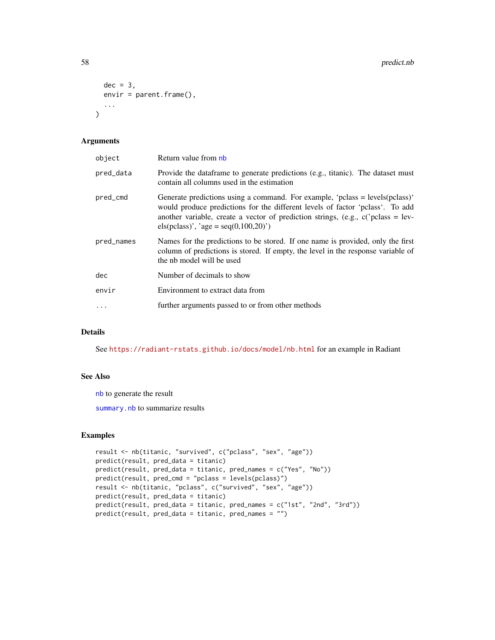```
dec = 3,
  envir = parent.frame(),...
\mathcal{L}
```
#### Arguments

| object     | Return value from nb                                                                                                                                                                                                                                                                            |
|------------|-------------------------------------------------------------------------------------------------------------------------------------------------------------------------------------------------------------------------------------------------------------------------------------------------|
| pred_data  | Provide the dataframe to generate predictions (e.g., titanic). The dataset must<br>contain all columns used in the estimation                                                                                                                                                                   |
| pred_cmd   | Generate predictions using a command. For example, 'pclass = $levels(pclass)'$<br>would produce predictions for the different levels of factor 'pclass'. To add<br>another variable, create a vector of prediction strings, (e.g., $c$ c) pclass = lev-<br>els(pclass)', 'age = seq(0,100,20)') |
| pred_names | Names for the predictions to be stored. If one name is provided, only the first<br>column of predictions is stored. If empty, the level in the response variable of<br>the nb model will be used                                                                                                |
| dec        | Number of decimals to show                                                                                                                                                                                                                                                                      |
| envir      | Environment to extract data from                                                                                                                                                                                                                                                                |
| $\ddots$   | further arguments passed to or from other methods                                                                                                                                                                                                                                               |

### Details

See <https://radiant-rstats.github.io/docs/model/nb.html> for an example in Radiant

### See Also

[nb](#page-29-0) to generate the result

[summary.nb](#page-96-0) to summarize results

```
result <- nb(titanic, "survived", c("pclass", "sex", "age"))
predict(result, pred_data = titanic)
predict(result, pred_data = titanic, pred_names = c("Yes", "No"))
predict(result, pred_cmd = "pclass = levels(pclass)")
result <- nb(titanic, "pclass", c("survived", "sex", "age"))
predict(result, pred_data = titanic)
predict(result, pred_data = titanic, pred_names = c("1st", "2nd", "3rd"))
predict(result, pred_data = titanic, pred_names = "")
```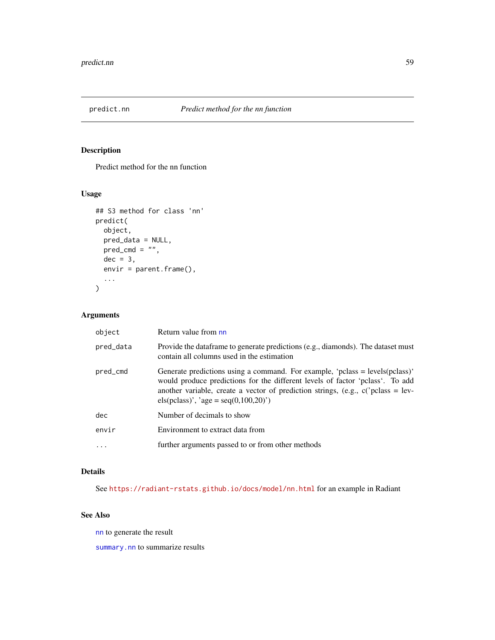<span id="page-58-0"></span>

Predict method for the nn function

## Usage

```
## S3 method for class 'nn'
predict(
  object,
  pred_data = NULL,
  pred\_cmd = "",dec = 3,
  envir = parent.frame(),
  ...
)
```
## Arguments

| object    | Return value from nn                                                                                                                                                                                                                                                                          |
|-----------|-----------------------------------------------------------------------------------------------------------------------------------------------------------------------------------------------------------------------------------------------------------------------------------------------|
| pred_data | Provide the data frame to generate predictions (e.g., diamonds). The dataset must<br>contain all columns used in the estimation                                                                                                                                                               |
| pred_cmd  | Generate predictions using a command. For example, 'pclass = $levels(pclass)'$<br>would produce predictions for the different levels of factor 'pclass'. To add<br>another variable, create a vector of prediction strings, (e.g., $c$ ) class = lev-<br>els(pclass)', 'age = seq(0,100,20)') |
| dec       | Number of decimals to show                                                                                                                                                                                                                                                                    |
| envir     | Environment to extract data from                                                                                                                                                                                                                                                              |
| .         | further arguments passed to or from other methods                                                                                                                                                                                                                                             |

### Details

See <https://radiant-rstats.github.io/docs/model/nn.html> for an example in Radiant

# See Also

[nn](#page-30-0) to generate the result

[summary.nn](#page-97-0) to summarize results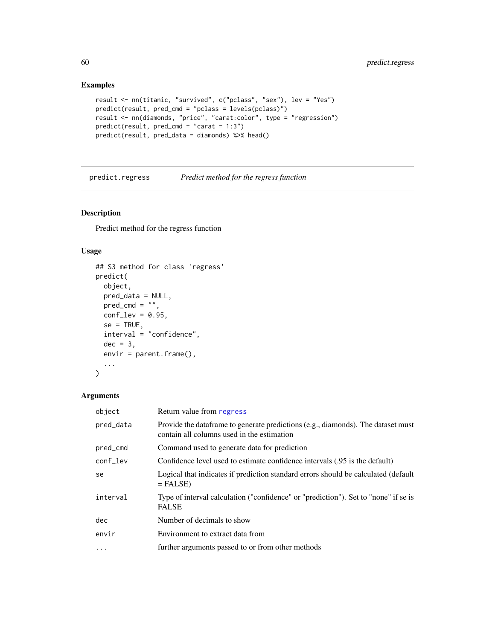## Examples

```
result <- nn(titanic, "survived", c("pclass", "sex"), lev = "Yes")
predict(result, pred_cmd = "pclass = levels(pclass)")
result <- nn(diamonds, "price", "carat:color", type = "regression")
predict(result, pred_cmd = "carat = 1:3")
predict(result, pred_data = diamonds) %>% head()
```
<span id="page-59-0"></span>predict.regress *Predict method for the regress function*

## Description

Predict method for the regress function

#### Usage

```
## S3 method for class 'regress'
predict(
 object,
 pred_data = NULL,
 pred\_cmd = "",conf\_lev = 0.95,
 se = TRUE,interval = "confidence",
 dec = 3,
 envir = parent.frame(),
  ...
\mathcal{L}
```

| object    | Return value from regress                                                                                                       |
|-----------|---------------------------------------------------------------------------------------------------------------------------------|
| pred_data | Provide the data frame to generate predictions (e.g., diamonds). The dataset must<br>contain all columns used in the estimation |
| pred_cmd  | Command used to generate data for prediction                                                                                    |
| conf_lev  | Confidence level used to estimate confidence intervals (.95 is the default)                                                     |
| se        | Logical that indicates if prediction standard errors should be calculated (default<br>$=$ FALSE)                                |
| interval  | Type of interval calculation ("confidence" or "prediction"). Set to "none" if se is<br><b>FALSE</b>                             |
| dec       | Number of decimals to show                                                                                                      |
| envir     | Environment to extract data from                                                                                                |
| $\cdots$  | further arguments passed to or from other methods                                                                               |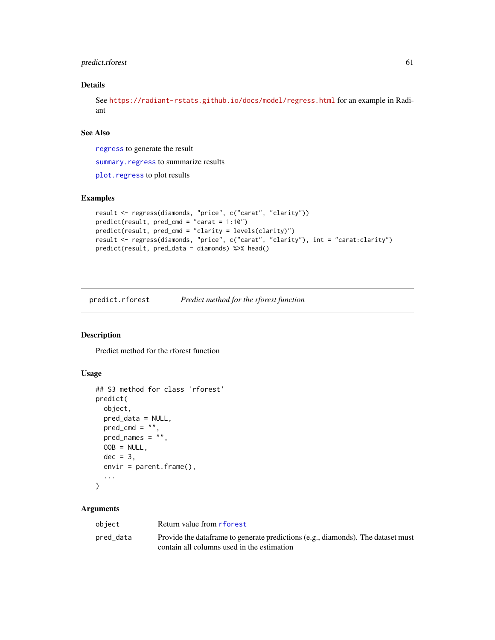### predict.rforest 61

### Details

See <https://radiant-rstats.github.io/docs/model/regress.html> for an example in Radiant

## See Also

[regress](#page-70-0) to generate the result

summary. regress to summarize results

[plot.regress](#page-46-0) to plot results

### Examples

```
result <- regress(diamonds, "price", c("carat", "clarity"))
predict(result, pred_cmd = "carat = 1:10")
predict(result, pred_cmd = "clarity = levels(clarity)")
result <- regress(diamonds, "price", c("carat", "clarity"), int = "carat:clarity")
predict(result, pred_data = diamonds) %>% head()
```
<span id="page-60-0"></span>predict.rforest *Predict method for the rforest function*

## Description

Predict method for the rforest function

### Usage

```
## S3 method for class 'rforest'
predict(
 object,
 pred_data = NULL,
 pred\_cmd = "",pred\_names = "",OOB = NULL,dec = 3,
  envir = parent.frame(),...
\lambda
```

| object    | Return value from rforest                                                                                                       |
|-----------|---------------------------------------------------------------------------------------------------------------------------------|
| pred_data | Provide the data frame to generate predictions (e.g., diamonds). The dataset must<br>contain all columns used in the estimation |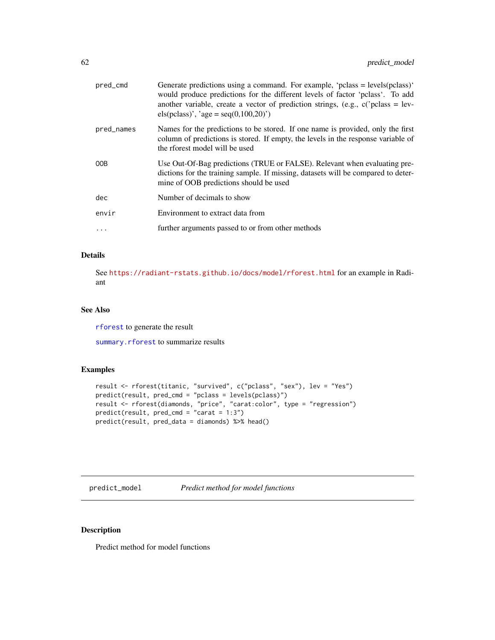| pred_cmd   | Generate predictions using a command. For example, 'pclass = $levels(pclass)'$<br>would produce predictions for the different levels of factor 'pclass'. To add<br>another variable, create a vector of prediction strings, (e.g., $c$ c) pclass = lev-<br>els(pclass)', 'age = $seq(0,100,20)$ ') |
|------------|----------------------------------------------------------------------------------------------------------------------------------------------------------------------------------------------------------------------------------------------------------------------------------------------------|
| pred_names | Names for the predictions to be stored. If one name is provided, only the first<br>column of predictions is stored. If empty, the levels in the response variable of<br>the rforest model will be used                                                                                             |
| 00B        | Use Out-Of-Bag predictions (TRUE or FALSE). Relevant when evaluating pre-<br>dictions for the training sample. If missing, datasets will be compared to deter-<br>mine of OOB predictions should be used                                                                                           |
| dec        | Number of decimals to show                                                                                                                                                                                                                                                                         |
| envir      | Environment to extract data from                                                                                                                                                                                                                                                                   |
|            | further arguments passed to or from other methods                                                                                                                                                                                                                                                  |
|            |                                                                                                                                                                                                                                                                                                    |

## Details

See <https://radiant-rstats.github.io/docs/model/rforest.html> for an example in Radiant

### See Also

[rforest](#page-73-0) to generate the result

[summary.rforest](#page-99-1) to summarize results

### Examples

```
result <- rforest(titanic, "survived", c("pclass", "sex"), lev = "Yes")
predict(result, pred_cmd = "pclass = levels(pclass)")
result <- rforest(diamonds, "price", "carat:color", type = "regression")
predict(result, pred_cmd = "carat = 1:3")
predict(result, pred_data = diamonds) %>% head()
```
predict\_model *Predict method for model functions*

# Description

Predict method for model functions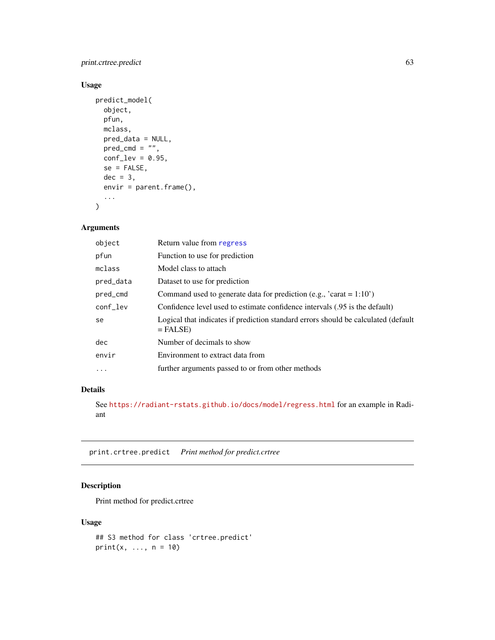## print.crtree.predict 63

## Usage

```
predict_model(
  object,
  pfun,
  mclass,
  pred_data = NULL,
  pred\_cmd = "",conf\_lev = 0.95,
  se = FALSE,dec = 3,
  envir = parent.frame(),...
\mathcal{L}
```
## Arguments

| object    | Return value from regress                                                                        |
|-----------|--------------------------------------------------------------------------------------------------|
| pfun      | Function to use for prediction                                                                   |
| mclass    | Model class to attach                                                                            |
| pred_data | Dataset to use for prediction                                                                    |
| pred_cmd  | Command used to generate data for prediction (e.g., $'$ carat = 1:10')                           |
| conf_lev  | Confidence level used to estimate confidence intervals (.95 is the default)                      |
| se        | Logical that indicates if prediction standard errors should be calculated (default<br>$=$ FALSE) |
| dec       | Number of decimals to show                                                                       |
| envir     | Environment to extract data from                                                                 |
| $\ddotsc$ | further arguments passed to or from other methods                                                |

## Details

See <https://radiant-rstats.github.io/docs/model/regress.html> for an example in Radiant

print.crtree.predict *Print method for predict.crtree*

## Description

Print method for predict.crtree

#### Usage

```
## S3 method for class 'crtree.predict'
print(x, \ldots, n = 10)
```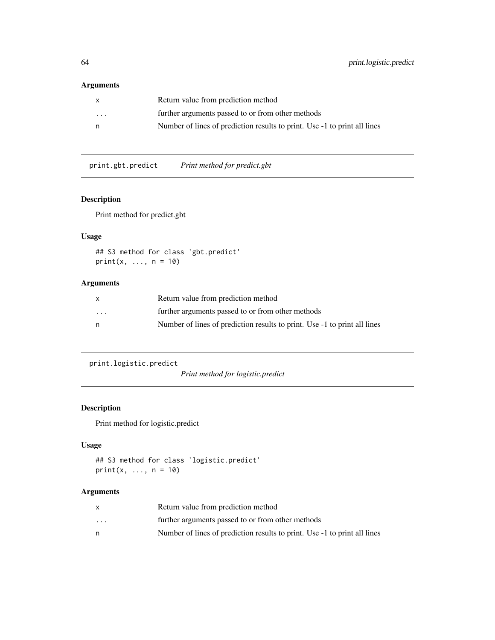## Arguments

|          | Return value from prediction method                                       |
|----------|---------------------------------------------------------------------------|
| $\cdots$ | further arguments passed to or from other methods                         |
| n        | Number of lines of prediction results to print. Use -1 to print all lines |

print.gbt.predict *Print method for predict.gbt*

## Description

Print method for predict.gbt

## Usage

```
## S3 method for class 'gbt.predict'
print(x, ..., n = 10)
```
## Arguments

| $\mathsf{x}$            | Return value from prediction method                                       |
|-------------------------|---------------------------------------------------------------------------|
| $\cdot$ $\cdot$ $\cdot$ | further arguments passed to or from other methods                         |
| n.                      | Number of lines of prediction results to print. Use -1 to print all lines |

print.logistic.predict

*Print method for logistic.predict*

## Description

Print method for logistic.predict

# Usage

```
## S3 method for class 'logistic.predict'
print(x, ..., n = 10)
```

|                         | Return value from prediction method                                       |
|-------------------------|---------------------------------------------------------------------------|
| $\cdot$ $\cdot$ $\cdot$ | further arguments passed to or from other methods                         |
|                         | Number of lines of prediction results to print. Use -1 to print all lines |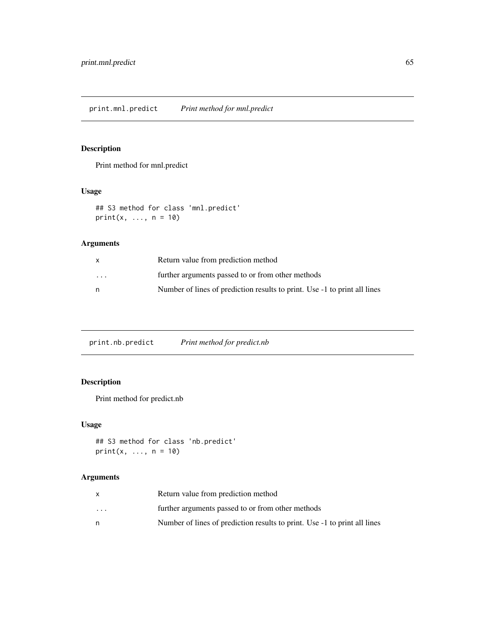Print method for mnl.predict

## Usage

## S3 method for class 'mnl.predict'  $print(x, ..., n = 10)$ 

## Arguments

| X                       | Return value from prediction method                                       |
|-------------------------|---------------------------------------------------------------------------|
| $\cdot$ $\cdot$ $\cdot$ | further arguments passed to or from other methods                         |
| n                       | Number of lines of prediction results to print. Use -1 to print all lines |

print.nb.predict *Print method for predict.nb*

# Description

Print method for predict.nb

## Usage

```
## S3 method for class 'nb.predict'
print(x, ..., n = 10)
```

|                         | Return value from prediction method                                       |
|-------------------------|---------------------------------------------------------------------------|
| $\cdot$ $\cdot$ $\cdot$ | further arguments passed to or from other methods                         |
| n                       | Number of lines of prediction results to print. Use -1 to print all lines |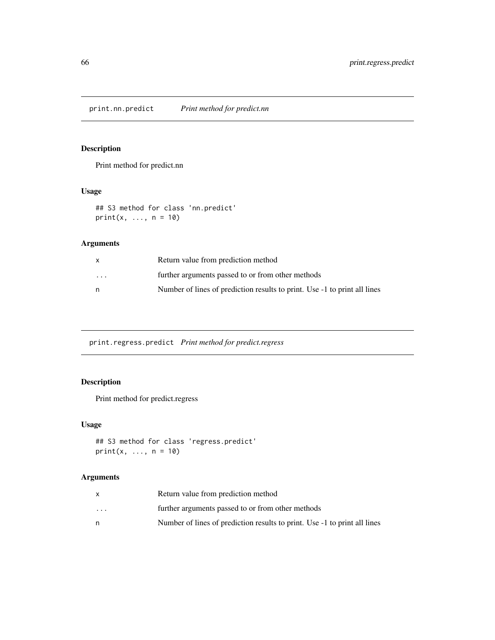print.nn.predict *Print method for predict.nn*

# Description

Print method for predict.nn

## Usage

## S3 method for class 'nn.predict'  $print(x, ..., n = 10)$ 

## Arguments

| X        | Return value from prediction method                                       |
|----------|---------------------------------------------------------------------------|
| $\cdots$ | further arguments passed to or from other methods                         |
| n        | Number of lines of prediction results to print. Use -1 to print all lines |

print.regress.predict *Print method for predict.regress*

# Description

Print method for predict.regress

## Usage

```
## S3 method for class 'regress.predict'
print(x, ..., n = 10)
```

|                         | Return value from prediction method                                       |
|-------------------------|---------------------------------------------------------------------------|
| $\cdot$ $\cdot$ $\cdot$ | further arguments passed to or from other methods                         |
| n                       | Number of lines of prediction results to print. Use -1 to print all lines |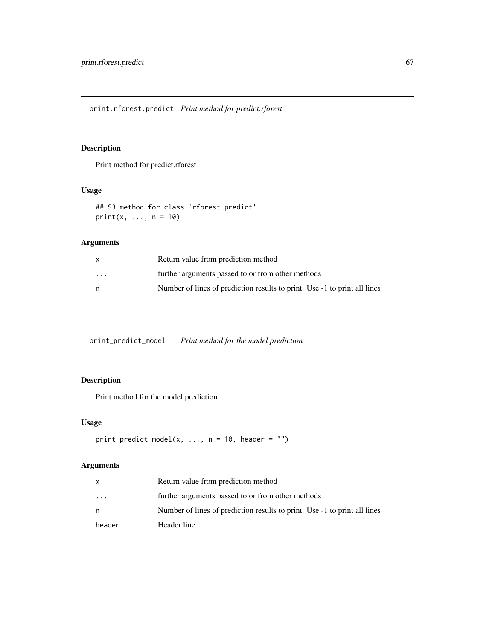print.rforest.predict *Print method for predict.rforest*

# Description

Print method for predict.rforest

## Usage

## S3 method for class 'rforest.predict'  $print(x, ..., n = 10)$ 

## Arguments

| x       | Return value from prediction method                                       |
|---------|---------------------------------------------------------------------------|
| $\cdot$ | further arguments passed to or from other methods                         |
| n       | Number of lines of prediction results to print. Use -1 to print all lines |

print\_predict\_model *Print method for the model prediction*

## Description

Print method for the model prediction

#### Usage

```
print\_predict\_model(x, ..., n = 10, header = "")
```

|           | Return value from prediction method                                       |
|-----------|---------------------------------------------------------------------------|
| $\ddotsc$ | further arguments passed to or from other methods                         |
| n         | Number of lines of prediction results to print. Use -1 to print all lines |
| header    | Header line                                                               |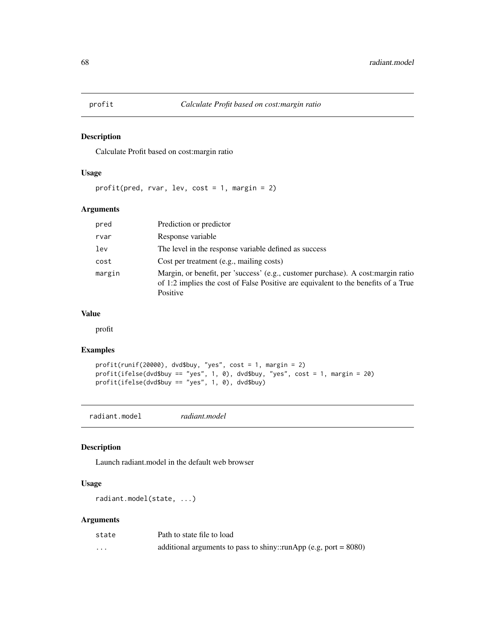Calculate Profit based on cost:margin ratio

#### Usage

profit(pred, rvar, lev, cost = 1, margin = 2)

## Arguments

| pred   | Prediction or predictor                                                                                                                                                             |
|--------|-------------------------------------------------------------------------------------------------------------------------------------------------------------------------------------|
| rvar   | Response variable                                                                                                                                                                   |
| lev    | The level in the response variable defined as success                                                                                                                               |
| cost   | Cost per treatment (e.g., mailing costs)                                                                                                                                            |
| margin | Margin, or benefit, per 'success' (e.g., customer purchase). A cost: margin ratio<br>of 1:2 implies the cost of False Positive are equivalent to the benefits of a True<br>Positive |

### Value

profit

## Examples

```
profit(runif(20000), dvd$buy, "yes", cost = 1, margin = 2)
profit(ifelse(dvd$buy == "yes", 1, 0), dvd$buy, "yes", cost = 1, margin = 20)
profit(ifelse(dvd$buy == "yes", 1, 0), dvd$buy)
```
radiant.model *radiant.model*

## Description

Launch radiant.model in the default web browser

## Usage

```
radiant.model(state, ...)
```

| state    | Path to state file to load                                          |
|----------|---------------------------------------------------------------------|
| $\cdots$ | additional arguments to pass to shiny::runApp (e.g, port = $8080$ ) |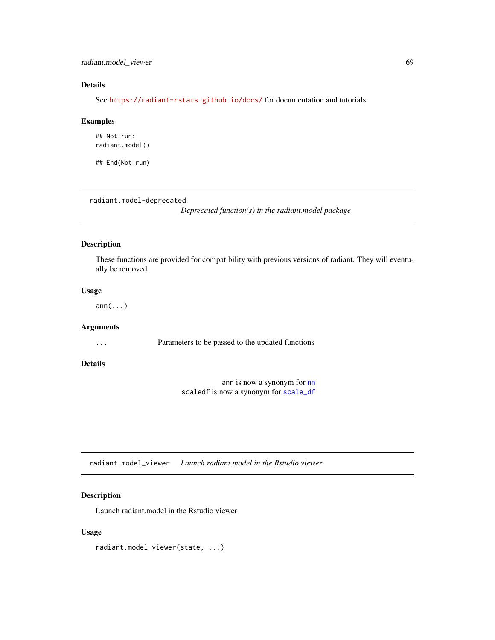## radiant.model\_viewer 69

## Details

See <https://radiant-rstats.github.io/docs/> for documentation and tutorials

#### Examples

## Not run: radiant.model()

## End(Not run)

radiant.model-deprecated

*Deprecated function(s) in the radiant.model package*

## Description

These functions are provided for compatibility with previous versions of radiant. They will eventually be removed.

### Usage

ann(...)

# Arguments

... Parameters to be passed to the updated functions

## Details

ann is now a synonym for [nn](#page-30-0) scaledf is now a synonym for [scale\\_df](#page-77-0)

radiant.model\_viewer *Launch radiant.model in the Rstudio viewer*

## Description

Launch radiant.model in the Rstudio viewer

### Usage

radiant.model\_viewer(state, ...)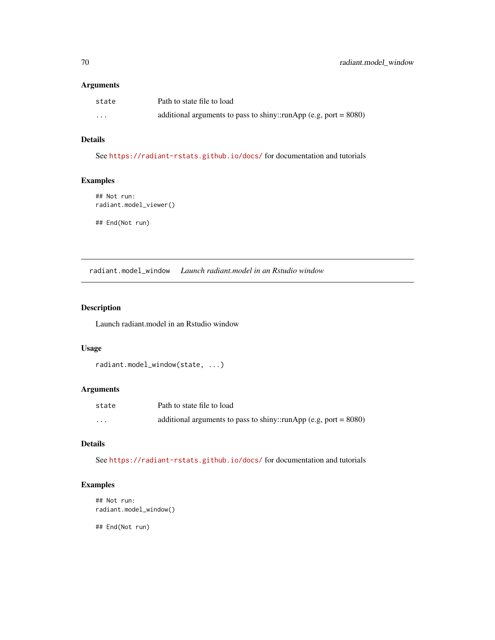#### Arguments

| state    | Path to state file to load                                          |
|----------|---------------------------------------------------------------------|
| $\cdots$ | additional arguments to pass to shiny::runApp (e.g, port = $8080$ ) |

# Details

See <https://radiant-rstats.github.io/docs/> for documentation and tutorials

## Examples

## Not run: radiant.model\_viewer()

## End(Not run)

radiant.model\_window *Launch radiant.model in an Rstudio window*

## Description

Launch radiant.model in an Rstudio window

#### Usage

```
radiant.model_window(state, ...)
```
### Arguments

| state    | Path to state file to load                                          |
|----------|---------------------------------------------------------------------|
| $\cdots$ | additional arguments to pass to shiny::runApp (e.g, port = $8080$ ) |

## Details

See <https://radiant-rstats.github.io/docs/> for documentation and tutorials

# Examples

```
## Not run:
radiant.model_window()
```
## End(Not run)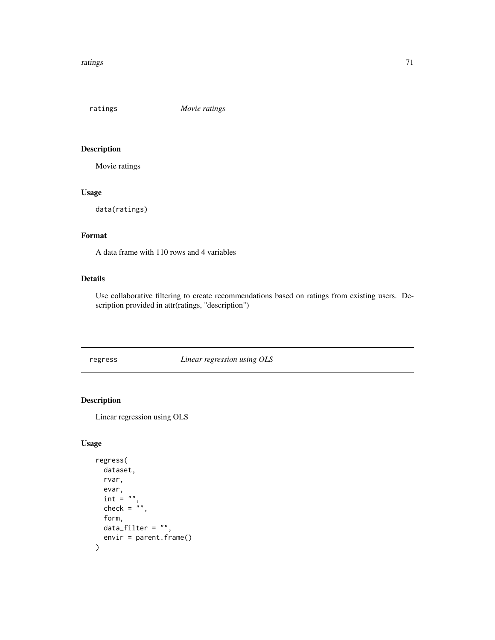ratings *Movie ratings*

## Description

Movie ratings

## Usage

data(ratings)

# Format

A data frame with 110 rows and 4 variables

## Details

Use collaborative filtering to create recommendations based on ratings from existing users. Description provided in attr(ratings, "description")

<span id="page-70-0"></span>regress *Linear regression using OLS*

## Description

Linear regression using OLS

#### Usage

```
regress(
 dataset,
  rvar,
 evar,
  int = "check = ",
  form,
 data_filter = ",
  envir = parent.frame()
\mathcal{E}
```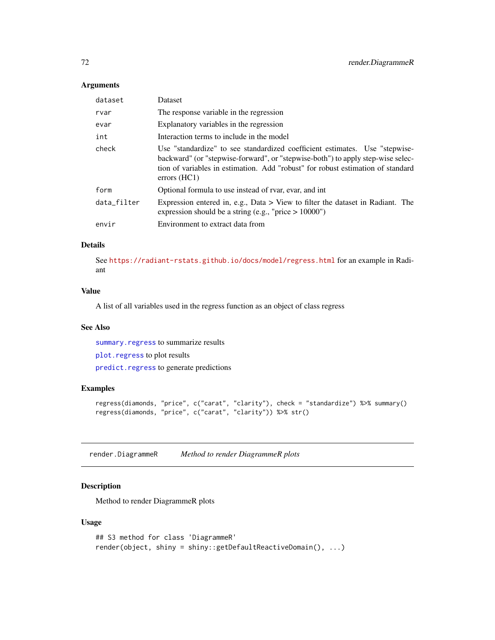#### Arguments

| dataset     | Dataset                                                                                                                                                                                                                                                                    |
|-------------|----------------------------------------------------------------------------------------------------------------------------------------------------------------------------------------------------------------------------------------------------------------------------|
| rvar        | The response variable in the regression                                                                                                                                                                                                                                    |
| evar        | Explanatory variables in the regression                                                                                                                                                                                                                                    |
| int         | Interaction terms to include in the model                                                                                                                                                                                                                                  |
| check       | Use "standardize" to see standardized coefficient estimates. Use "stepwise-<br>backward" (or "stepwise-forward", or "stepwise-both") to apply step-wise selec-<br>tion of variables in estimation. Add "robust" for robust estimation of standard<br>$\text{errors (HC1)}$ |
| form        | Optional formula to use instead of rvar, evar, and int                                                                                                                                                                                                                     |
| data_filter | Expression entered in, e.g., Data $>$ View to filter the dataset in Radiant. The<br>expression should be a string (e.g., "price $> 10000$ ")                                                                                                                               |
| envir       | Environment to extract data from                                                                                                                                                                                                                                           |

## Details

See <https://radiant-rstats.github.io/docs/model/regress.html> for an example in Radiant

### Value

A list of all variables used in the regress function as an object of class regress

### See Also

[summary.regress](#page-98-0) to summarize results

[plot.regress](#page-46-0) to plot results

[predict.regress](#page-59-0) to generate predictions

## Examples

```
regress(diamonds, "price", c("carat", "clarity"), check = "standardize") %>% summary()
regress(diamonds, "price", c("carat", "clarity")) %>% str()
```
render.DiagrammeR *Method to render DiagrammeR plots*

## Description

Method to render DiagrammeR plots

#### Usage

```
## S3 method for class 'DiagrammeR'
render(object, shiny = shiny::getDefaultReactiveDomain(), ...)
```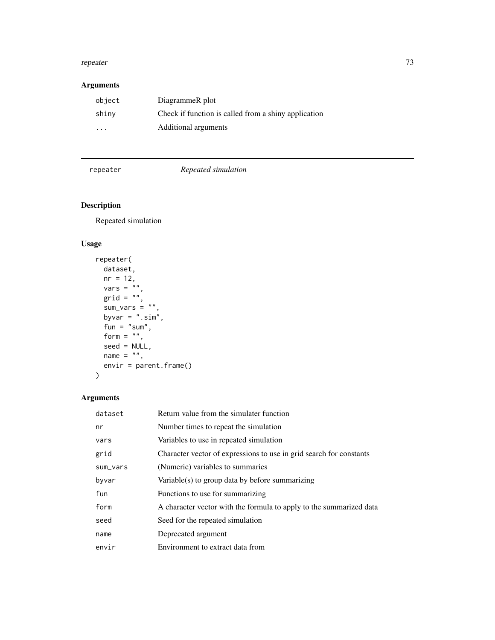#### <span id="page-72-1"></span>repeater 73

# Arguments

| object | DiagrammeR plot                                      |
|--------|------------------------------------------------------|
| shiny  | Check if function is called from a shiny application |
| .      | Additional arguments                                 |

<span id="page-72-0"></span>repeater *Repeated simulation*

# Description

Repeated simulation

# Usage

```
repeater(
  dataset,
  nr = 12,vars = \sum_{n=1}^{\infty}grid = "",sum\_vars = "",byvar = " . \text{sim"},
  fun = "sum",
  form = ",
  seed = NULL,
 name = ",
  envir = parent.frame()
)
```

| dataset  | Return value from the simulater function                            |
|----------|---------------------------------------------------------------------|
| nr       | Number times to repeat the simulation                               |
| vars     | Variables to use in repeated simulation                             |
| grid     | Character vector of expressions to use in grid search for constants |
| sum_vars | (Numeric) variables to summaries                                    |
| byvar    | Variable(s) to group data by before summarizing                     |
| fun      | Functions to use for summarizing                                    |
| form     | A character vector with the formula to apply to the summarized data |
| seed     | Seed for the repeated simulation                                    |
| name     | Deprecated argument                                                 |
| envir    | Environment to extract data from                                    |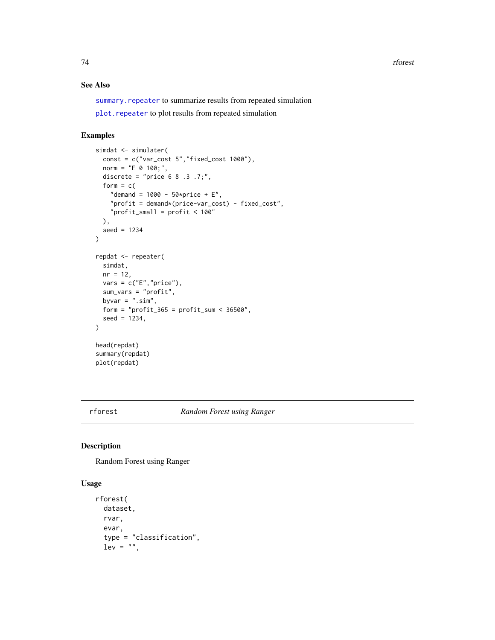<span id="page-73-1"></span>74 rforest

#### See Also

summary. repeater to summarize results from repeated simulation

[plot.repeater](#page-48-0) to plot results from repeated simulation

# Examples

```
simdat <- simulater(
  const = c("var_cost 5","fixed_cost 1000"),
  norm = "E 0 100;",discrete = "price 6 8 .3 .7;",
  form = c("demand = 1000 - 50*price + E",
    "profit = demand*(price-var_cost) - fixed_cost",
    "profit_small = profit < 100"
  ),
  seed = 1234
\mathcal{L}repdat <- repeater(
  simdat,
 nr = 12,
 vars = c("E", "price"),sum_vars = "profit",
  byvar = " . sim",form = "profit_365 = profit\_sum < 36500",
  seed = 1234,
)
head(repdat)
summary(repdat)
plot(repdat)
```
<span id="page-73-0"></span>rforest *Random Forest using Ranger*

#### Description

Random Forest using Ranger

#### Usage

```
rforest(
 dataset,
  rvar,
  evar,
  type = "classification",
  lev = "",
```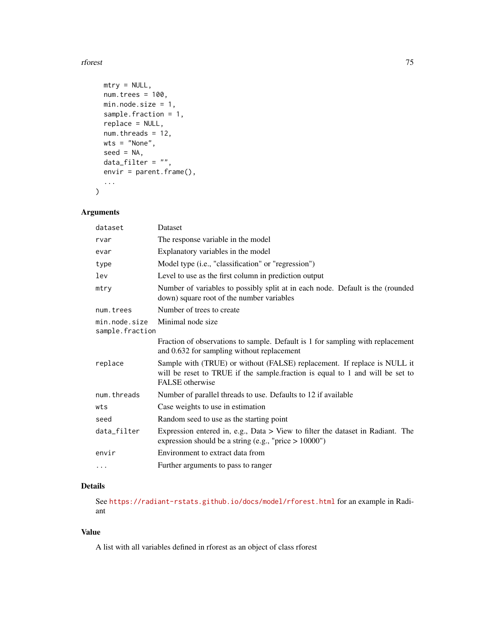#### rforest 75

```
mtry = NULL,num.trees = 100,
 min.node.size = 1,
 sample.fraction = 1,
  replace = NULL,
 num.threads = 12,
 wts = "None",seed = NA,
 data_fitter = "",envir = parent.frame(),
  ...
\mathcal{L}
```
# Arguments

| Dataset                                                                                                                                                                      |
|------------------------------------------------------------------------------------------------------------------------------------------------------------------------------|
| The response variable in the model                                                                                                                                           |
| Explanatory variables in the model                                                                                                                                           |
| Model type (i.e., "classification" or "regression")                                                                                                                          |
| Level to use as the first column in prediction output                                                                                                                        |
| Number of variables to possibly split at in each node. Default is the (rounded<br>down) square root of the number variables                                                  |
| Number of trees to create                                                                                                                                                    |
| Minimal node size<br>sample.fraction                                                                                                                                         |
| Fraction of observations to sample. Default is 1 for sampling with replacement<br>and 0.632 for sampling without replacement                                                 |
| Sample with (TRUE) or without (FALSE) replacement. If replace is NULL it<br>will be reset to TRUE if the sample fraction is equal to 1 and will be set to<br>FALSE otherwise |
| Number of parallel threads to use. Defaults to 12 if available                                                                                                               |
| Case weights to use in estimation                                                                                                                                            |
| Random seed to use as the starting point                                                                                                                                     |
| Expression entered in, e.g., Data $>$ View to filter the dataset in Radiant. The<br>expression should be a string (e.g., "price $> 10000$ ")                                 |
| Environment to extract data from                                                                                                                                             |
| Further arguments to pass to ranger                                                                                                                                          |
|                                                                                                                                                                              |

# Details

See <https://radiant-rstats.github.io/docs/model/rforest.html> for an example in Radiant

# Value

A list with all variables defined in rforest as an object of class rforest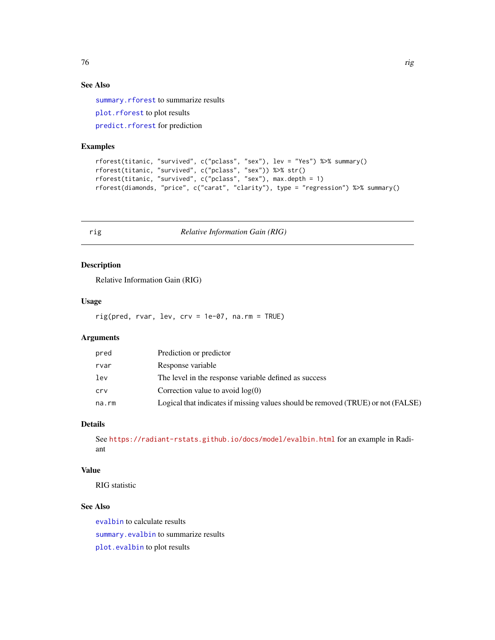# <span id="page-75-0"></span>See Also

[summary.rforest](#page-99-1) to summarize results [plot.rforest](#page-48-1) to plot results [predict.rforest](#page-60-0) for prediction

#### Examples

```
rforest(titanic, "survived", c("pclass", "sex"), lev = "Yes") %>% summary()
rforest(titanic, "survived", c("pclass", "sex")) %>% str()
rforest(titanic, "survived", c("pclass", "sex"), max.depth = 1)
rforest(diamonds, "price", c("carat", "clarity"), type = "regression") %>% summary()
```
rig *Relative Information Gain (RIG)*

# Description

Relative Information Gain (RIG)

#### Usage

rig(pred, rvar, lev, crv = 1e-07, na.rm = TRUE)

# Arguments

| pred  | Prediction or predictor                                                          |
|-------|----------------------------------------------------------------------------------|
| rvar  | Response variable                                                                |
| lev   | The level in the response variable defined as success                            |
| crv   | Correction value to avoid $log(0)$                                               |
| na.rm | Logical that indicates if missing values should be removed (TRUE) or not (FALSE) |

## Details

See <https://radiant-rstats.github.io/docs/model/evalbin.html> for an example in Radiant

# Value

RIG statistic

# See Also

[evalbin](#page-18-0) to calculate results [summary.evalbin](#page-92-0) to summarize results [plot.evalbin](#page-36-0) to plot results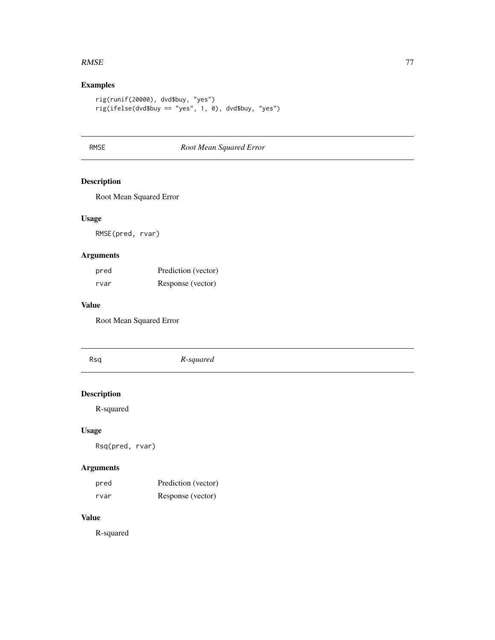#### <span id="page-76-0"></span> $RMSE$  77

# Examples

```
rig(runif(20000), dvd$buy, "yes")
rig(ifelse(dvd$buy == "yes", 1, 0), dvd$buy, "yes")
```
# RMSE *Root Mean Squared Error*

# Description

Root Mean Squared Error

# Usage

RMSE(pred, rvar)

# Arguments

| pred | Prediction (vector) |
|------|---------------------|
| rvar | Response (vector)   |

#### Value

Root Mean Squared Error

| Rsq                             | R-squared |
|---------------------------------|-----------|
| <b>Description</b><br>R-squared |           |

# Usage

Rsq(pred, rvar)

# Arguments

| pred | Prediction (vector) |
|------|---------------------|
| rvar | Response (vector)   |

# Value

R-squared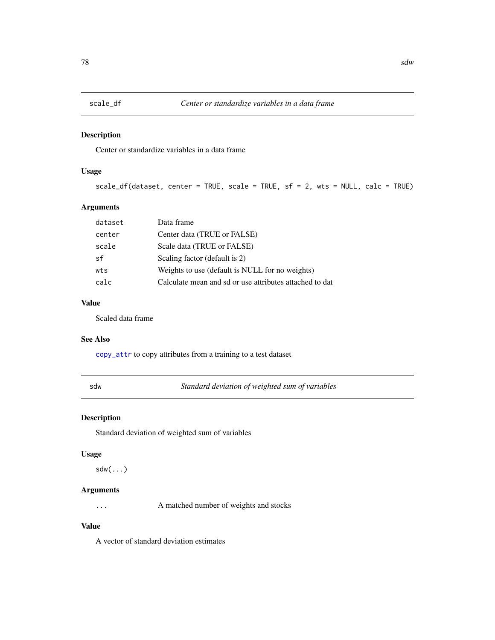<span id="page-77-0"></span>

Center or standardize variables in a data frame

# Usage

scale\_df(dataset, center = TRUE, scale = TRUE, sf = 2, wts = NULL, calc = TRUE)

# Arguments

| dataset | Data frame                                              |
|---------|---------------------------------------------------------|
| center  | Center data (TRUE or FALSE)                             |
| scale   | Scale data (TRUE or FALSE)                              |
| sf      | Scaling factor (default is 2)                           |
| wts     | Weights to use (default is NULL for no weights)         |
| calc    | Calculate mean and sd or use attributes attached to dat |

#### Value

Scaled data frame

#### See Also

[copy\\_attr](#page-0-0) to copy attributes from a training to a test dataset

sdw *Standard deviation of weighted sum of variables*

#### Description

Standard deviation of weighted sum of variables

#### Usage

sdw(...)

#### Arguments

... A matched number of weights and stocks

# Value

A vector of standard deviation estimates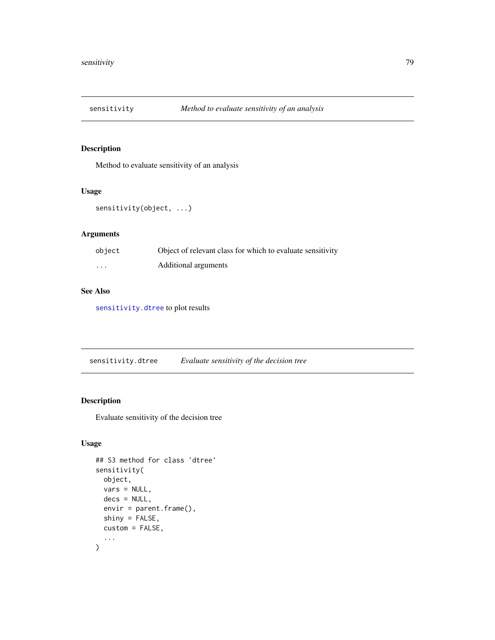<span id="page-78-1"></span>

Method to evaluate sensitivity of an analysis

#### Usage

```
sensitivity(object, ...)
```
# Arguments

| object  | Object of relevant class for which to evaluate sensitivity |
|---------|------------------------------------------------------------|
| $\cdot$ | Additional arguments                                       |

# See Also

[sensitivity.dtree](#page-78-0) to plot results

<span id="page-78-0"></span>sensitivity.dtree *Evaluate sensitivity of the decision tree*

# Description

Evaluate sensitivity of the decision tree

#### Usage

```
## S3 method for class 'dtree'
sensitivity(
 object,
 vars = NULL,
  decs = NULL,
 envir = parent.frame(),
  shiny = FALSE,
 custom = FALSE,
  ...
\mathcal{L}
```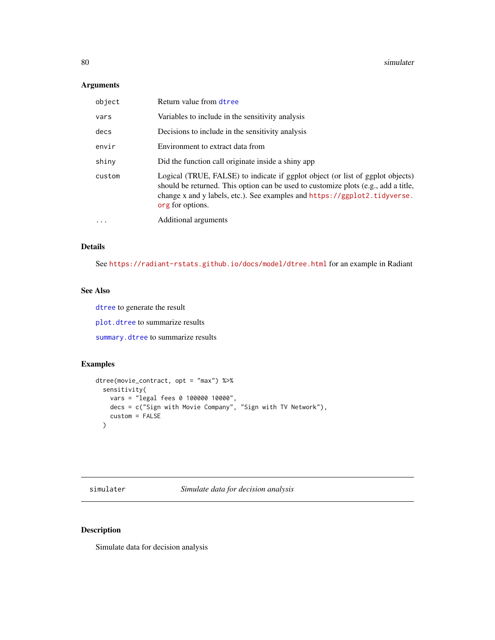#### <span id="page-79-1"></span>Arguments

| object   | Return value from dtree                                                                                                                                                                                                                                               |
|----------|-----------------------------------------------------------------------------------------------------------------------------------------------------------------------------------------------------------------------------------------------------------------------|
| vars     | Variables to include in the sensitivity analysis                                                                                                                                                                                                                      |
| decs     | Decisions to include in the sensitivity analysis                                                                                                                                                                                                                      |
| envir    | Environment to extract data from                                                                                                                                                                                                                                      |
| shiny    | Did the function call originate inside a shiny app                                                                                                                                                                                                                    |
| custom   | Logical (TRUE, FALSE) to indicate if ggplot object (or list of ggplot objects)<br>should be returned. This option can be used to customize plots (e.g., add a title,<br>change x and y labels, etc.). See examples and https://ggplot2.tidyverse.<br>org for options. |
| $\cdots$ | Additional arguments                                                                                                                                                                                                                                                  |

# Details

See <https://radiant-rstats.github.io/docs/model/dtree.html> for an example in Radiant

#### See Also

[dtree](#page-16-0) to generate the result

[plot.dtree](#page-35-0) to summarize results

[summary.dtree](#page-91-0) to summarize results

# Examples

```
dtree(movie_contract, opt = "max") %>%
  sensitivity(
   vars = "legal fees 0 100000 10000",
   decs = c("Sign with Movie Company", "Sign with TV Network"),
   custom = FALSE
  )
```
<span id="page-79-0"></span>simulater *Simulate data for decision analysis*

# Description

Simulate data for decision analysis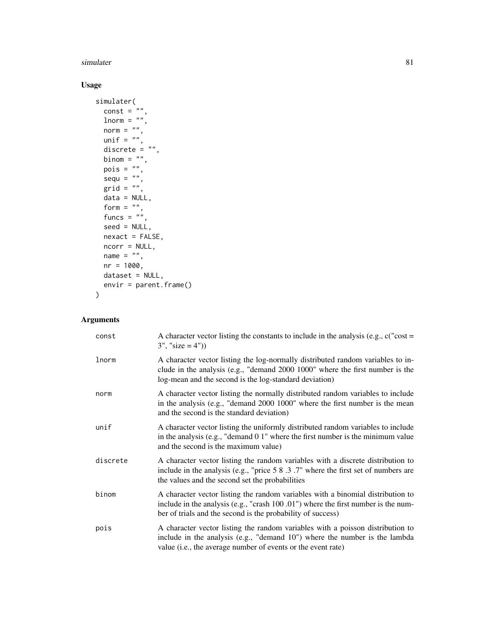#### simulater 81

# Usage

```
simulater(
  const = \sin,
  \frac{1}{\text{norm}} = \frac{1}{n}norm = ",
 unif = \binom{n}{n},
  discrete = ",
 binom = ",
 pois = ",
  sequ = "",grid = "",data = NULL,
  form = ",
  funcs = ",
  seed = NULL,
  nexact = FALSE,
  ncorr = NULL,
  name = ",
  nr = 1000,dataset = NULL,
  envir = parent.frame())
```

| const    | A character vector listing the constants to include in the analysis (e.g., $c("cost =$<br>$3''$ , "size = 4")                                                                                                                          |
|----------|----------------------------------------------------------------------------------------------------------------------------------------------------------------------------------------------------------------------------------------|
| lnorm    | A character vector listing the log-normally distributed random variables to in-<br>clude in the analysis (e.g., "demand 2000 1000" where the first number is the<br>log-mean and the second is the log-standard deviation)             |
| norm     | A character vector listing the normally distributed random variables to include<br>in the analysis (e.g., "demand 2000 1000" where the first number is the mean<br>and the second is the standard deviation)                           |
| unif     | A character vector listing the uniformly distributed random variables to include<br>in the analysis (e.g., "demand $01$ " where the first number is the minimum value<br>and the second is the maximum value)                          |
| discrete | A character vector listing the random variables with a discrete distribution to<br>include in the analysis (e.g., "price 5 8 .3 .7" where the first set of numbers are<br>the values and the second set the probabilities              |
| binom    | A character vector listing the random variables with a binomial distribution to<br>include in the analysis (e.g., "crash $100.01$ ") where the first number is the num-<br>ber of trials and the second is the probability of success) |
| pois     | A character vector listing the random variables with a poisson distribution to<br>include in the analysis (e.g., "demand $10$ ") where the number is the lambda<br>value (i.e., the average number of events or the event rate)        |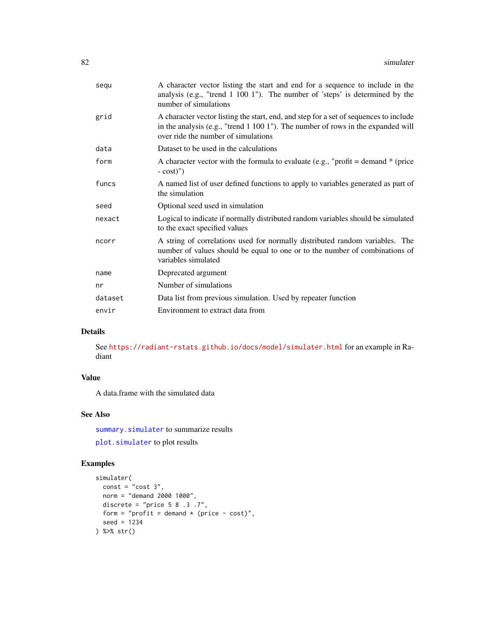<span id="page-81-0"></span>

| segu    | A character vector listing the start and end for a sequence to include in the<br>analysis (e.g., "trend 1 100 1"). The number of 'steps' is determined by the<br>number of simulations                           |
|---------|------------------------------------------------------------------------------------------------------------------------------------------------------------------------------------------------------------------|
| grid    | A character vector listing the start, end, and step for a set of sequences to include<br>in the analysis (e.g., "trend 1 100 1"). The number of rows in the expanded will<br>over ride the number of simulations |
| data    | Dataset to be used in the calculations                                                                                                                                                                           |
| form    | A character vector with the formula to evaluate (e.g., "profit = demand $*$ (price<br>$-cost)$ ")                                                                                                                |
| funcs   | A named list of user defined functions to apply to variables generated as part of<br>the simulation                                                                                                              |
| seed    | Optional seed used in simulation                                                                                                                                                                                 |
| nexact  | Logical to indicate if normally distributed random variables should be simulated<br>to the exact specified values                                                                                                |
| ncorr   | A string of correlations used for normally distributed random variables. The<br>number of values should be equal to one or to the number of combinations of<br>variables simulated                               |
| name    | Deprecated argument                                                                                                                                                                                              |
| nr      | Number of simulations                                                                                                                                                                                            |
| dataset | Data list from previous simulation. Used by repeater function                                                                                                                                                    |
| envir   | Environment to extract data from                                                                                                                                                                                 |
|         |                                                                                                                                                                                                                  |

# Details

See <https://radiant-rstats.github.io/docs/model/simulater.html> for an example in Radiant

# Value

A data.frame with the simulated data

# See Also

[summary.simulater](#page-100-0) to summarize results

```
plot.simulater to plot results
```

```
simulater(
 const = "cost 3",norm = "demand 2000 1000",
  discrete = "price 5 8 .3 .7",
  form = "profit = demand * (price - cost)",
  seed = 1234
) %>% str()
```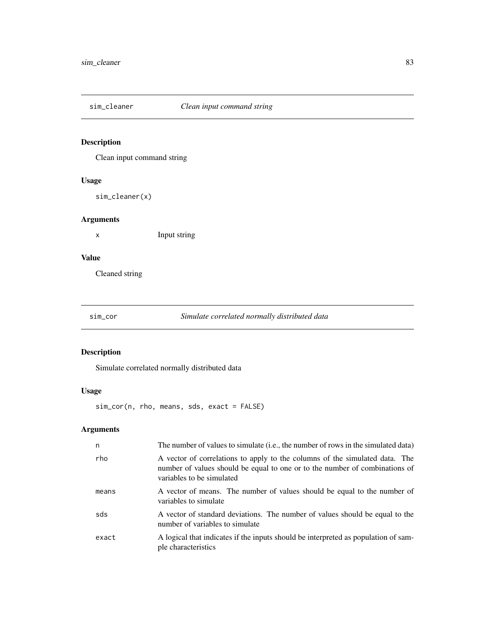<span id="page-82-0"></span>

Clean input command string

# Usage

sim\_cleaner(x)

# Arguments

x Input string

# Value

Cleaned string

sim\_cor *Simulate correlated normally distributed data*

# Description

Simulate correlated normally distributed data

# Usage

sim\_cor(n, rho, means, sds, exact = FALSE)

| n     | The number of values to simulate (i.e., the number of rows in the simulated data)                                                                                                       |
|-------|-----------------------------------------------------------------------------------------------------------------------------------------------------------------------------------------|
| rho   | A vector of correlations to apply to the columns of the simulated data. The<br>number of values should be equal to one or to the number of combinations of<br>variables to be simulated |
| means | A vector of means. The number of values should be equal to the number of<br>variables to simulate                                                                                       |
| sds   | A vector of standard deviations. The number of values should be equal to the<br>number of variables to simulate                                                                         |
| exact | A logical that indicates if the inputs should be interpreted as population of sam-<br>ple characteristics                                                                               |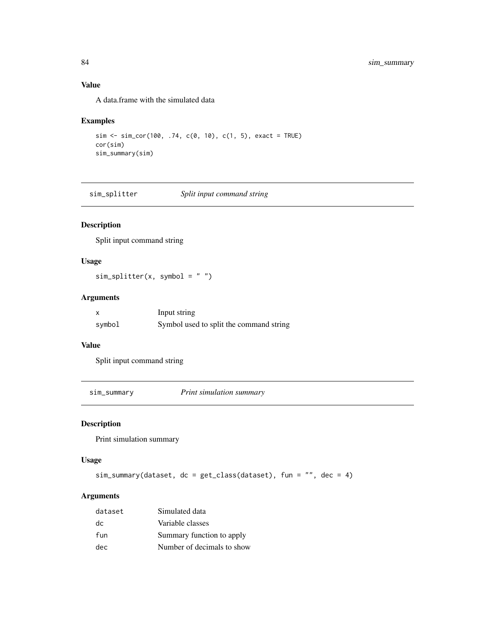# Value

A data.frame with the simulated data

#### Examples

```
sim <- sim_cor(100, .74, c(0, 10), c(1, 5), exact = TRUE)
cor(sim)
sim_summary(sim)
```
sim\_splitter *Split input command string*

# Description

Split input command string

# Usage

 $sim\_splitter(x, symbol = "")$ 

# Arguments

|        | Input string                            |
|--------|-----------------------------------------|
| symbol | Symbol used to split the command string |

#### Value

Split input command string

sim\_summary *Print simulation summary*

# Description

Print simulation summary

#### Usage

```
sim_summary(dataset, dc = get_class(dataset), fun = "", dec = 4)
```

| dataset | Simulated data             |
|---------|----------------------------|
| dc      | Variable classes           |
| fun     | Summary function to apply  |
| dec     | Number of decimals to show |

<span id="page-83-0"></span>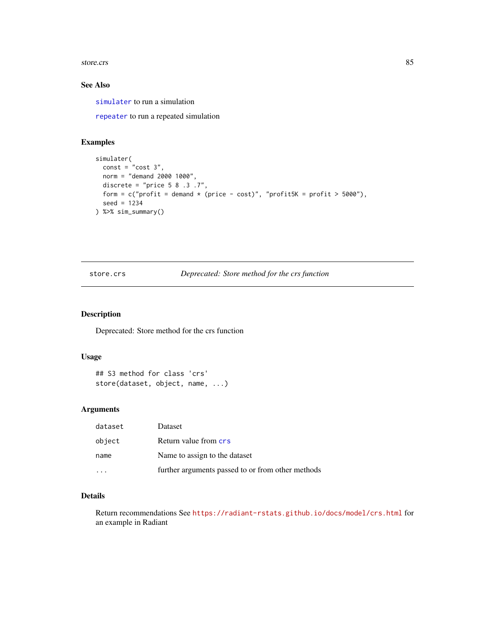#### <span id="page-84-0"></span>store.crs 85

#### See Also

[simulater](#page-79-0) to run a simulation

[repeater](#page-72-0) to run a repeated simulation

# Examples

```
simulater(
 const = "cost 3",norm = "demand 2000 1000",
 discrete = "price 5 8 .3 .7",form = c("profit = demand * (price - cost)", "profit5K = profit > 5000"),seed = 1234
) %>% sim_summary()
```
# store.crs *Deprecated: Store method for the crs function*

# Description

Deprecated: Store method for the crs function

#### Usage

```
## S3 method for class 'crs'
store(dataset, object, name, ...)
```
#### Arguments

| dataset | Dataset                                           |
|---------|---------------------------------------------------|
| object  | Return value from crs                             |
| name    | Name to assign to the dataset                     |
|         | further arguments passed to or from other methods |

# Details

Return recommendations See <https://radiant-rstats.github.io/docs/model/crs.html> for an example in Radiant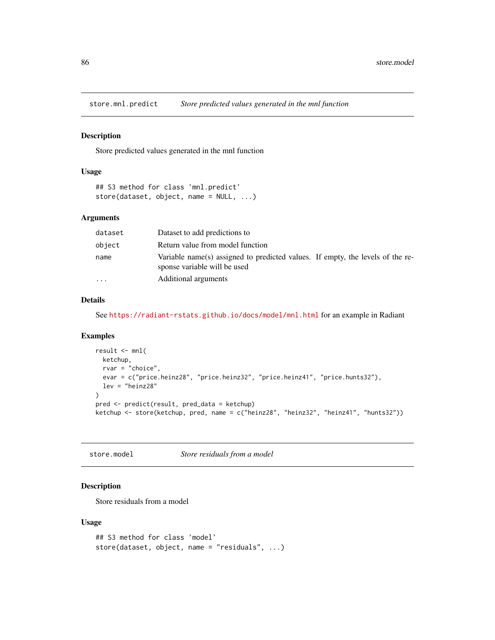<span id="page-85-0"></span>

Store predicted values generated in the mnl function

#### Usage

```
## S3 method for class 'mnl.predict'
store(dataset, object, name = NULL, ...)
```
## Arguments

| dataset | Dataset to add predictions to                                                                                  |
|---------|----------------------------------------------------------------------------------------------------------------|
| object  | Return value from model function                                                                               |
| name    | Variable name(s) assigned to predicted values. If empty, the levels of the re-<br>sponse variable will be used |
| $\cdot$ | Additional arguments                                                                                           |

## Details

See <https://radiant-rstats.github.io/docs/model/mnl.html> for an example in Radiant

#### Examples

```
result <- mnl(
  ketchup,
  rvar = "choice",
  evar = c("price.heinz28", "price.heinz32", "price.heinz41", "price.hunts32"),
  lev = "heinz28"
\mathcal{L}pred <- predict(result, pred_data = ketchup)
ketchup <- store(ketchup, pred, name = c("heinz28", "heinz32", "heinz41", "hunts32"))
```
store.model *Store residuals from a model*

#### Description

Store residuals from a model

#### Usage

```
## S3 method for class 'model'
store(dataset, object, name = "residuals", ...)
```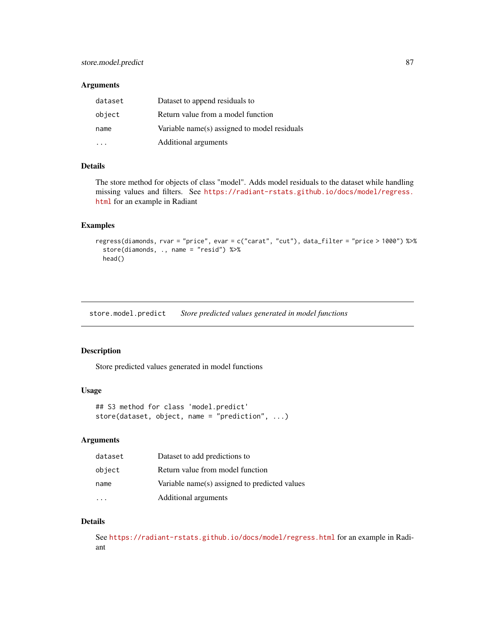#### <span id="page-86-0"></span>Arguments

| dataset | Dataset to append residuals to               |
|---------|----------------------------------------------|
| object  | Return value from a model function           |
| name    | Variable name(s) assigned to model residuals |
|         | Additional arguments                         |

#### Details

The store method for objects of class "model". Adds model residuals to the dataset while handling missing values and filters. See [https://radiant-rstats.github.io/docs/model/regress.](https://radiant-rstats.github.io/docs/model/regress.html) [html](https://radiant-rstats.github.io/docs/model/regress.html) for an example in Radiant

#### Examples

```
regress(diamonds, rvar = "price", evar = c("carat", "cut"), data_filter = "price > 1000") %>%
 store(diamonds, ., name = "resid") %>%
 head()
```
store.model.predict *Store predicted values generated in model functions*

# Description

Store predicted values generated in model functions

# Usage

```
## S3 method for class 'model.predict'
store(dataset, object, name = "prediction", ...)
```
#### Arguments

| dataset | Dataset to add predictions to                 |
|---------|-----------------------------------------------|
| object  | Return value from model function              |
| name    | Variable name(s) assigned to predicted values |
|         | Additional arguments                          |

#### Details

See <https://radiant-rstats.github.io/docs/model/regress.html> for an example in Radiant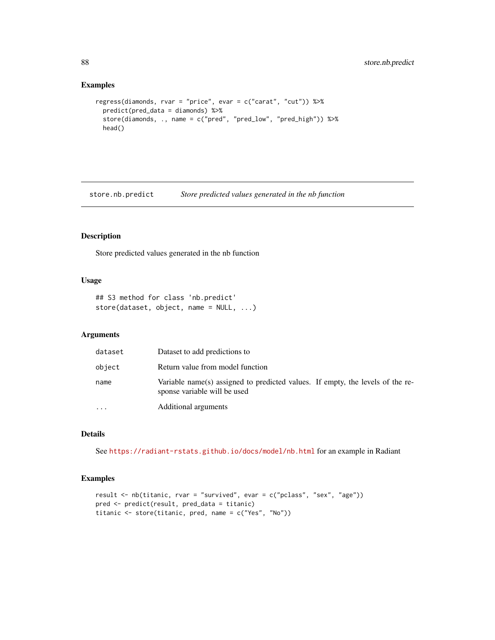#### Examples

```
regress(diamonds, rvar = "price", evar = c("carat", "cut")) %>%
 predict(pred_data = diamonds) %>%
 store(diamonds, ., name = c("pred", "pred_low", "pred_high")) %>%
 head()
```
store.nb.predict *Store predicted values generated in the nb function*

# Description

Store predicted values generated in the nb function

#### Usage

```
## S3 method for class 'nb.predict'
store(dataset, object, name = NULL, ...)
```
#### Arguments

| dataset   | Dataset to add predictions to                                                                                  |
|-----------|----------------------------------------------------------------------------------------------------------------|
| object    | Return value from model function                                                                               |
| name      | Variable name(s) assigned to predicted values. If empty, the levels of the re-<br>sponse variable will be used |
| $\ddotsc$ | Additional arguments                                                                                           |

# Details

See <https://radiant-rstats.github.io/docs/model/nb.html> for an example in Radiant

```
result <- nb(titanic, rvar = "survived", evar = c("pclass", "sex", "age"))
pred <- predict(result, pred_data = titanic)
titanic <- store(titanic, pred, name = c("Yes", "No"))
```
<span id="page-87-0"></span>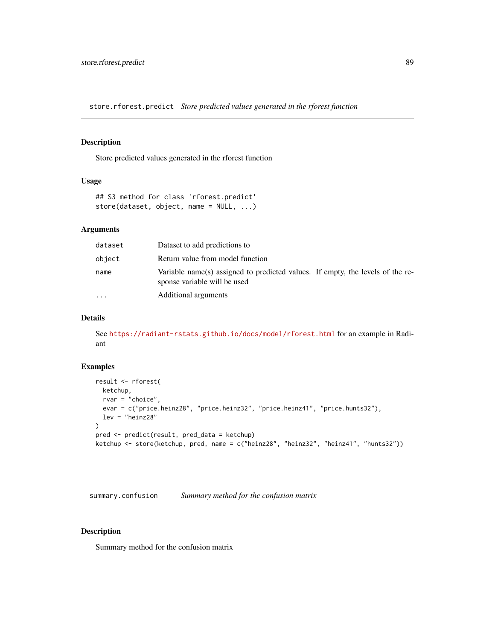<span id="page-88-0"></span>store.rforest.predict *Store predicted values generated in the rforest function*

# Description

Store predicted values generated in the rforest function

#### Usage

```
## S3 method for class 'rforest.predict'
store(dataset, object, name = NULL, ...)
```
#### Arguments

| dataset   | Dataset to add predictions to                                                                                  |
|-----------|----------------------------------------------------------------------------------------------------------------|
| object    | Return value from model function                                                                               |
| name      | Variable name(s) assigned to predicted values. If empty, the levels of the re-<br>sponse variable will be used |
| $\ddotsc$ | Additional arguments                                                                                           |

#### Details

See <https://radiant-rstats.github.io/docs/model/rforest.html> for an example in Radiant

#### Examples

```
result <- rforest(
  ketchup,
  rvar = "choice",
  evar = c("price.heinz28", "price.heinz32", "price.heinz41", "price.hunts32"),
  lev = "heinz28"
)
pred <- predict(result, pred_data = ketchup)
ketchup <- store(ketchup, pred, name = c("heinz28", "heinz32", "heinz41", "hunts32"))
```
summary.confusion *Summary method for the confusion matrix*

#### Description

Summary method for the confusion matrix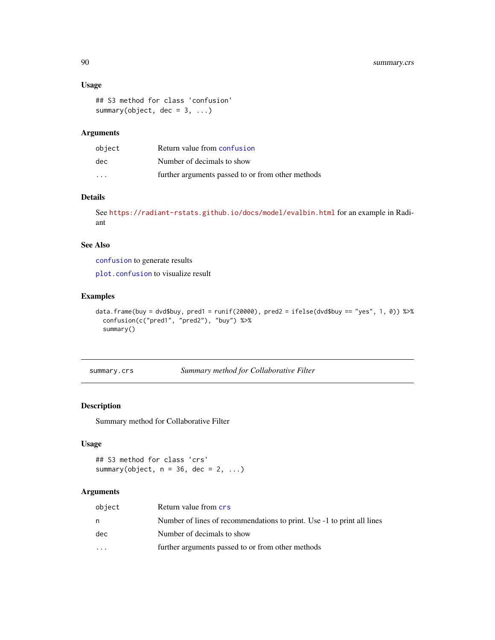#### Usage

```
## S3 method for class 'confusion'
summary(object, dec = 3, ...)
```
# Arguments

| object               | Return value from confusion                       |
|----------------------|---------------------------------------------------|
| dec                  | Number of decimals to show                        |
| $\ddot{\phantom{0}}$ | further arguments passed to or from other methods |

# Details

See <https://radiant-rstats.github.io/docs/model/evalbin.html> for an example in Radiant

#### See Also

[confusion](#page-5-0) to generate results

[plot.confusion](#page-32-0) to visualize result

#### Examples

```
data.frame(buy = dvd$buy, pred1 = runif(20000), pred2 = ifelse(dvd$buy == "yes", 1, 0)) %>%
  confusion(c("pred1", "pred2"), "buy") %>%
  summary()
```
summary.crs *Summary method for Collaborative Filter*

#### Description

Summary method for Collaborative Filter

# Usage

```
## S3 method for class 'crs'
summary(object, n = 36, dec = 2, ...)
```

| object  | Return value from crs                                                  |
|---------|------------------------------------------------------------------------|
| n       | Number of lines of recommendations to print. Use -1 to print all lines |
| dec     | Number of decimals to show                                             |
| $\cdot$ | further arguments passed to or from other methods                      |

<span id="page-89-0"></span>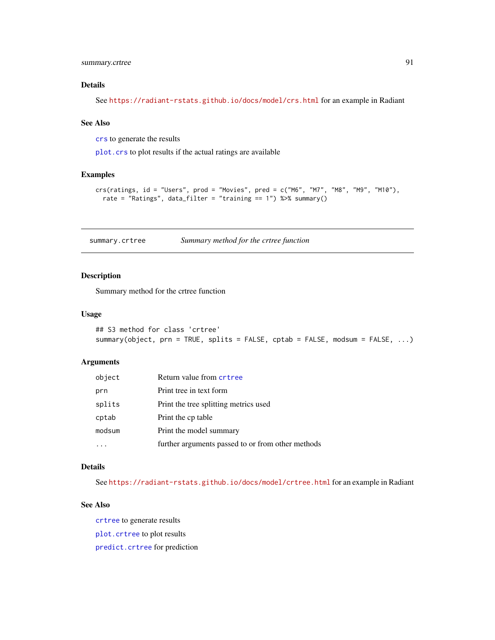# <span id="page-90-0"></span>summary.crtree 91

#### Details

See <https://radiant-rstats.github.io/docs/model/crs.html> for an example in Radiant

#### See Also

[crs](#page-6-0) to generate the results

[plot.crs](#page-33-0) to plot results if the actual ratings are available

#### Examples

```
crs(ratings, id = "Users", prod = "Movies", pred = c("M6", "M7", "M8", "M9", "M10"),
  rate = "Ratings", data_filter = "training == 1") %>% summary()
```
summary.crtree *Summary method for the crtree function*

# Description

Summary method for the crtree function

#### Usage

```
## S3 method for class 'crtree'
summary(object, prn = TRUE, splits = FALSE, cptab = FALSE, modsum = FALSE, ...)
```
#### Arguments

| object | Return value from crtree                          |
|--------|---------------------------------------------------|
| prn    | Print tree in text form                           |
| splits | Print the tree splitting metrics used             |
| cptab  | Print the cp table                                |
| modsum | Print the model summary                           |
|        | further arguments passed to or from other methods |

# Details

See <https://radiant-rstats.github.io/docs/model/crtree.html> for an example in Radiant

#### See Also

[crtree](#page-7-0) to generate results [plot.crtree](#page-34-0) to plot results

[predict.crtree](#page-52-0) for prediction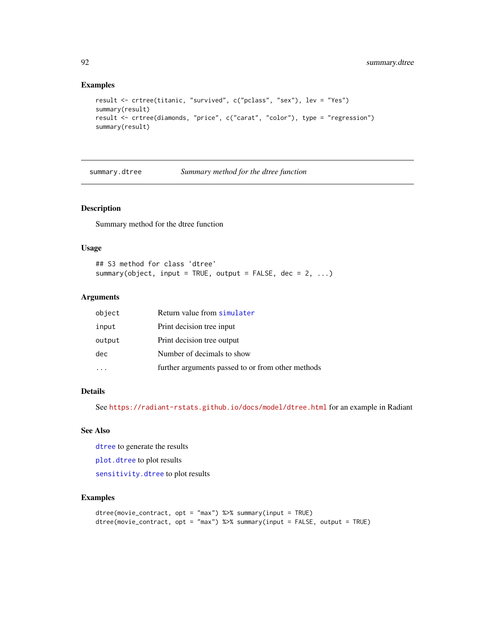#### Examples

```
result <- crtree(titanic, "survived", c("pclass", "sex"), lev = "Yes")
summary(result)
result <- crtree(diamonds, "price", c("carat", "color"), type = "regression")
summary(result)
```
<span id="page-91-0"></span>summary.dtree *Summary method for the dtree function*

# Description

Summary method for the dtree function

#### Usage

## S3 method for class 'dtree' summary(object, input = TRUE, output = FALSE, dec =  $2, ...$ )

# Arguments

| object | Return value from simulater                       |
|--------|---------------------------------------------------|
| input  | Print decision tree input                         |
| output | Print decision tree output                        |
| dec    | Number of decimals to show                        |
|        | further arguments passed to or from other methods |

# Details

See <https://radiant-rstats.github.io/docs/model/dtree.html> for an example in Radiant

#### See Also

[dtree](#page-16-0) to generate the results

[plot.dtree](#page-35-0) to plot results

[sensitivity.dtree](#page-78-0) to plot results

```
dtree(movie_contract, opt = "max") %>% summary(input = TRUE)
dtree(movie_contract, opt = "max") %>% summary(input = FALSE, output = TRUE)
```
<span id="page-91-1"></span>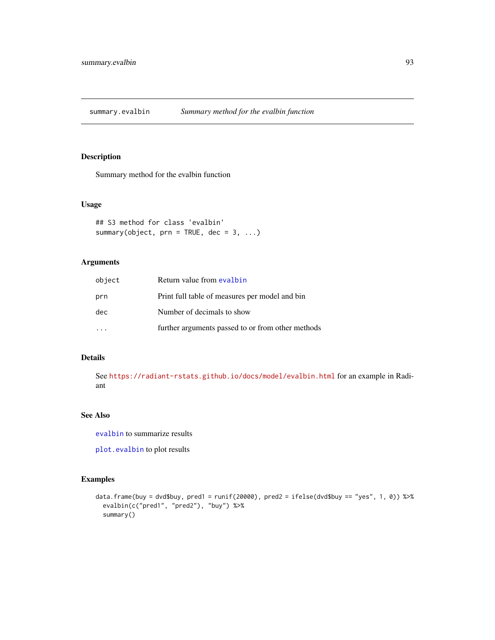<span id="page-92-1"></span><span id="page-92-0"></span>summary.evalbin *Summary method for the evalbin function*

#### Description

Summary method for the evalbin function

#### Usage

```
## S3 method for class 'evalbin'
summary(object, prn = TRUE, dec = 3, ...)
```
# Arguments

| object | Return value from evalbin                         |
|--------|---------------------------------------------------|
| prn    | Print full table of measures per model and bin    |
| dec    | Number of decimals to show                        |
|        | further arguments passed to or from other methods |

#### Details

See <https://radiant-rstats.github.io/docs/model/evalbin.html> for an example in Radiant

# See Also

[evalbin](#page-18-0) to summarize results

[plot.evalbin](#page-36-0) to plot results

```
data.frame(buy = dvd$buy, pred1 = runif(20000), pred2 = ifelse(dvd$buy == "yes", 1, 0)) %>%
 evalbin(c("pred1", "pred2"), "buy") %>%
 summary()
```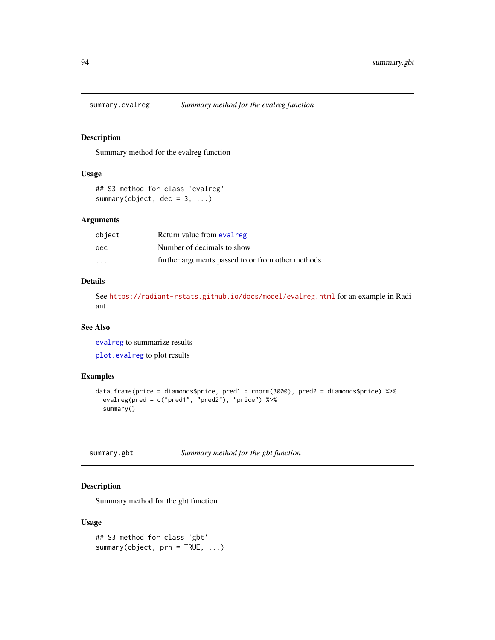<span id="page-93-0"></span>

Summary method for the evalreg function

#### Usage

```
## S3 method for class 'evalreg'
summary(object, dec = 3, ...)
```
#### Arguments

| object  | Return value from evalreg                         |
|---------|---------------------------------------------------|
| dec.    | Number of decimals to show                        |
| $\cdot$ | further arguments passed to or from other methods |

#### Details

See <https://radiant-rstats.github.io/docs/model/evalreg.html> for an example in Radiant

#### See Also

[evalreg](#page-19-0) to summarize results

[plot.evalreg](#page-37-0) to plot results

#### Examples

```
data.frame(price = diamonds$price, pred1 = rnorm(3000), pred2 = diamonds$price) %>%
  evalreg(pred = c("pred1", "pred2"), "price") %>%
  summary()
```
summary.gbt *Summary method for the gbt function*

# Description

Summary method for the gbt function

#### Usage

```
## S3 method for class 'gbt'
summary(object, prn = TRUE, ...)
```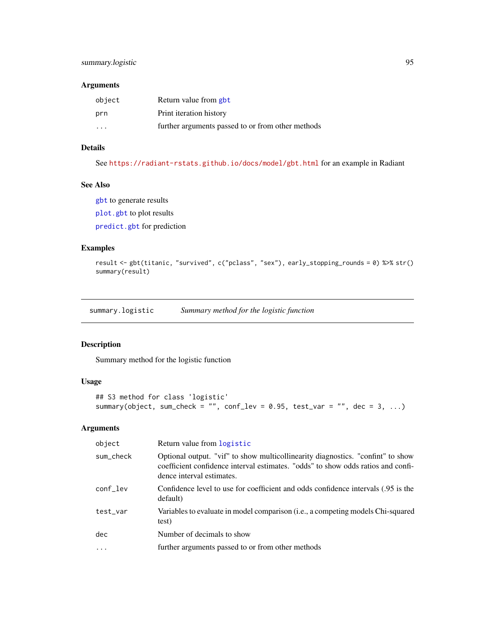# <span id="page-94-0"></span>summary.logistic 95

#### Arguments

| object | Return value from gbt                             |
|--------|---------------------------------------------------|
| prn    | Print iteration history                           |
| .      | further arguments passed to or from other methods |

## Details

See <https://radiant-rstats.github.io/docs/model/gbt.html> for an example in Radiant

## See Also

[gbt](#page-21-0) to generate results

[plot.gbt](#page-38-0) to plot results

[predict.gbt](#page-53-0) for prediction

# Examples

```
result <- gbt(titanic, "survived", c("pclass", "sex"), early_stopping_rounds = 0) %>% str()
summary(result)
```
summary.logistic *Summary method for the logistic function*

# Description

Summary method for the logistic function

#### Usage

```
## S3 method for class 'logistic'
summary(object, sum_check = "", conf_lev = 0.95, test_var = "", dec = 3, ...)
```

| object    | Return value from logistic                                                                                                                                                                       |
|-----------|--------------------------------------------------------------------------------------------------------------------------------------------------------------------------------------------------|
| sum_check | Optional output. "vif" to show multicollinearity diagnostics. "confint" to show<br>coefficient confidence interval estimates. "odds" to show odds ratios and confi-<br>dence interval estimates. |
| conf_lev  | Confidence level to use for coefficient and odds confidence intervals (.95 is the<br>default)                                                                                                    |
| test var  | Variables to evaluate in model comparison (i.e., a competing models Chi-squared<br>test)                                                                                                         |
| dec       | Number of decimals to show                                                                                                                                                                       |
| $\cdots$  | further arguments passed to or from other methods                                                                                                                                                |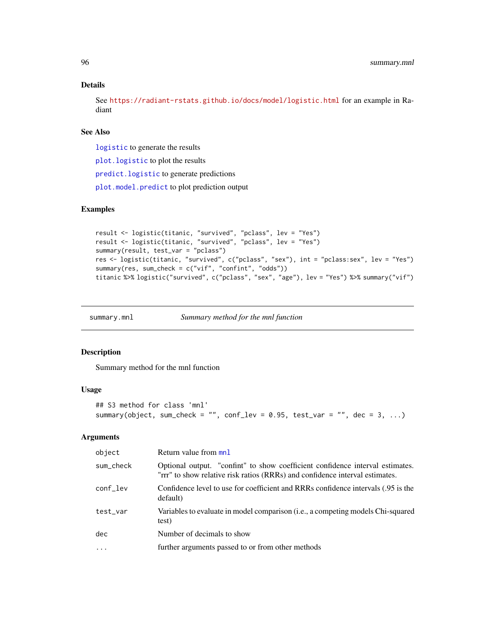#### Details

See <https://radiant-rstats.github.io/docs/model/logistic.html> for an example in Radiant

#### See Also

[logistic](#page-25-0) to generate the results

[plot.logistic](#page-39-0) to plot the results

[predict.logistic](#page-54-0) to generate predictions

[plot.model.predict](#page-42-0) to plot prediction output

# Examples

```
result <- logistic(titanic, "survived", "pclass", lev = "Yes")
result <- logistic(titanic, "survived", "pclass", lev = "Yes")
summary(result, test_var = "pclass")
res <- logistic(titanic, "survived", c("pclass", "sex"), int = "pclass:sex", lev = "Yes")
summary(res, sum_check = c("vif", "confint", "odds"))
titanic %>% logistic("survived", c("pclass", "sex", "age"), lev = "Yes") %>% summary("vif")
```
summary.mnl *Summary method for the mnl function*

#### Description

Summary method for the mnl function

#### Usage

```
## S3 method for class 'mnl'
summary(object, sum_check = "", conf_lev = 0.95, test_var = "", dec = 3, ...)
```

| object    | Return value from mnl                                                                                                                                         |
|-----------|---------------------------------------------------------------------------------------------------------------------------------------------------------------|
| sum_check | Optional output. "confint" to show coefficient confidence interval estimates.<br>"rrr" to show relative risk ratios (RRRs) and confidence interval estimates. |
| conf_lev  | Confidence level to use for coefficient and RRRs confidence intervals (.95 is the<br>default)                                                                 |
| test_var  | Variables to evaluate in model comparison (i.e., a competing models Chi-squared<br>test)                                                                      |
| dec       | Number of decimals to show                                                                                                                                    |
| $\ddotsc$ | further arguments passed to or from other methods                                                                                                             |
|           |                                                                                                                                                               |

<span id="page-95-0"></span>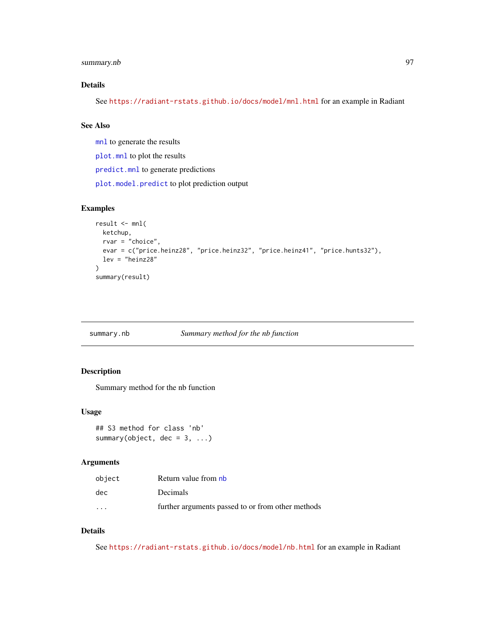# <span id="page-96-0"></span>summary.nb 97

## Details

See <https://radiant-rstats.github.io/docs/model/mnl.html> for an example in Radiant

# See Also

[mnl](#page-27-0) to generate the results

[plot.mnl](#page-40-0) to plot the results

[predict.mnl](#page-55-0) to generate predictions

[plot.model.predict](#page-42-0) to plot prediction output

## Examples

```
result <- mnl(
  ketchup,
  rvar = "choice",
  evar = c("price.heinz28", "price.heinz32", "price.heinz41", "price.hunts32"),
  lev = "heinz28"
\mathcal{L}summary(result)
```
## summary.nb *Summary method for the nb function*

#### Description

Summary method for the nb function

#### Usage

```
## S3 method for class 'nb'
summary(object, dec = 3, ...)
```
# Arguments

| object               | Return value from nb                              |
|----------------------|---------------------------------------------------|
| dec                  | <b>Decimals</b>                                   |
| $\ddot{\phantom{0}}$ | further arguments passed to or from other methods |

# Details

See <https://radiant-rstats.github.io/docs/model/nb.html> for an example in Radiant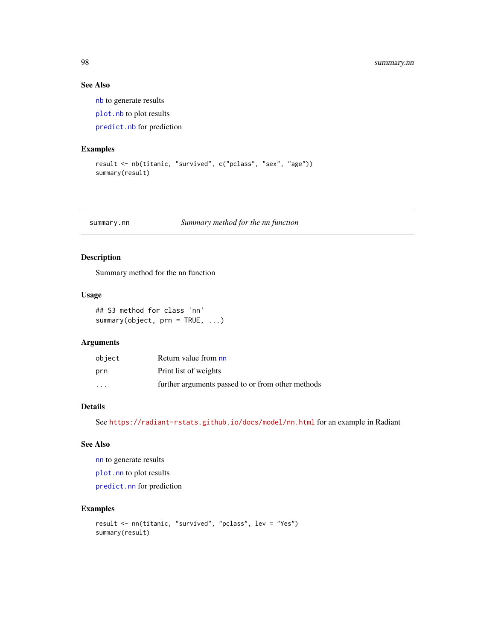# See Also

[nb](#page-29-0) to generate results [plot.nb](#page-43-0) to plot results [predict.nb](#page-56-0) for prediction

#### Examples

```
result <- nb(titanic, "survived", c("pclass", "sex", "age"))
summary(result)
```
summary.nn *Summary method for the nn function*

# Description

Summary method for the nn function

#### Usage

```
## S3 method for class 'nn'
summary(object, prn = TRUE, ...)
```
# Arguments

| object            | Return value from nn                              |
|-------------------|---------------------------------------------------|
| prn               | Print list of weights                             |
| $\cdot\cdot\cdot$ | further arguments passed to or from other methods |

# Details

See <https://radiant-rstats.github.io/docs/model/nn.html> for an example in Radiant

# See Also

[nn](#page-30-0) to generate results

[plot.nn](#page-45-0) to plot results

[predict.nn](#page-58-0) for prediction

```
result <- nn(titanic, "survived", "pclass", lev = "Yes")
summary(result)
```
<span id="page-97-0"></span>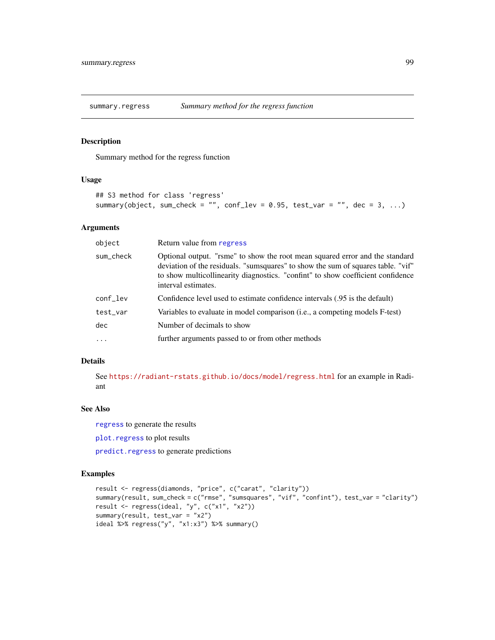<span id="page-98-0"></span>summary.regress *Summary method for the regress function*

# Description

Summary method for the regress function

#### Usage

```
## S3 method for class 'regress'
summary(object, sum_check = "", conf_lev = 0.95, test_var = "", dec = 3, ...)
```
#### Arguments

| object     | Return value from regress                                                                                                                                                                                                                                                  |
|------------|----------------------------------------------------------------------------------------------------------------------------------------------------------------------------------------------------------------------------------------------------------------------------|
| sum_check  | Optional output. "rsme" to show the root mean squared error and the standard<br>deviation of the residuals. "sumsquares" to show the sum of squares table. "vif"<br>to show multicollinearity diagnostics. "confint" to show coefficient confidence<br>interval estimates. |
| conf_lev   | Confidence level used to estimate confidence intervals (.95 is the default)                                                                                                                                                                                                |
| test_var   | Variables to evaluate in model comparison ( <i>i.e.</i> , a competing models F-test)                                                                                                                                                                                       |
| dec        | Number of decimals to show                                                                                                                                                                                                                                                 |
| $\ddots$ . | further arguments passed to or from other methods                                                                                                                                                                                                                          |

#### Details

See <https://radiant-rstats.github.io/docs/model/regress.html> for an example in Radiant

# See Also

[regress](#page-70-0) to generate the results

[plot.regress](#page-46-0) to plot results

[predict.regress](#page-59-0) to generate predictions

```
result <- regress(diamonds, "price", c("carat", "clarity"))
summary(result, sum_check = c("rmse", "sumsquares", "vif", "confint"), test_var = "clarity")
result <- regress(ideal, "y", c("x1", "x2"))
summary(result, test_var = "x2")
ideal %>% regress("y", "x1:x3") %>% summary()
```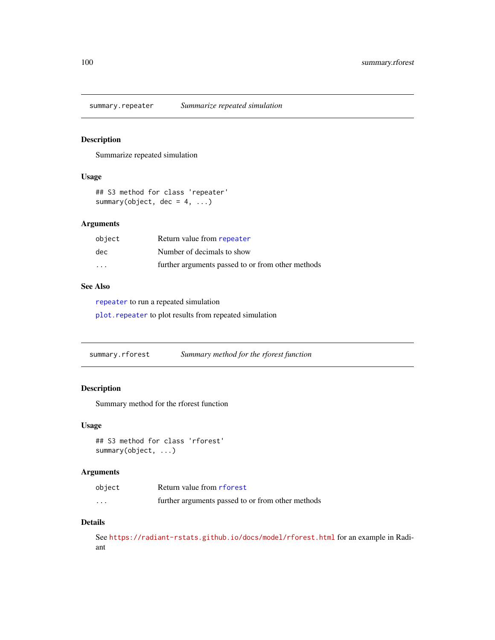<span id="page-99-2"></span><span id="page-99-0"></span>

Summarize repeated simulation

#### Usage

```
## S3 method for class 'repeater'
summary(object, dec = 4, ...)
```
#### Arguments

| object                  | Return value from repeater                        |
|-------------------------|---------------------------------------------------|
| dec.                    | Number of decimals to show                        |
| $\cdot$ $\cdot$ $\cdot$ | further arguments passed to or from other methods |

#### See Also

[repeater](#page-72-0) to run a repeated simulation

[plot.repeater](#page-48-0) to plot results from repeated simulation

<span id="page-99-1"></span>summary.rforest *Summary method for the rforest function*

#### Description

Summary method for the rforest function

#### Usage

```
## S3 method for class 'rforest'
summary(object, ...)
```
#### Arguments

| object | Return value from rforest                         |
|--------|---------------------------------------------------|
| .      | further arguments passed to or from other methods |

#### Details

See <https://radiant-rstats.github.io/docs/model/rforest.html> for an example in Radiant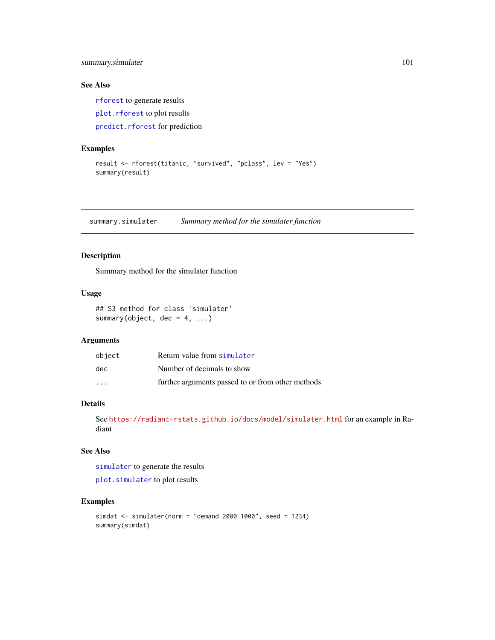<span id="page-100-1"></span>summary.simulater 101

# See Also

[rforest](#page-73-0) to generate results [plot.rforest](#page-48-1) to plot results [predict.rforest](#page-60-0) for prediction

# Examples

```
result <- rforest(titanic, "survived", "pclass", lev = "Yes")
summary(result)
```
<span id="page-100-0"></span>summary.simulater *Summary method for the simulater function*

#### Description

Summary method for the simulater function

# Usage

## S3 method for class 'simulater' summary(object,  $dec = 4, ...$ )

# Arguments

| object                  | Return value from simulater                       |
|-------------------------|---------------------------------------------------|
| dec                     | Number of decimals to show                        |
| $\cdot$ $\cdot$ $\cdot$ | further arguments passed to or from other methods |

## Details

See <https://radiant-rstats.github.io/docs/model/simulater.html> for an example in Radiant

# See Also

[simulater](#page-79-0) to generate the results

[plot.simulater](#page-51-0) to plot results

```
simdat <- simulater(norm = "demand 2000 1000", seed = 1234)
summary(simdat)
```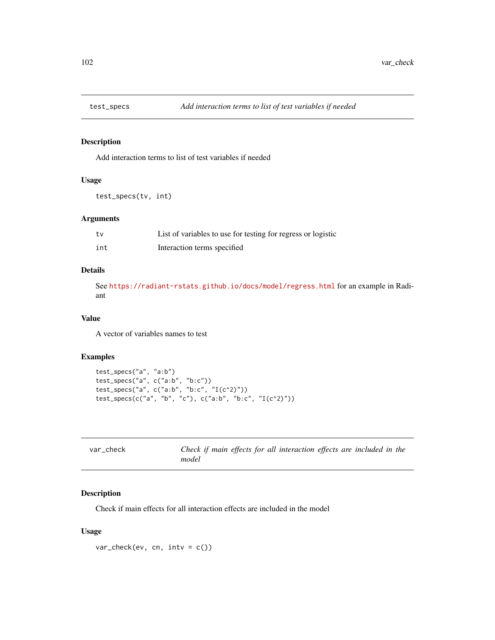<span id="page-101-0"></span>

Add interaction terms to list of test variables if needed

#### Usage

test\_specs(tv, int)

#### Arguments

| tv  | List of variables to use for testing for regress or logistic |
|-----|--------------------------------------------------------------|
| int | Interaction terms specified                                  |

# Details

See <https://radiant-rstats.github.io/docs/model/regress.html> for an example in Radiant

#### Value

A vector of variables names to test

#### Examples

```
test_specs("a", "a:b")
test_specs("a", c("a:b", "b:c"))
test_specs("a", c("a:b", "b:c", "I(c^2)"))
test_specs(c("a", "b", "c"), c("a:b", "b:c", "I(c^2)"))
```

| var check | Check if main effects for all interaction effects are included in the |  |
|-----------|-----------------------------------------------------------------------|--|
|           | model                                                                 |  |

# Description

Check if main effects for all interaction effects are included in the model

#### Usage

 $var_{\text{check}}(ev, cn, intv = c())$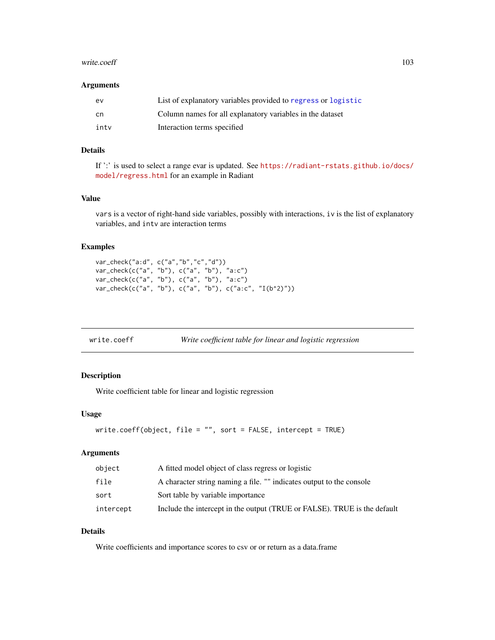#### <span id="page-102-0"></span>write.coeff 103

#### Arguments

| ev   | List of explanatory variables provided to regress or logistic |
|------|---------------------------------------------------------------|
| .cn  | Column names for all explanatory variables in the dataset     |
| intv | Interaction terms specified                                   |

# Details

If ':' is used to select a range evar is updated. See [https://radiant-rstats.github.io/docs/](https://radiant-rstats.github.io/docs/model/regress.html) [model/regress.html](https://radiant-rstats.github.io/docs/model/regress.html) for an example in Radiant

#### Value

vars is a vector of right-hand side variables, possibly with interactions, iv is the list of explanatory variables, and intv are interaction terms

# Examples

```
var_check("a:d", c("a","b","c","d"))
var_check(c("a", "b"), c("a", "b"), "a:c")
var_check(c("a", "b"), c("a", "b"), "a:c")
var_check(c("a", "b"), c("a", "b"), c("a:c", "I(b^2)"))
```

|  | write.coeff | Write coefficient table for linear and logistic regression |  |
|--|-------------|------------------------------------------------------------|--|
|--|-------------|------------------------------------------------------------|--|

# Description

Write coefficient table for linear and logistic regression

#### Usage

```
write.coeff(object, file = "", sort = FALSE, intercept = TRUE)
```
#### Arguments

| object    | A fitted model object of class regress or logistic                       |
|-----------|--------------------------------------------------------------------------|
| file      | A character string naming a file. "" indicates output to the console     |
| sort      | Sort table by variable importance                                        |
| intercept | Include the intercept in the output (TRUE or FALSE). TRUE is the default |

#### Details

Write coefficients and importance scores to csv or or return as a data.frame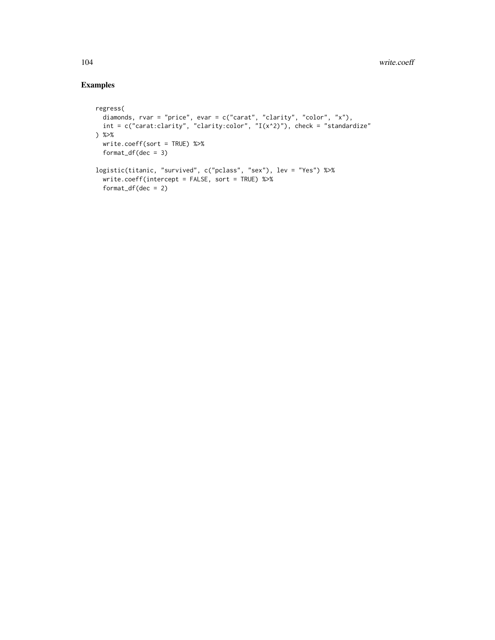```
regress(
 diamonds, rvar = "price", evar = c("carat", "clarity", "color", "x"),
 int = c("carat:clarity", "clarity:color", "I(x^2)"), check = "standardize") %>%
 write.coeff(sort = TRUE) %>%
 format_df(dec = 3)logistic(titanic, "survived", c("pclass", "sex"), lev = "Yes") %>%
  write.coeff(intercept = FALSE, sort = TRUE) %>%
  format_df(dec = 2)
```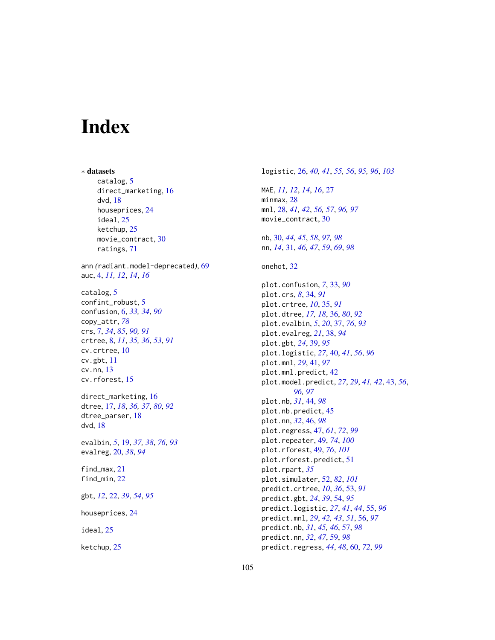# **Index**

∗ datasets catalog, [5](#page-4-0) direct\_marketing, [16](#page-15-0) dvd, [18](#page-17-0) houseprices, [24](#page-23-0) ideal, [25](#page-24-0) ketchup, [25](#page-24-0) movie\_contract, [30](#page-29-1) ratings, [71](#page-70-1) ann *(*radiant.model-deprecated*)*, [69](#page-68-0) auc, [4,](#page-3-0) *[11,](#page-10-0) [12](#page-11-0)*, *[14](#page-13-0)*, *[16](#page-15-0)* catalog, [5](#page-4-0) confint\_robust, [5](#page-4-0) confusion, [6,](#page-5-1) *[33,](#page-32-1) [34](#page-33-1)*, *[90](#page-89-0)* copy\_attr, *[78](#page-77-0)* crs, [7,](#page-6-1) *[34](#page-33-1)*, *[85](#page-84-0)*, *[90,](#page-89-0) [91](#page-90-0)* crtree, [8,](#page-7-1) *[11](#page-10-0)*, *[35,](#page-34-1) [36](#page-35-1)*, *[53](#page-52-1)*, *[91](#page-90-0)* cv.crtree, [10](#page-9-0) cv.gbt, [11](#page-10-0) cv.nn, [13](#page-12-0) cv.rforest, [15](#page-14-0) direct\_marketing, [16](#page-15-0) dtree, [17,](#page-16-1) *[18](#page-17-0)*, *[36,](#page-35-1) [37](#page-36-1)*, *[80](#page-79-1)*, *[92](#page-91-1)* dtree\_parser, [18](#page-17-0) dvd, [18](#page-17-0) evalbin, *[5](#page-4-0)*, [19,](#page-18-1) *[37,](#page-36-1) [38](#page-37-1)*, *[76](#page-75-0)*, *[93](#page-92-1)* evalreg, [20,](#page-19-1) *[38](#page-37-1)*, *[94](#page-93-0)* find\_max, [21](#page-20-0) find\_min, [22](#page-21-1) gbt, *[12](#page-11-0)*, [22,](#page-21-1) *[39](#page-38-1)*, *[54](#page-53-1)*, *[95](#page-94-0)* houseprices, [24](#page-23-0) ideal, [25](#page-24-0) ketchup, [25](#page-24-0)

logistic, [26,](#page-25-1) *[40,](#page-39-1) [41](#page-40-1)*, *[55,](#page-54-1) [56](#page-55-1)*, *[95,](#page-94-0) [96](#page-95-0)*, *[103](#page-102-0)* MAE, *[11,](#page-10-0) [12](#page-11-0)*, *[14](#page-13-0)*, *[16](#page-15-0)*, [27](#page-26-0) minmax, [28](#page-27-1) mnl, [28,](#page-27-1) *[41,](#page-40-1) [42](#page-41-0)*, *[56,](#page-55-1) [57](#page-56-1)*, *[96,](#page-95-0) [97](#page-96-0)* movie\_contract, [30](#page-29-1) nb, [30,](#page-29-1) *[44,](#page-43-1) [45](#page-44-0)*, *[58](#page-57-0)*, *[97,](#page-96-0) [98](#page-97-0)* nn, *[14](#page-13-0)*, [31,](#page-30-1) *[46,](#page-45-1) [47](#page-46-1)*, *[59](#page-58-1)*, *[69](#page-68-0)*, *[98](#page-97-0)* onehot, [32](#page-31-0) plot.confusion, *[7](#page-6-1)*, [33,](#page-32-1) *[90](#page-89-0)* plot.crs, *[8](#page-7-1)*, [34,](#page-33-1) *[91](#page-90-0)* plot.crtree, *[10](#page-9-0)*, [35,](#page-34-1) *[91](#page-90-0)* plot.dtree, *[17,](#page-16-1) [18](#page-17-0)*, [36,](#page-35-1) *[80](#page-79-1)*, *[92](#page-91-1)* plot.evalbin, *[5](#page-4-0)*, *[20](#page-19-1)*, [37,](#page-36-1) *[76](#page-75-0)*, *[93](#page-92-1)* plot.evalreg, *[21](#page-20-0)*, [38,](#page-37-1) *[94](#page-93-0)* plot.gbt, *[24](#page-23-0)*, [39,](#page-38-1) *[95](#page-94-0)* plot.logistic, *[27](#page-26-0)*, [40,](#page-39-1) *[41](#page-40-1)*, *[56](#page-55-1)*, *[96](#page-95-0)* plot.mnl, *[29](#page-28-0)*, [41,](#page-40-1) *[97](#page-96-0)* plot.mnl.predict, [42](#page-41-0) plot.model.predict, *[27](#page-26-0)*, *[29](#page-28-0)*, *[41,](#page-40-1) [42](#page-41-0)*, [43,](#page-42-1) *[56](#page-55-1)*, *[96,](#page-95-0) [97](#page-96-0)* plot.nb, *[31](#page-30-1)*, [44,](#page-43-1) *[98](#page-97-0)* plot.nb.predict, [45](#page-44-0) plot.nn, *[32](#page-31-0)*, [46,](#page-45-1) *[98](#page-97-0)* plot.regress, [47,](#page-46-1) *[61](#page-60-1)*, *[72](#page-71-0)*, *[99](#page-98-0)* plot.repeater, [49,](#page-48-2) *[74](#page-73-1)*, *[100](#page-99-2)* plot.rforest, [49,](#page-48-2) *[76](#page-75-0)*, *[101](#page-100-1)* plot.rforest.predict, [51](#page-50-0) plot.rpart, *[35](#page-34-1)* plot.simulater, [52,](#page-51-1) *[82](#page-81-0)*, *[101](#page-100-1)* predict.crtree, *[10](#page-9-0)*, *[36](#page-35-1)*, [53,](#page-52-1) *[91](#page-90-0)* predict.gbt, *[24](#page-23-0)*, *[39](#page-38-1)*, [54,](#page-53-1) *[95](#page-94-0)* predict.logistic, *[27](#page-26-0)*, *[41](#page-40-1)*, *[44](#page-43-1)*, [55,](#page-54-1) *[96](#page-95-0)* predict.mnl, *[29](#page-28-0)*, *[42,](#page-41-0) [43](#page-42-1)*, *[51](#page-50-0)*, [56,](#page-55-1) *[97](#page-96-0)* predict.nb, *[31](#page-30-1)*, *[45,](#page-44-0) [46](#page-45-1)*, [57,](#page-56-1) *[98](#page-97-0)* predict.nn, *[32](#page-31-0)*, *[47](#page-46-1)*, [59,](#page-58-1) *[98](#page-97-0)* predict.regress, *[44](#page-43-1)*, *[48](#page-47-0)*, [60,](#page-59-1) *[72](#page-71-0)*, *[99](#page-98-0)*